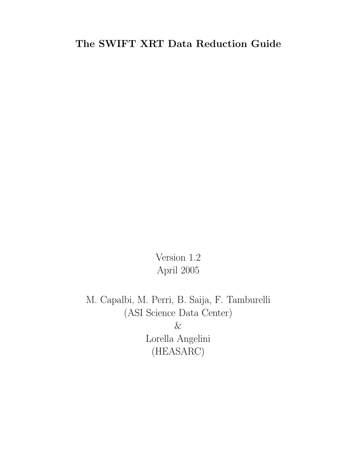## The SWIFT XRT Data Reduction Guide

Version 1.2 April 2005

M. Capalbi, M. Perri, B. Saija, F. Tamburelli (ASI Science Data Center)  $\&$ Lorella Angelini (HEASARC)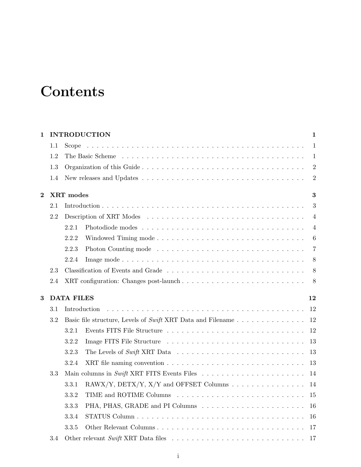# **Contents**

| $\mathbf{1}$ |     |                   | <b>INTRODUCTION</b>                                                  | $\mathbf{1}$   |
|--------------|-----|-------------------|----------------------------------------------------------------------|----------------|
|              | 1.1 |                   |                                                                      | $\mathbf{1}$   |
|              | 1.2 |                   |                                                                      | 1              |
|              | 1.3 |                   |                                                                      | $\overline{2}$ |
|              | 1.4 |                   |                                                                      | $\overline{2}$ |
| $\bf{2}$     |     | XRT modes         |                                                                      | $\bf{3}$       |
|              | 2.1 |                   |                                                                      | 3              |
|              | 2.2 |                   |                                                                      | $\overline{4}$ |
|              |     | 2.2.1             |                                                                      | $\overline{4}$ |
|              |     | 2.2.2             | Windowed Timing mode                                                 | 6              |
|              |     | 2.2.3             |                                                                      | $\overline{7}$ |
|              |     | 2.2.4             |                                                                      | 8              |
|              | 2.3 |                   | Classification of Events and Grade                                   | 8              |
|              | 2.4 |                   | XRT configuration: Changes post-launch                               | 8              |
| 3            |     | <b>DATA FILES</b> |                                                                      | 12             |
|              | 3.1 | Introduction      |                                                                      | 12             |
|              | 3.2 |                   | Basic file structure, Levels of Swift XRT Data and Filename          | 12             |
|              |     | 3.2.1             |                                                                      | 12             |
|              |     | 3.2.2             |                                                                      | 13             |
|              |     | 3.2.3             |                                                                      | 13             |
|              |     | 3.2.4             |                                                                      | 13             |
|              | 3.3 |                   |                                                                      | 14             |
|              |     | 3.3.1             | RAWX/Y, DETX/Y, X/Y and OFFSET Columns $\ldots \ldots \ldots \ldots$ | 14             |
|              |     | 3.3.2             |                                                                      | 15             |
|              |     | 3.3.3             |                                                                      | 16             |
|              |     | 3.3.4             |                                                                      | 16             |
|              |     | 3.3.5             | Other Relevant Columns                                               | 17             |
|              | 3.4 |                   |                                                                      | 17             |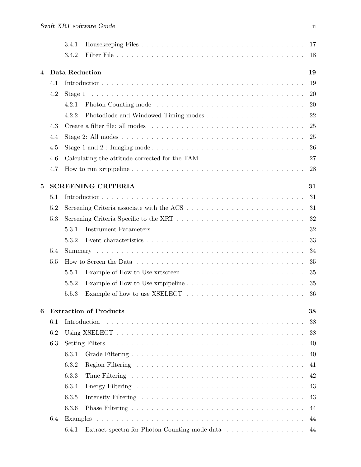|                |     | 3.4.1                                                                                                                                                                                                                         |    |
|----------------|-----|-------------------------------------------------------------------------------------------------------------------------------------------------------------------------------------------------------------------------------|----|
|                |     | 3.4.2                                                                                                                                                                                                                         | 18 |
|                |     |                                                                                                                                                                                                                               |    |
| $\overline{4}$ |     | Data Reduction                                                                                                                                                                                                                | 19 |
|                | 4.1 |                                                                                                                                                                                                                               | 19 |
|                | 4.2 | Stage 1                                                                                                                                                                                                                       | 20 |
|                |     | 4.2.1                                                                                                                                                                                                                         | 20 |
|                |     | 4.2.2                                                                                                                                                                                                                         | 22 |
|                | 4.3 |                                                                                                                                                                                                                               | 25 |
|                | 4.4 |                                                                                                                                                                                                                               | 25 |
|                | 4.5 |                                                                                                                                                                                                                               | 26 |
|                | 4.6 | Calculating the attitude corrected for the TAM $\ldots \ldots \ldots \ldots \ldots \ldots \ldots$                                                                                                                             | 27 |
|                | 4.7 |                                                                                                                                                                                                                               | 28 |
| 5              |     | <b>SCREENING CRITERIA</b>                                                                                                                                                                                                     | 31 |
|                | 5.1 |                                                                                                                                                                                                                               | 31 |
|                | 5.2 |                                                                                                                                                                                                                               | 31 |
|                | 5.3 |                                                                                                                                                                                                                               | 32 |
|                |     | 5.3.1                                                                                                                                                                                                                         | 32 |
|                |     | 5.3.2                                                                                                                                                                                                                         | 33 |
|                | 5.4 |                                                                                                                                                                                                                               | 34 |
|                | 5.5 | How to Screen the Data response to the set of the set of the set of the set of the set of the set of the set of the set of the set of the set of the set of the set of the set of the set of the set of the set of the set of | 35 |
|                |     | 5.5.1                                                                                                                                                                                                                         | 35 |
|                |     | 5.5.2                                                                                                                                                                                                                         | 35 |
|                |     | 5.5.3                                                                                                                                                                                                                         | 36 |
|                |     |                                                                                                                                                                                                                               |    |
| 6              |     | <b>Extraction of Products</b>                                                                                                                                                                                                 | 38 |
|                | 6.1 | Introduction                                                                                                                                                                                                                  | 38 |
|                | 6.2 |                                                                                                                                                                                                                               | 38 |
|                | 6.3 |                                                                                                                                                                                                                               | 40 |
|                |     | 6.3.1                                                                                                                                                                                                                         | 40 |
|                |     | 6.3.2                                                                                                                                                                                                                         | 41 |
|                |     | 6.3.3                                                                                                                                                                                                                         | 42 |
|                |     | 6.3.4                                                                                                                                                                                                                         | 43 |
|                |     | 6.3.5                                                                                                                                                                                                                         | 43 |
|                |     | 6.3.6                                                                                                                                                                                                                         | 44 |
|                | 6.4 |                                                                                                                                                                                                                               | 44 |
|                |     | 6.4.1<br>Extract spectra for Photon Counting mode data 44                                                                                                                                                                     |    |
|                |     |                                                                                                                                                                                                                               |    |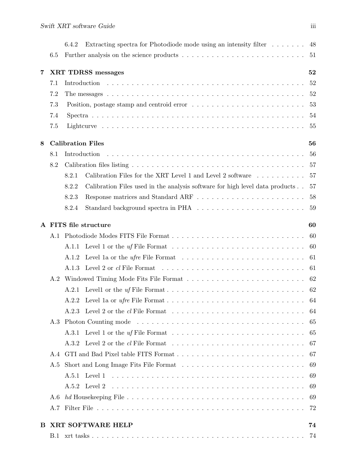|    |     | Extracting spectra for Photodiode mode using an intensity filter 48<br>6.4.2                                           |     |
|----|-----|------------------------------------------------------------------------------------------------------------------------|-----|
|    | 6.5 |                                                                                                                        |     |
| 7  |     | <b>XRT TDRSS messages</b>                                                                                              | 52  |
|    | 7.1 |                                                                                                                        | 52  |
|    | 7.2 |                                                                                                                        |     |
|    | 7.3 | Position, postage stamp and centroid error $\dots \dots \dots \dots \dots \dots \dots \dots \dots$                     | 53  |
|    | 7.4 |                                                                                                                        |     |
|    | 7.5 |                                                                                                                        | 55  |
| 8  |     | <b>Calibration Files</b>                                                                                               | 56  |
|    | 8.1 | Introduction                                                                                                           | 56  |
|    | 8.2 |                                                                                                                        | -57 |
|    |     | Calibration Files for the XRT Level 1 and Level 2 software $\ldots \ldots \ldots$<br>8.2.1                             | 57  |
|    |     | Calibration Files used in the analysis software for high level data products<br>8.2.2                                  | 57  |
|    |     | 8.2.3                                                                                                                  | 58  |
|    |     | 8.2.4                                                                                                                  |     |
|    |     | A FITS file structure                                                                                                  | 60  |
|    | A.1 |                                                                                                                        | -60 |
|    |     | A.1.1                                                                                                                  |     |
|    |     | Level 1a or the <i>ufre</i> File Format $\ldots \ldots \ldots \ldots \ldots \ldots \ldots \ldots 61$<br>A.1.2          |     |
|    |     | A.1.3<br>Level 2 or $cl$ File Format $\ldots \ldots \ldots \ldots \ldots \ldots \ldots \ldots \ldots \ldots \ldots 61$ |     |
|    | A.2 |                                                                                                                        |     |
|    |     | A.2.1                                                                                                                  |     |
|    |     |                                                                                                                        |     |
|    |     |                                                                                                                        |     |
|    | A.3 |                                                                                                                        | 65  |
|    |     | Level 1 or the $uf$ File Format $\ldots \ldots \ldots \ldots \ldots \ldots \ldots \ldots$<br>A.3.1                     | 65  |
|    |     | A 32                                                                                                                   | 67  |
|    | A.4 |                                                                                                                        | 67  |
|    | A.5 |                                                                                                                        | 69  |
|    |     | A.5.1                                                                                                                  | 69  |
|    |     | A.5.2                                                                                                                  | 69  |
|    | A.6 |                                                                                                                        | 69  |
|    | A.7 |                                                                                                                        | 72  |
| B. |     | XRT SOFTWARE HELP                                                                                                      | 74  |
|    |     |                                                                                                                        | 74  |
|    |     |                                                                                                                        |     |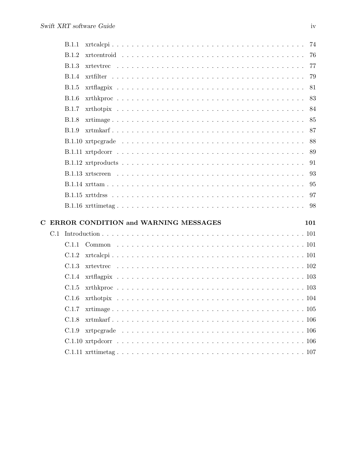|   | B.1.1                                |  |  |  |  |  |  |  |  |  |  |  |     |
|---|--------------------------------------|--|--|--|--|--|--|--|--|--|--|--|-----|
|   | B.1.2                                |  |  |  |  |  |  |  |  |  |  |  |     |
|   | B.1.3                                |  |  |  |  |  |  |  |  |  |  |  |     |
|   | <b>B.1.4</b>                         |  |  |  |  |  |  |  |  |  |  |  |     |
|   | B.1.5                                |  |  |  |  |  |  |  |  |  |  |  |     |
|   | B.1.6                                |  |  |  |  |  |  |  |  |  |  |  |     |
|   | B.1.7                                |  |  |  |  |  |  |  |  |  |  |  |     |
|   | B.1.8                                |  |  |  |  |  |  |  |  |  |  |  |     |
|   | <b>B.1.9</b>                         |  |  |  |  |  |  |  |  |  |  |  |     |
|   |                                      |  |  |  |  |  |  |  |  |  |  |  |     |
|   |                                      |  |  |  |  |  |  |  |  |  |  |  |     |
|   |                                      |  |  |  |  |  |  |  |  |  |  |  |     |
|   |                                      |  |  |  |  |  |  |  |  |  |  |  |     |
|   |                                      |  |  |  |  |  |  |  |  |  |  |  |     |
|   |                                      |  |  |  |  |  |  |  |  |  |  |  |     |
|   |                                      |  |  |  |  |  |  |  |  |  |  |  |     |
|   |                                      |  |  |  |  |  |  |  |  |  |  |  |     |
| C |                                      |  |  |  |  |  |  |  |  |  |  |  |     |
|   | ERROR CONDITION and WARNING MESSAGES |  |  |  |  |  |  |  |  |  |  |  | 101 |
|   |                                      |  |  |  |  |  |  |  |  |  |  |  |     |
|   | C.1.2                                |  |  |  |  |  |  |  |  |  |  |  |     |
|   | C.1.3                                |  |  |  |  |  |  |  |  |  |  |  |     |
|   | C.1.4                                |  |  |  |  |  |  |  |  |  |  |  |     |
|   | C.1.5                                |  |  |  |  |  |  |  |  |  |  |  |     |
|   | C.1.6                                |  |  |  |  |  |  |  |  |  |  |  |     |
|   | C.1.7                                |  |  |  |  |  |  |  |  |  |  |  |     |
|   | C.1.8                                |  |  |  |  |  |  |  |  |  |  |  |     |
|   | C.1.9                                |  |  |  |  |  |  |  |  |  |  |  |     |
|   |                                      |  |  |  |  |  |  |  |  |  |  |  |     |
|   |                                      |  |  |  |  |  |  |  |  |  |  |  |     |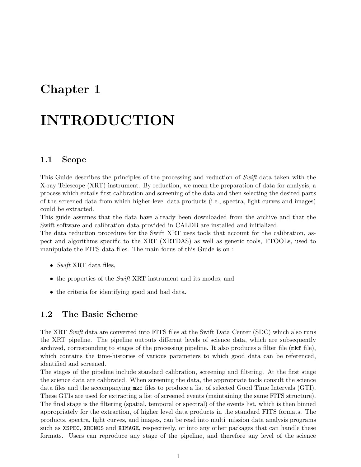## Chapter 1

# INTRODUCTION

### 1.1 Scope

This Guide describes the principles of the processing and reduction of Swift data taken with the X-ray Telescope (XRT) instrument. By reduction, we mean the preparation of data for analysis, a process which entails first calibration and screening of the data and then selecting the desired parts of the screened data from which higher-level data products (i.e., spectra, light curves and images) could be extracted.

This guide assumes that the data have already been downloaded from the archive and that the Swift software and calibration data provided in CALDB are installed and initialized.

The data reduction procedure for the Swift XRT uses tools that account for the calibration, aspect and algorithms specific to the XRT (XRTDAS) as well as generic tools, FTOOLs, used to manipulate the FITS data files. The main focus of this Guide is on :

- Swift XRT data files,
- the properties of the Swift XRT instrument and its modes, and
- the criteria for identifying good and bad data.

### 1.2 The Basic Scheme

The XRT Swift data are converted into FITS files at the Swift Data Center (SDC) which also runs the XRT pipeline. The pipeline outputs different levels of science data, which are subsequently archived, corresponding to stages of the processing pipeline. It also produces a filter file (mkf file), which contains the time-histories of various parameters to which good data can be referenced, identified and screened.

The stages of the pipeline include standard calibration, screening and filtering. At the first stage the science data are calibrated. When screening the data, the appropriate tools consult the science data files and the accompanying mkf files to produce a list of selected Good Time Intervals (GTI). These GTIs are used for extracting a list of screened events (maintaining the same FITS structure). The final stage is the filtering (spatial, temporal or spectral) of the events list, which is then binned appropriately for the extraction, of higher level data products in the standard FITS formats. The products, spectra, light curves, and images, can be read into multi–mission data analysis programs such as XSPEC, XRONOS and XIMAGE, respectively, or into any other packages that can handle these formats. Users can reproduce any stage of the pipeline, and therefore any level of the science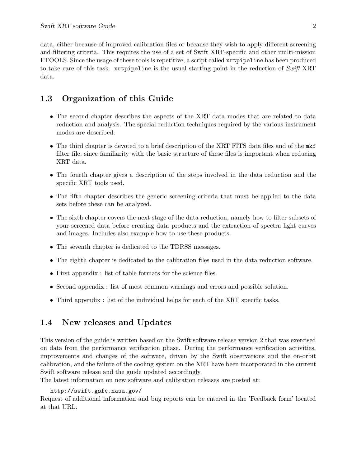data, either because of improved calibration files or because they wish to apply different screening and filtering criteria. This requires the use of a set of Swift XRT-specific and other multi-mission FTOOLS. Since the usage of these tools is repetitive, a script called xrtpipeline has been produced to take care of this task. xrtpipeline is the usual starting point in the reduction of Swift XRT data.

## 1.3 Organization of this Guide

- The second chapter describes the aspects of the XRT data modes that are related to data reduction and analysis. The special reduction techniques required by the various instrument modes are described.
- The third chapter is devoted to a brief description of the XRT FITS data files and of the mkf filter file, since familiarity with the basic structure of these files is important when reducing XRT data.
- The fourth chapter gives a description of the steps involved in the data reduction and the specific XRT tools used.
- The fifth chapter describes the generic screening criteria that must be applied to the data sets before these can be analyzed.
- The sixth chapter covers the next stage of the data reduction, namely how to filter subsets of your screened data before creating data products and the extraction of spectra light curves and images. Includes also example how to use these products.
- The seventh chapter is dedicated to the TDRSS messages.
- The eighth chapter is dedicated to the calibration files used in the data reduction software.
- First appendix : list of table formats for the science files.
- Second appendix : list of most common warnings and errors and possible solution.
- Third appendix : list of the individual helps for each of the XRT specific tasks.

## 1.4 New releases and Updates

This version of the guide is written based on the Swift software release version 2 that was exercised on data from the performance verification phase. During the performance verification activities, improvements and changes of the software, driven by the Swift observations and the on-orbit calibration, and the failure of the cooling system on the XRT have been incorporated in the current Swift software release and the guide updated accordingly.

The latest information on new software and calibration releases are posted at:

#### http://swift.gsfc.nasa.gov/

Request of additional information and bug reports can be entered in the 'Feedback form' located at that URL.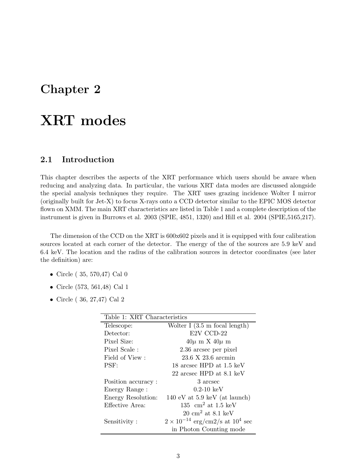## Chapter 2

# XRT modes

## 2.1 Introduction

This chapter describes the aspects of the XRT performance which users should be aware when reducing and analyzing data. In particular, the various XRT data modes are discussed alongside the special analysis techniques they require. The XRT uses grazing incidence Wolter I mirror (originally built for Jet-X) to focus X-rays onto a CCD detector similar to the EPIC MOS detector flown on XMM. The main XRT characteristics are listed in Table 1 and a complete description of the instrument is given in Burrows et al. 2003 (SPIE, 4851, 1320) and Hill et al. 2004 (SPIE,5165,217).

The dimension of the CCD on the XRT is 600x602 pixels and it is equipped with four calibration sources located at each corner of the detector. The energy of the of the sources are 5.9 keV and 6.4 keV. The location and the radius of the calibration sources in detector coordinates (see later the definition) are:

- Circle ( 35, 570,47) Cal 0
- Circle (573, 561,48) Cal 1
- Circle ( 36, 27,47) Cal 2

| Table 1: XRT Characteristics |                                             |  |  |  |  |  |  |  |  |
|------------------------------|---------------------------------------------|--|--|--|--|--|--|--|--|
| Telescope:                   | Wolter I $(3.5 \text{ m focal length})$     |  |  |  |  |  |  |  |  |
| Detector:                    | E2V CCD-22                                  |  |  |  |  |  |  |  |  |
| Pixel Size:                  | $40\mu$ m X $40\mu$ m                       |  |  |  |  |  |  |  |  |
| Pixel Scale:                 | 2.36 arcsec per pixel                       |  |  |  |  |  |  |  |  |
| Field of View:               | 23.6 X 23.6 arcmin                          |  |  |  |  |  |  |  |  |
| PSF:                         | 18 arcsec HPD at 1.5 keV                    |  |  |  |  |  |  |  |  |
|                              | 22 arcsec HPD at 8.1 keV                    |  |  |  |  |  |  |  |  |
| Position accuracy:           | 3 arcsec                                    |  |  |  |  |  |  |  |  |
| Energy Range:                | $0.2 - 10~{\rm keV}$                        |  |  |  |  |  |  |  |  |
| Energy Resolution:           | 140 eV at $5.9 \text{ keV}$ (at launch)     |  |  |  |  |  |  |  |  |
| Effective Area:              | 135 cm <sup>2</sup> at 1.5 keV              |  |  |  |  |  |  |  |  |
|                              | $20 \text{ cm}^2$ at $8.1 \text{ keV}$      |  |  |  |  |  |  |  |  |
| Sensitivity:                 | $2 \times 10^{-14}$ erg/cm2/s at $10^4$ sec |  |  |  |  |  |  |  |  |
|                              | in Photon Counting mode                     |  |  |  |  |  |  |  |  |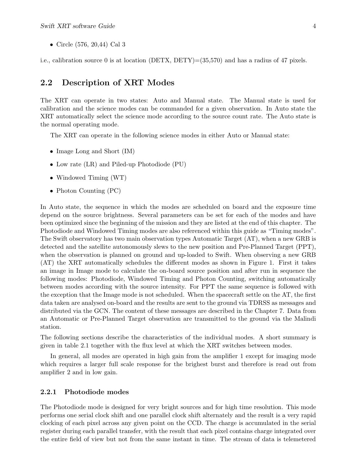• Circle (576, 20,44) Cal 3

i.e., calibration source 0 is at location (DETX, DETY)=(35,570) and has a radius of 47 pixels.

#### 2.2 Description of XRT Modes

The XRT can operate in two states: Auto and Manual state. The Manual state is used for calibration and the science modes can be commanded for a given observation. In Auto state the XRT automatically select the science mode according to the source count rate. The Auto state is the normal operating mode.

The XRT can operate in the following science modes in either Auto or Manual state:

- Image Long and Short (IM)
- Low rate (LR) and Piled-up Photodiode (PU)
- Windowed Timing (WT)
- Photon Counting (PC)

In Auto state, the sequence in which the modes are scheduled on board and the exposure time depend on the source brightness. Several parameters can be set for each of the modes and have been optimized since the beginning of the mission and they are listed at the end of this chapter. The Photodiode and Windowed Timing modes are also referenced within this guide as "Timing modes". The Swift observatory has two main observation types Automatic Target (AT), when a new GRB is detected and the satellite autonomously slews to the new position and Pre-Planned Target (PPT), when the observation is planned on ground and up-loaded to Swift. When observing a new GRB (AT) the XRT automatically schedules the different modes as shown in Figure 1. First it takes an image in Image mode to calculate the on-board source position and after run in sequence the following modes: Photodiode, Windowed Timing and Photon Counting, switching automatically between modes according with the source intensity. For PPT the same sequence is followed with the exception that the Image mode is not scheduled. When the spacecraft settle on the AT, the first data taken are analysed on-board and the results are sent to the ground via TDRSS as messages and distributed via the GCN. The content of these messages are described in the Chapter 7. Data from an Automatic or Pre-Planned Target observation are transmitted to the ground via the Malindi station.

The following sections describe the characteristics of the individual modes. A short summary is given in table 2.1 together with the flux level at which the XRT switches between modes.

In general, all modes are operated in high gain from the amplifier 1 except for imaging mode which requires a larger full scale response for the brighest burst and therefore is read out from amplifier 2 and in low gain.

#### 2.2.1 Photodiode modes

The Photodiode mode is designed for very bright sources and for high time resolution. This mode performs one serial clock shift and one parallel clock shift alternately and the result is a very rapid clocking of each pixel across any given point on the CCD. The charge is accumulated in the serial register during each parallel transfer, with the result that each pixel contains charge integrated over the entire field of view but not from the same instant in time. The stream of data is telemetered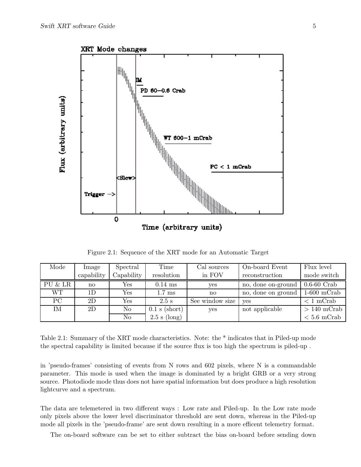

Figure 2.1: Sequence of the XRT mode for an Automatic Target

| Mode      | Image                | Spectral   | Time             | Cal sources            | On-board Event     | Flux level    |  |  |
|-----------|----------------------|------------|------------------|------------------------|--------------------|---------------|--|--|
|           | capability           | Capability | resolution       | in FOV                 | reconstruction     | mode switch   |  |  |
| PU & LR   | Yes<br>$\mathbf{no}$ |            | $0.14$ ms        | yes                    | no, done on-ground | $0.6-60$ Crab |  |  |
| <b>WT</b> | 1D                   | Yes        | $1.7 \text{ ms}$ | $\mathbf{n}\mathbf{o}$ | no, done on ground | $1-600$ mCrab |  |  |
| PC        | 2D                   | Yes        | $2.5$ s          | See window size        | ves                | $< 1$ mCrab   |  |  |
| ΙM        | 2D<br>No             |            | $0.1$ s (short)  | yes                    | not applicable     | $>140$ mCrab  |  |  |
|           | No                   |            | $2.5$ s (long)   |                        |                    | $< 5.6$ mCrab |  |  |

Table 2.1: Summary of the XRT mode characteristics. Note: the \* indicates that in Piled-up mode the spectral capability is limited because if the source flux is too high the spectrum is piled-up .

in 'pseudo-frames' consisting of events from N rows and 602 pixels, where N is a commandable parameter. This mode is used when the image is dominated by a bright GRB or a very strong source. Photodiode mode thus does not have spatial information but does produce a high resolution lightcurve and a spectrum.

The data are telemetered in two different ways : Low rate and Piled-up. In the Low rate mode only pixels above the lower level discriminator threshold are sent down, whereas in the Piled-up mode all pixels in the 'pseudo-frame' are sent down resulting in a more efficent telemetry format.

The on-board software can be set to either subtract the bias on-board before sending down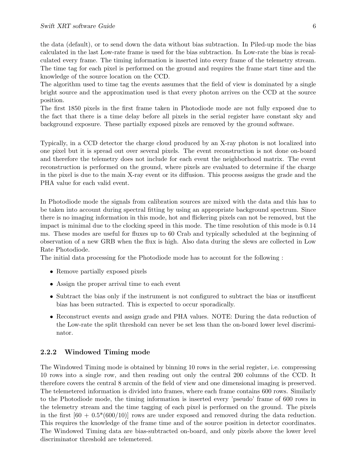the data (default), or to send down the data without bias subtraction. In Piled-up mode the bias calculated in the last Low-rate frame is used for the bias subtraction. In Low-rate the bias is recalculated every frame. The timing information is inserted into every frame of the telemetry stream. The time tag for each pixel is performed on the ground and requires the frame start time and the knowledge of the source location on the CCD.

The algorithm used to time tag the events assumes that the field of view is dominated by a single bright source and the approximation used is that every photon arrives on the CCD at the source position.

The first 1850 pixels in the first frame taken in Photodiode mode are not fully exposed due to the fact that there is a time delay before all pixels in the serial register have constant sky and background exposure. These partially exposed pixels are removed by the ground software.

Typically, in a CCD detector the charge cloud produced by an X-ray photon is not localized into one pixel but it is spread out over several pixels. The event reconstruction is not done on-board and therefore the telemetry does not include for each event the neighborhood matrix. The event reconstruction is performed on the ground, where pixels are evaluated to determine if the charge in the pixel is due to the main X-ray event or its diffusion. This process assigns the grade and the PHA value for each valid event.

In Photodiode mode the signals from calibration sources are mixed with the data and this has to be taken into account during spectral fitting by using an appropriate background spectrum. Since there is no imaging information in this mode, hot and flickering pixels can not be removed, but the impact is minimal due to the clocking speed in this mode. The time resolution of this mode is 0.14 ms. These modes are useful for fluxes up to 60 Crab and typically scheduled at the beginning of observation of a new GRB when the flux is high. Also data during the slews are collected in Low Rate Photodiode.

The initial data processing for the Photodiode mode has to account for the following :

- Remove partially exposed pixels
- Assign the proper arrival time to each event
- Subtract the bias only if the instrument is not configured to subtract the bias or insufficent bias has been sutracted. This is expected to occur sporadically.
- Reconstruct events and assign grade and PHA values. NOTE: During the data reduction of the Low-rate the split threshold can never be set less than the on-board lower level discriminator.

#### 2.2.2 Windowed Timing mode

The Windowed Timing mode is obtained by binning 10 rows in the serial register, i.e. compressing 10 rows into a single row, and then reading out only the central 200 columns of the CCD. It therefore covers the central 8 arcmin of the field of view and one dimensional imaging is preserved. The telemetered information is divided into frames, where each frame contains 600 rows. Similarly to the Photodiode mode, the timing information is inserted every 'pseudo' frame of 600 rows in the telemetry stream and the time tagging of each pixel is performed on the ground. The pixels in the first  $[60 + 0.5*(600/10)]$  rows are under exposed and removed during the data reduction. This requires the knowledge of the frame time and of the source position in detector coordinates. The Windowed Timing data are bias-subtracted on-board, and only pixels above the lower level discriminator threshold are telemetered.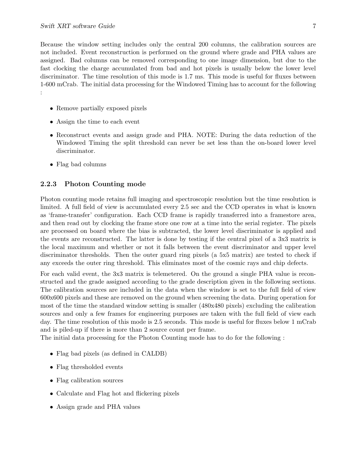Because the window setting includes only the central 200 columns, the calibration sources are not included. Event reconstruction is performed on the ground where grade and PHA values are assigned. Bad columns can be removed corresponding to one image dimension, but due to the fast clocking the charge accumulated from bad and hot pixels is usually below the lower level discriminator. The time resolution of this mode is 1.7 ms. This mode is useful for fluxes between 1-600 mCrab. The initial data processing for the Windowed Timing has to account for the following :

- Remove partially exposed pixels
- Assign the time to each event
- Reconstruct events and assign grade and PHA. NOTE: During the data reduction of the Windowed Timing the split threshold can never be set less than the on-board lower level discriminator.
- Flag bad columns

#### 2.2.3 Photon Counting mode

Photon counting mode retains full imaging and spectroscopic resolution but the time resolution is limited. A full field of view is accumulated every 2.5 sec and the CCD operates in what is known as 'frame-transfer' configuration. Each CCD frame is rapidly transferred into a framestore area, and then read out by clocking the frame store one row at a time into the serial register. The pixels are processed on board where the bias is subtracted, the lower level discriminator is applied and the events are reconstructed. The latter is done by testing if the central pixel of a 3x3 matrix is the local maximum and whether or not it falls between the event discriminator and upper level discriminator thresholds. Then the outer guard ring pixels (a 5x5 matrix) are tested to check if any exceeds the outer ring threshold. This eliminates most of the cosmic rays and chip defects.

For each valid event, the 3x3 matrix is telemetered. On the ground a single PHA value is reconstructed and the grade assigned according to the grade description given in the following sections. The calibration sources are included in the data when the window is set to the full field of view 600x600 pixels and these are removed on the ground when screening the data. During operation for most of the time the standard window setting is smaller (480x480 pixels) excluding the calibration sources and only a few frames for engineering purposes are taken with the full field of view each day. The time resolution of this mode is 2.5 seconds. This mode is useful for fluxes below 1 mCrab and is piled-up if there is more than 2 source count per frame.

The initial data processing for the Photon Counting mode has to do for the following :

- Flag bad pixels (as defined in CALDB)
- Flag thresholded events
- Flag calibration sources
- Calculate and Flag hot and flickering pixels
- Assign grade and PHA values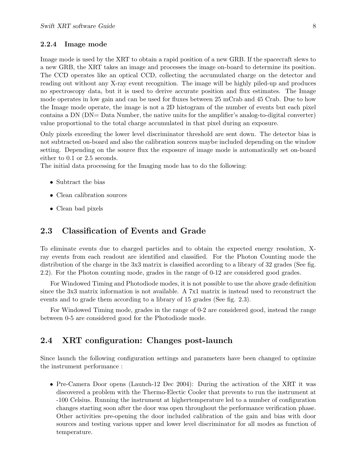#### 2.2.4 Image mode

Image mode is used by the XRT to obtain a rapid position of a new GRB. If the spacecraft slews to a new GRB, the XRT takes an image and processes the image on-board to determine its position. The CCD operates like an optical CCD, collecting the accumulated charge on the detector and reading out without any X-ray event recognition. The image will be highly piled-up and produces no spectroscopy data, but it is used to derive accurate position and flux estimates. The Image mode operates in low gain and can be used for fluxes between 25 mCrab and 45 Crab. Due to how the Image mode operate, the image is not a 2D histogram of the number of events but each pixel contains a DN (DN= Data Number, the native units for the amplifier's analog-to-digital converter) value proportional to the total charge accumulated in that pixel during an exposure.

Only pixels exceeding the lower level discriminator threshold are sent down. The detector bias is not subtracted on-board and also the calibration sources maybe included depending on the window setting. Depending on the source flux the exposure of image mode is automatically set on-board either to 0.1 or 2.5 seconds.

The initial data processing for the Imaging mode has to do the following:

- Subtract the bias
- Clean calibration sources
- Clean bad pixels

### 2.3 Classification of Events and Grade

To eliminate events due to charged particles and to obtain the expected energy resolution, Xray events from each readout are identified and classified. For the Photon Counting mode the distribution of the charge in the 3x3 matrix is classified according to a library of 32 grades (See fig. 2.2). For the Photon counting mode, grades in the range of 0-12 are considered good grades.

For Windowed Timing and Photodiode modes, it is not possible to use the above grade definition since the 3x3 matrix information is not available. A 7x1 matrix is instead used to reconstruct the events and to grade them according to a library of 15 grades (See fig. 2.3).

For Windowed Timing mode, grades in the range of 0-2 are considered good, instead the range between 0-5 are considered good for the Photodiode mode.

## 2.4 XRT configuration: Changes post-launch

Since launch the following configuration settings and parameters have been changed to optimize the instrument performance :

• Pre-Camera Door opens (Launch-12 Dec 2004): During the activation of the XRT it was discovered a problem with the Thermo-Electic Cooler that prevents to run the instrument at -100 Celsius. Running the instrument at highertemperature led to a number of configuration changes starting soon after the door was open throughout the performance verification phase. Other activities pre-opening the door included calibration of the gain and bias with door sources and testing various upper and lower level discriminator for all modes as function of temperature.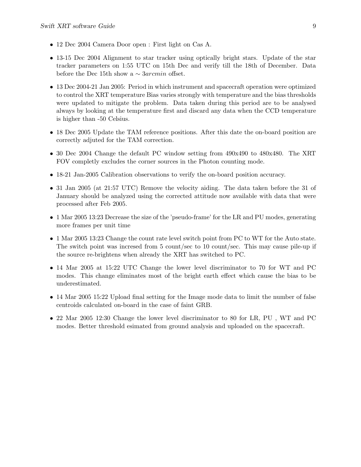- 12 Dec 2004 Camera Door open : First light on Cas A.
- 13-15 Dec 2004 Alignment to star tracker using optically bright stars. Update of the star tracker parameters on 1:55 UTC on 15th Dec and verify till the 18th of December. Data before the Dec 15th show a  $\sim 3$ arcmin offset.
- 13 Dec 2004-21 Jan 2005: Period in which instrument and spacecraft operation were optimized to control the XRT temperature Bias varies strongly with temperature and the bias thresholds were updated to mitigate the problem. Data taken during this period are to be analysed always by looking at the temperature first and discard any data when the CCD temperature is higher than -50 Celsius.
- 18 Dec 2005 Update the TAM reference positions. After this date the on-board position are correctly adjuted for the TAM correction.
- 30 Dec 2004 Change the default PC window setting from 490x490 to 480x480. The XRT FOV completly excludes the corner sources in the Photon counting mode.
- 18-21 Jan-2005 Calibration observations to verify the on-board position accuracy.
- 31 Jan 2005 (at 21:57 UTC) Remove the velocity aiding. The data taken before the 31 of January should be analyzed using the corrected attitude now available with data that were processed after Feb 2005.
- 1 Mar 2005 13:23 Decrease the size of the 'pseudo-frame' for the LR and PU modes, generating more frames per unit time
- 1 Mar 2005 13:23 Change the count rate level switch point from PC to WT for the Auto state. The switch point was incresed from 5 count/sec to 10 count/sec. This may cause pile-up if the source re-brightens when already the XRT has switched to PC.
- 14 Mar 2005 at 15:22 UTC Change the lower level discriminator to 70 for WT and PC modes. This change eliminates most of the bright earth effect which cause the bias to be underestimated.
- 14 Mar 2005 15:22 Upload final setting for the Image mode data to limit the number of false centroids calculated on-board in the case of faint GRB.
- 22 Mar 2005 12:30 Change the lower level discriminator to 80 for LR, PU , WT and PC modes. Better threshold esimated from ground analysis and uploaded on the spacecraft.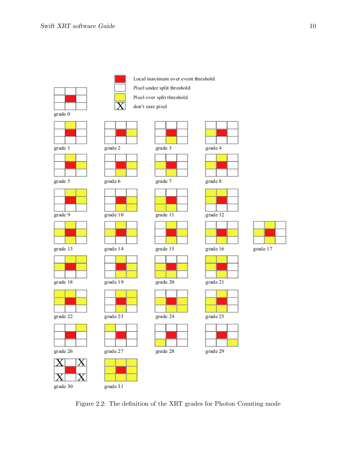







grade 5



 $grade 9$ 





grade 18











grade 2

grade 6

 $\frac{1}{\text{grade }10}$ 

grade 14

grade 19

grade 23

grade 27

grade 31

Local maximum over event threshold

- Pixel under split threshold
- Pixel over split threshold



grade 3

grade 7





grade 15













grade 12



grade 17

grade 21

grade 25



Figure 2.2: The definition of the XRT grades for Photon Counting mode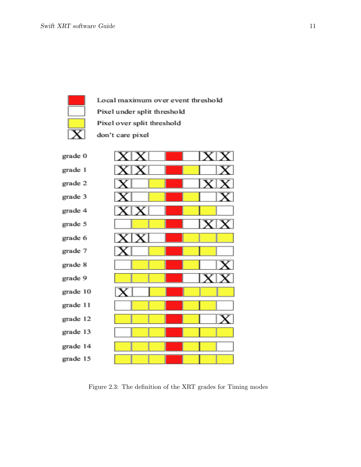

Local maximum over event threshold Pixel under split threshold Pixel over split threshold don't care pixel



Figure 2.3: The definition of the XRT grades for Timing modes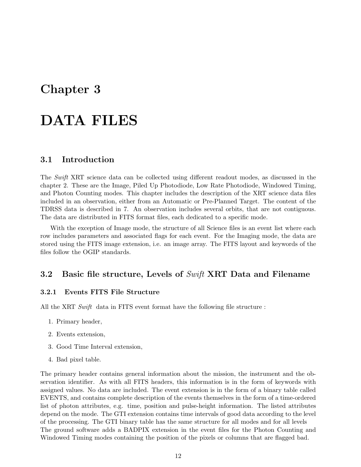## Chapter 3

# DATA FILES

### 3.1 Introduction

The Swift XRT science data can be collected using different readout modes, as discussed in the chapter 2. These are the Image, Piled Up Photodiode, Low Rate Photodiode, Windowed Timing, and Photon Counting modes. This chapter includes the description of the XRT science data files included in an observation, either from an Automatic or Pre-Planned Target. The content of the TDRSS data is described in 7. An observation includes several orbits, that are not contiguous. The data are distributed in FITS format files, each dedicated to a specific mode.

With the exception of Image mode, the structure of all Science files is an event list where each row includes parameters and associated flags for each event. For the Imaging mode, the data are stored using the FITS image extension, i.e. an image array. The FITS layout and keywords of the files follow the OGIP standards.

#### 3.2 Basic file structure, Levels of Swift XRT Data and Filename

#### 3.2.1 Events FITS File Structure

All the XRT Swift data in FITS event format have the following file structure :

- 1. Primary header,
- 2. Events extension,
- 3. Good Time Interval extension,
- 4. Bad pixel table.

The primary header contains general information about the mission, the instrument and the observation identifier. As with all FITS headers, this information is in the form of keywords with assigned values. No data are included. The event extension is in the form of a binary table called EVENTS, and contains complete description of the events themselves in the form of a time-ordered list of photon attributes, e.g. time, position and pulse-height information. The listed attributes depend on the mode. The GTI extension contains time intervals of good data according to the level of the processing. The GTI binary table has the same structure for all modes and for all levels The ground software adds a BADPIX extension in the event files for the Photon Counting and Windowed Timing modes containing the position of the pixels or columns that are flagged bad.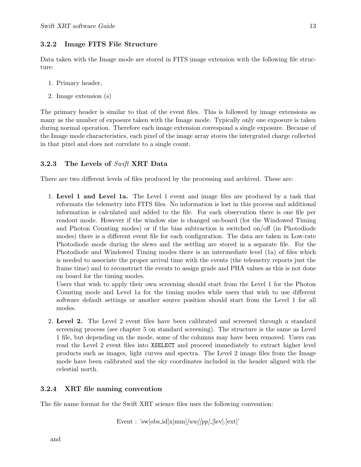#### 3.2.2 Image FITS File Structure

Data taken with the Image mode are stored in FITS image extension with the following file structure:

- 1. Primary header,
- 2. Image extension (s)

The primary header is similar to that of the event files. This is followed by image extensions as many as the number of exposure taken with the Image mode. Typically only one exposure is taken during normal operation. Therefore each image extension correspond a single exposure. Because of the Image mode characteristics, each pixel of the image array stores the intergrated charge collected in that pixel and does not correlate to a single count.

#### 3.2.3 The Levels of Swift XRT Data

There are two different levels of files produced by the processing and archived. These are:

1. Level 1 and Level 1a. The Level 1 event and image files are produced by a task that reformats the telemetry into FITS files. No information is lost in this process and additional information is calculated and added to the file. For each observation there is one file per readout mode. However if the window size is changed on-board (for the Windowed Timing and Photon Counting modes) or if the bias subtraction is switched on/off (in Photodiode modes) there is a different event file for each configuration. The data are taken in Low-rate Photodiode mode during the slews and the settling are stored in a separate file. For the Photodiode and Windowed Timing modes there is an intermediate level (1a) of files which is needed to associate the proper arrival time with the events (the telemetry reports just the frame time) and to reconstruct the events to assign grade and PHA values as this is not done on board for the timing modes.

Users that wish to apply their own screening should start from the Level 1 for the Photon Counting mode and Level 1a for the timing modes while users that wish to use different software default settings or another source position should start from the Level 1 for all modes.

2. Level 2. The Level 2 event files have been calibrated and screened through a standard screening process (see chapter 5 on standard screening). The structure is the same as Level 1 file, but depending on the mode, some of the columns may have been removed. Users can read the Level 2 event files into XSELECT and proceed immediately to extract higher level products such as images, light curves and spectra. The Level 2 image files from the Image mode have been calibrated and the sky coordinates included in the header aligned with the celestial north.

#### 3.2.4 XRT file naming convention

The file name format for the Swift XRT science files uses the following convention:

Event : 'sw[obs\_id]x[mm]/ww]/pp] [lev].[ext]'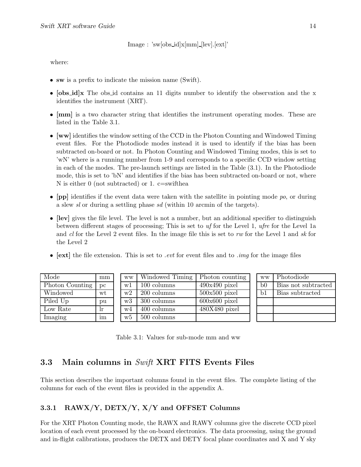Image : 'sw[obs id]x[mm] [lev].[ext]'

where:

- sw is a prefix to indicate the mission name (Swift).
- [obs\_id]x The obs\_id contains an 11 digits number to identify the observation and the x identifies the instrument (XRT).
- [mm] is a two character string that identifies the instrument operating modes. These are listed in the Table 3.1.
- [ww] identifies the window setting of the CCD in the Photon Counting and Windowed Timing event files. For the Photodiode modes instead it is used to identify if the bias has been subtracted on-board or not. In Photon Counting and Windowed Timing modes, this is set to 'wN' where is a running number from 1-9 and corresponds to a specific CCD window setting in each of the modes. The pre-launch settings are listed in the Table (3.1). In the Photodiode mode, this is set to 'bN' and identifies if the bias has been subtracted on-board or not, where N is either 0 (not subtracted) or 1. c=swifthea
- [pp] identifies if the event data were taken with the satellite in pointing mode  $po$ , or during a slew sl or during a settling phase sd (within 10 arcmin of the targets).
- [lev] gives the file level. The level is not a number, but an additional specifier to distinguish between different stages of processing; This is set to uf for the Level 1, ufre for the Level 1a and cl for the Level 2 event files. In the image file this is set to rw for the Level 1 and sk for the Level 2
- $[ext]$  the file extension. This is set to *even* for event files and to *img* for the image files

| Mode            | mm | <b>WW</b> | Windowed Timing | Photon counting | <b>WW</b> | Photodiode          |
|-----------------|----|-----------|-----------------|-----------------|-----------|---------------------|
| Photon Counting | pc | w1        | 100 columns     | $490x490$ pixel | b0        | Bias not subtracted |
| Windowed        | wt | w2        | 200 columns     | $500x500$ pixel | b1        | Bias subtracted     |
| Piled Up        | pu | W3        | 300 columns     | $600x600$ pixel |           |                     |
| Low Rate        | Ir | w4        | 400 columns     | $480X480$ pixel |           |                     |
| Imaging         | im | w5        | 500 columns     |                 |           |                     |

Table 3.1: Values for sub-mode mm and ww

## 3.3 Main columns in Swift XRT FITS Events Files

This section describes the important columns found in the event files. The complete listing of the columns for each of the event files is provided in the appendix A.

#### 3.3.1 RAWX/Y,  $\text{DETX/Y}$ ,  $\text{X/Y}$  and OFFSET Columns

For the XRT Photon Counting mode, the RAWX and RAWY columns give the discrete CCD pixel location of each event processed by the on-board electronics. The data processing, using the ground and in-flight calibrations, produces the DETX and DETY focal plane coordinates and X and Y sky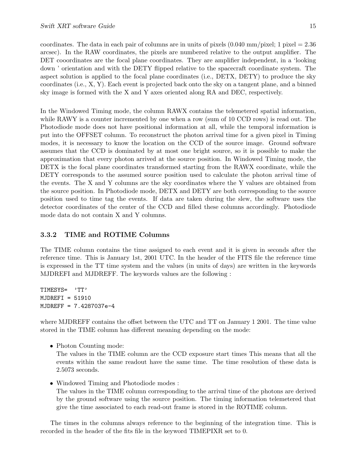coordinates. The data in each pair of columns are in units of pixels  $(0.040 \text{ mm/pixel}; 1 \text{ pixel} = 2.36$ arcsec). In the RAW coordinates, the pixels are numbered relative to the output amplifier. The DET cooordinates are the focal plane coordinates. They are amplifier independent, in a 'looking down ' orientation and with the DETY flipped relative to the spacecraft coordinate system. The aspect solution is applied to the focal plane coordinates (i.e., DETX, DETY) to produce the sky coordinates (i.e., X, Y). Each event is projected back onto the sky on a tangent plane, and a binned sky image is formed with the X and Y axes oriented along RA and DEC, respectively.

In the Windowed Timing mode, the column RAWX contains the telemetered spatial information, while RAWY is a counter incremented by one when a row (sum of 10 CCD rows) is read out. The Photodiode mode does not have positional information at all, while the temporal information is put into the OFFSET column. To reconstruct the photon arrival time for a given pixel in Timing modes, it is necessary to know the location on the CCD of the source image. Ground software assumes that the CCD is dominated by at most one bright source, so it is possible to make the approximation that every photon arrived at the source position. In Windowed Timing mode, the DETX is the focal plane coordinates transformed starting from the RAWX coordinate, while the DETY corresponds to the assumed source position used to calculate the photon arrival time of the events. The X and Y columns are the sky coordinates where the Y values are obtained from the source position. In Photodiode mode, DETX and DETY are both corresponding to the source position used to time tag the events. If data are taken during the slew, the software uses the detector coordinates of the center of the CCD and filled these columns accordingly. Photodiode mode data do not contain X and Y columns.

#### 3.3.2 TIME and ROTIME Columns

The TIME column contains the time assigned to each event and it is given in seconds after the reference time. This is January 1st, 2001 UTC. In the header of the FITS file the reference time is expressed in the TT time system and the values (in units of days) are written in the keywords MJDREFI and MJDREFF. The keywords values are the following :

TIMESYS= 'TT' MJDREFI = 51910 MJDREFF = 7.4287037e-4

where MJDREFF contains the offset between the UTC and TT on January 1 2001. The time value stored in the TIME column has different meaning depending on the mode:

• Photon Counting mode:

The values in the TIME column are the CCD exposure start times This means that all the events within the same readout have the same time. The time resolution of these data is 2.5073 seconds.

• Windowed Timing and Photodiode modes :

The values in the TIME column corresponding to the arrival time of the photons are derived by the ground software using the source position. The timing information telemetered that give the time associated to each read-out frame is stored in the ROTIME column.

The times in the columns always reference to the beginning of the integration time. This is recorded in the header of the fits file in the keyword TIMEPIXR set to 0.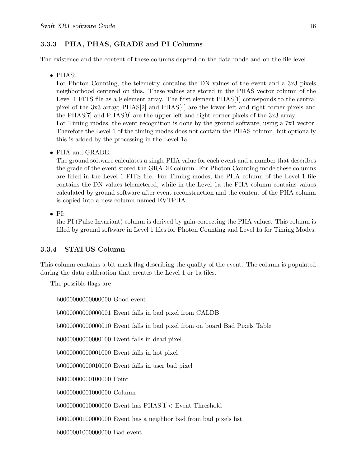#### 3.3.3 PHA, PHAS, GRADE and PI Columns

The existence and the content of these columns depend on the data mode and on the file level.

• PHAS:

For Photon Counting, the telemetry contains the DN values of the event and a 3x3 pixels neighborhood centered on this. These values are stored in the PHAS vector column of the Level 1 FITS file as a 9 element array. The first element PHAS[1] corresponds to the central pixel of the 3x3 array; PHAS[2] and PHAS[4] are the lower left and right corner pixels and the PHAS[7] and PHAS[9] are the upper left and right corner pixels of the 3x3 array. For Timing modes, the event recognition is done by the ground software, using a 7x1 vector. Therefore the Level 1 of the timing modes does not contain the PHAS column, but optionally this is added by the processing in the Level 1a.

• PHA and GRADE:

The ground software calculates a single PHA value for each event and a number that describes the grade of the event stored the GRADE column. For Photon Counting mode these columns are filled in the Level 1 FITS file. For Timing modes, the PHA column of the Level 1 file contains the DN values telemetered, while in the Level 1a the PHA column contains values calculated by ground software after event reconstruction and the content of the PHA column is copied into a new column named EVTPHA.

• PI:

the PI (Pulse Invariant) column is derived by gain-correcting the PHA values. This column is filled by ground software in Level 1 files for Photon Counting and Level 1a for Timing Modes.

#### 3.3.4 STATUS Column

This column contains a bit mask flag describing the quality of the event. The column is populated during the data calibration that creates the Level 1 or 1a files.

The possible flags are :

b0000000000000000 Good event

b0000000000000001 Event falls in bad pixel from CALDB

b0000000000000010 Event falls in bad pixel from on board Bad Pixels Table

b0000000000000100 Event falls in dead pixel

b0000000000001000 Event falls in hot pixel

b0000000000010000 Event falls in user bad pixel

b0000000000100000 Point

b0000000001000000 Column

b0000000010000000 Event has PHAS[1]< Event Threshold

b0000000100000000 Event has a neighbor bad from bad pixels list

b0000001000000000 Bad event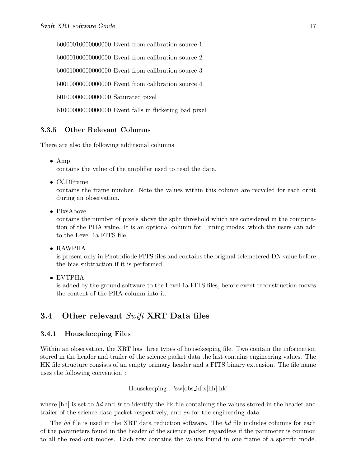b0000010000000000 Event from calibration source 1 b0000100000000000 Event from calibration source 2 b0001000000000000 Event from calibration source 3 b0010000000000000 Event from calibration source 4 b0100000000000000 Saturated pixel b1000000000000000 Event falls in flickering bad pixel

#### 3.3.5 Other Relevant Columns

There are also the following additional columns

• Amp

contains the value of the amplifier used to read the data.

• CCDFrame

contains the frame number. Note the values within this column are recycled for each orbit during an observation.

• PixsAbove

contains the number of pixels above the split threshold which are considered in the computation of the PHA value. It is an optional column for Timing modes, which the users can add to the Level 1a FITS file.

• RAWPHA

is present only in Photodiode FITS files and contains the original telemetered DN value before the bias subtraction if it is performed.

• EVTPHA

is added by the ground software to the Level 1a FITS files, before event reconstruction moves the content of the PHA column into it.

## 3.4 Other relevant Swift XRT Data files

#### 3.4.1 Housekeeping Files

Within an observation, the XRT has three types of housekeeping file. Two contain the information stored in the header and trailer of the science packet data the last contains engineering values. The HK file structure consists of an empty primary header and a FITS binary extension. The file name uses the following convention :

Housekeeping : 'sw[obs id]x[hh].hk'

where [hh] is set to hd and tr to identify the hk file containing the values stored in the header and trailer of the science data packet respectively, and en for the engineering data.

The hd file is used in the XRT data reduction software. The hd file includes columns for each of the parameters found in the header of the science packet regardless if the parameter is common to all the read-out modes. Each row contains the values found in one frame of a specific mode.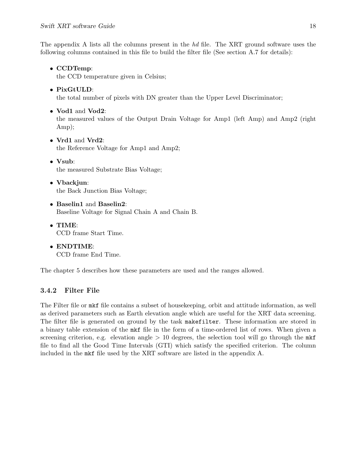The appendix A lists all the columns present in the hd file. The XRT ground software uses the following columns contained in this file to build the filter file (See section A.7 for details):

• CCDTemp: the CCD temperature given in Celsius; • PixGtULD: the total number of pixels with DN greater than the Upper Level Discriminator; • Vod1 and Vod2: the measured values of the Output Drain Voltage for Amp1 (left Amp) and Amp2 (right Amp); • Vrd1 and Vrd2: the Reference Voltage for Amp1 and Amp2; • Vsub: the measured Substrate Bias Voltage; • Vbackjun: the Back Junction Bias Voltage; • Baselin1 and Baselin2: Baseline Voltage for Signal Chain A and Chain B. • TIME: CCD frame Start Time. • ENDTIME:

CCD frame End Time.

The chapter 5 describes how these parameters are used and the ranges allowed.

#### 3.4.2 Filter File

The Filter file or mkf file contains a subset of housekeeping, orbit and attitude information, as well as derived parameters such as Earth elevation angle which are useful for the XRT data screening. The filter file is generated on ground by the task makefilter. These information are stored in a binary table extension of the mkf file in the form of a time-ordered list of rows. When given a screening criterion, e.g. elevation angle  $> 10$  degrees, the selection tool will go through the mkf file to find all the Good Time Intervals (GTI) which satisfy the specified criterion. The column included in the mkf file used by the XRT software are listed in the appendix A.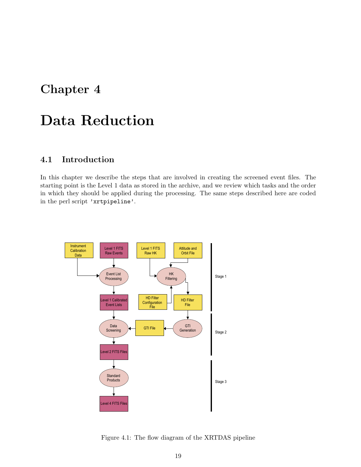## Chapter 4

# Data Reduction

## 4.1 Introduction

In this chapter we describe the steps that are involved in creating the screened event files. The starting point is the Level 1 data as stored in the archive, and we review which tasks and the order in which they should be applied during the processing. The same steps described here are coded in the perl script 'xrtpipeline'.



Figure 4.1: The flow diagram of the XRTDAS pipeline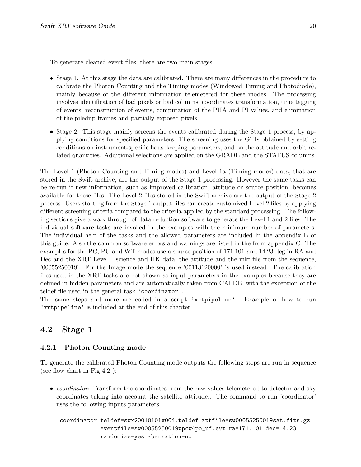To generate cleaned event files, there are two main stages:

- Stage 1. At this stage the data are calibrated. There are many differences in the procedure to calibrate the Photon Counting and the Timing modes (Windowed Timing and Photodiode), mainly because of the different information telemetered for these modes. The processing involves identification of bad pixels or bad columns, coordinates transformation, time tagging of events, reconstruction of events, computation of the PHA and PI values, and elimination of the piledup frames and partially exposed pixels.
- Stage 2. This stage mainly screens the events calibrated during the Stage 1 process, by applying conditions for specified parameters. The screening uses the GTIs obtained by setting conditions on instrument-specific housekeeping parameters, and on the attitude and orbit related quantities. Additional selections are applied on the GRADE and the STATUS columns.

The Level 1 (Photon Counting and Timing modes) and Level 1a (Timing modes) data, that are stored in the Swift archive, are the output of the Stage 1 processing. However the same tasks can be re-run if new information, such as improved calibration, attitude or source position, becomes available for these files. The Level 2 files stored in the Swift archive are the output of the Stage 2 process. Users starting from the Stage 1 output files can create customized Level 2 files by applying different screening criteria compared to the criteria applied by the standard processing. The following sections give a walk through of data reduction software to generate the Level 1 and 2 files. The individual software tasks are invoked in the examples with the minimum number of parameters. The individual help of the tasks and the allowed parameters are included in the appendix B of this guide. Also the common software errors and warnings are listed in the from appendix C. The examples for the PC, PU and WT modes use a source position of 171.101 and 14.23 deg in RA and Dec and the XRT Level 1 science and HK data, the attitude and the mkf file from the sequence, '00055250019'. For the Image mode the sequence '00113120000' is used instead. The calibration files used in the XRT tasks are not shown as input parameters in the examples because they are defined in hidden parameters and are automatically taken from CALDB, with the exception of the teldef file used in the general task 'coordinator'.

The same steps and more are coded in a script 'xrtpipeline'. Example of how to run 'xrtpipeline' is included at the end of this chapter.

#### 4.2 Stage 1

#### 4.2.1 Photon Counting mode

To generate the calibrated Photon Counting mode outputs the following steps are run in sequence (see flow chart in Fig 4.2 ):

• *coordinator*: Transform the coordinates from the raw values telemetered to detector and sky coordinates taking into account the satellite attitude.. The command to run 'coordinator' uses the following inputs parameters:

coordinator teldef=swx20010101v004.teldef attfile=sw00055250019sat.fits.gz eventfile=sw00055250019xpcw4po\_uf.evt ra=171.101 dec=14.23 randomize=yes aberration=no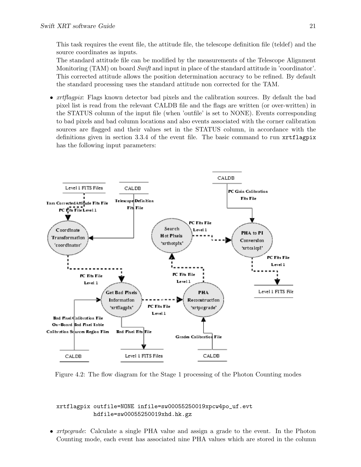This task requires the event file, the attitude file, the telescope definition file (teldef) and the source coordinates as inputs.

The standard attitude file can be modified by the measurements of the Telescope Alignment Monitoring  $(TAM)$  on board  $Swith$  and input in place of the standard attitude in 'coordinator'. This corrected attitude allows the position determination accuracy to be refined. By default the standard processing uses the standard attitude non corrected for the TAM.

• *xrtflagpix*: Flags known detector bad pixels and the calibration sources. By default the bad pixel list is read from the relevant CALDB file and the flags are written (or over-written) in the STATUS column of the input file (when 'outfile' is set to NONE). Events corresponding to bad pixels and bad column locations and also events associated with the corner calibration sources are flagged and their values set in the STATUS column, in accordance with the definitions given in section 3.3.4 of the event file. The basic command to run xrtflagpix has the following input parameters:



Figure 4.2: The flow diagram for the Stage 1 processing of the Photon Counting modes

#### xrtflagpix outfile=NONE infile=sw00055250019xpcw4po\_uf.evt hdfile=sw00055250019xhd.hk.gz

• *xrtpcgrade*: Calculate a single PHA value and assign a grade to the event. In the Photon Counting mode, each event has associated nine PHA values which are stored in the column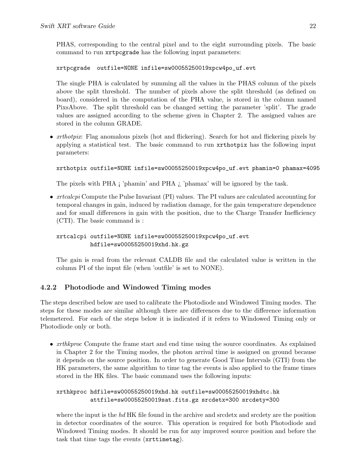PHAS, corresponding to the central pixel and to the eight surrounding pixels. The basic command to run xrtpcgrade has the following input parameters:

xrtpcgrade outfile=NONE infile=sw00055250019xpcw4po\_uf.evt

The single PHA is calculated by summing all the values in the PHAS column of the pixels above the split threshold. The number of pixels above the split threshold (as defined on board), considered in the computation of the PHA value, is stored in the column named PixsAbove. The split threshold can be changed setting the parameter 'split'. The grade values are assigned according to the scheme given in Chapter 2. The assigned values are stored in the column GRADE.

• *xrthotpix*: Flag anomalous pixels (hot and flickering). Search for hot and flickering pixels by applying a statistical test. The basic command to run xrthotpix has the following input parameters:

xrthotpix outfile=NONE infile=sw00055250019xpcw4po\_uf.evt phamin=0 phamax=4095

The pixels with PHA ¡ 'phamin' and PHA ¿ 'phamax' will be ignored by the task.

• *xrtcalcpi* Compute the Pulse Invariant (PI) values. The PI values are calculated accounting for temporal changes in gain, induced by radiation damage, for the gain temperature dependence and for small differences in gain with the position, due to the Charge Transfer Inefficiency (CTI). The basic command is :

xrtcalcpi outfile=NONE infile=sw00055250019xpcw4po\_uf.evt hdfile=sw00055250019xhd.hk.gz

The gain is read from the relevant CALDB file and the calculated value is written in the column PI of the input file (when 'outfile' is set to NONE).

#### 4.2.2 Photodiode and Windowed Timing modes

The steps described below are used to calibrate the Photodiode and Windowed Timing modes. The steps for these modes are similar although there are differences due to the difference information telemetered. For each of the steps below it is indicated if it refers to Windowed Timing only or Photodiode only or both.

• *xrthkproc* Compute the frame start and end time using the source coordinates. As explained in Chapter 2 for the Timing modes, the photon arrival time is assigned on ground because it depends on the source position. In order to generate Good Time Intervals (GTI) from the HK parameters, the same algorithm to time tag the events is also applied to the frame times stored in the HK files. The basic command uses the following inputs:

xrthkproc hdfile=sw00055250019xhd.hk outfile=sw00055250019xhdtc.hk attfile=sw00055250019sat.fits.gz srcdetx=300 srcdety=300

where the input is the  $hd$  HK file found in the archive and srcdetx and srcdety are the position in detector coordinates of the source. This operation is required for both Photodiode and Windowed Timing modes. It should be run for any improved source position and before the task that time tags the events (xrttimetag).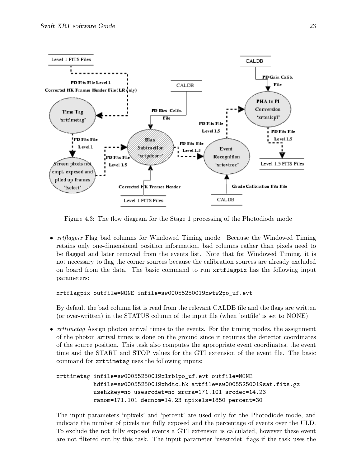

Figure 4.3: The flow diagram for the Stage 1 processing of the Photodiode mode

• *xrtflagpix* Flag bad columns for Windowed Timing mode. Because the Windowed Timing retains only one-dimensional position information, bad columns rather than pixels need to be flagged and later removed from the events list. Note that for Windowed Timing, it is not necessary to flag the corner sources because the calibration sources are already excluded on board from the data. The basic command to run xrtflagpix has the following input parameters:

xrtflagpix outfile=NONE infile=sw00055250019xwtw2po\_uf.evt

By default the bad column list is read from the relevant CALDB file and the flags are written (or over-written) in the STATUS column of the input file (when 'outfile' is set to NONE)

• *xrttimetag* Assign photon arrival times to the events. For the timing modes, the assignment of the photon arrival times is done on the ground since it requires the detector coordinates of the source position. This task also computes the appropriate event coordinates, the event time and the START and STOP values for the GTI extension of the event file. The basic command for xrttimetag uses the following inputs:

```
xrttimetag infile=sw00055250019xlrb1po_uf.evt outfile=NONE
   hdfile=sw00055250019xhdtc.hk attfile=sw00055250019sat.fits.gz
   usehkkey=no usesrcdet=no srcra=171.101 srcdec=14.23
   ranom=171.101 decnom=14.23 npixels=1850 percent=30
```
The input parameters 'npixels' and 'percent' are used only for the Photodiode mode, and indicate the number of pixels not fully exposed and the percentage of events over the ULD. To exclude the not fully exposed events a GTI extension is calculated, however these event are not filtered out by this task. The input parameter 'usesrcdet' flags if the task uses the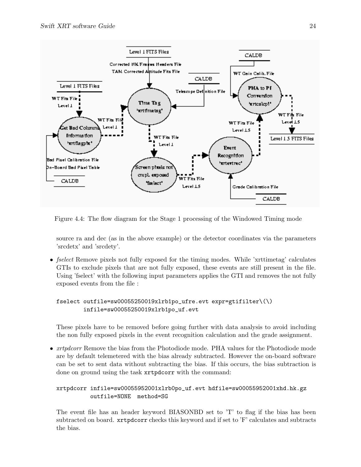

Figure 4.4: The flow diagram for the Stage 1 processing of the Windowed Timing mode

source ra and dec (as in the above example) or the detector coordinates via the parameters 'srcdetx' and 'srcdety'.

• *fselect* Remove pixels not fully exposed for the timing modes. While 'xrttimetag' calculates GTIs to exclude pixels that are not fully exposed, these events are still present in the file. Using 'fselect' with the following input parameters applies the GTI and removes the not fully exposed events from the file :

#### fselect outfile=sw00055250019xlrb1po\_ufre.evt expr=gtifilter\(\) infile=sw00055250019xlrb1po\_uf.evt

These pixels have to be removed before going further with data analysis to avoid including the non fully exposed pixels in the event recognition calculation and the grade assignment.

• *xrtpdcorr* Remove the bias from the Photodiode mode. PHA values for the Photodiode mode are by default telemetered with the bias already subtracted. However the on-board software can be set to sent data without subtracting the bias. If this occurs, the bias subtraction is done on ground using the task xrtpdcorr with the command:

#### xrtpdcorr infile=sw00055952001xlrb0po\_uf.evt hdfile=sw00055952001xhd.hk.gz outfile=NONE method=SG

The event file has an header keyword BIASONBD set to 'T' to flag if the bias has been subtracted on board.  $xrtpdecorr$  checks this keyword and if set to  $F$  calculates and subtracts the bias.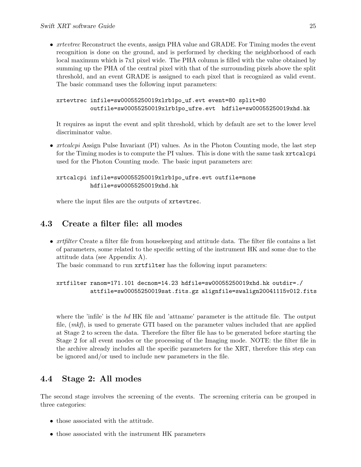• *xrtevtrec* Reconstruct the events, assign PHA value and GRADE. For Timing modes the event recognition is done on the ground, and is performed by checking the neighborhood of each local maximum which is 7x1 pixel wide. The PHA column is filled with the value obtained by summing up the PHA of the central pixel with that of the surrounding pixels above the split threshold, and an event GRADE is assigned to each pixel that is recognized as valid event. The basic command uses the following input parameters:

```
xrtevtrec infile=sw00055250019xlrb1po_uf.evt event=80 split=80
   outfile=sw00055250019xlrb1po_ufre.evt hdfile=sw00055250019xhd.hk
```
It requires as input the event and split threshold, which by default are set to the lower level discriminator value.

• *xrtcalcpi* Assign Pulse Invariant (PI) values. As in the Photon Counting mode, the last step for the Timing modes is to compute the PI values. This is done with the same task xrtcalcpi used for the Photon Counting mode. The basic input parameters are:

xrtcalcpi infile=sw00055250019xlrb1po\_ufre.evt outfile=none hdfile=sw00055250019xhd.hk

where the input files are the outputs of xrtevtrec.

## 4.3 Create a filter file: all modes

• *xrtfilter* Create a filter file from housekeeping and attitude data. The filter file contains a list of parameters, some related to the specific setting of the instrument HK and some due to the attitude data (see Appendix A).

The basic command to run xrtfilter has the following input parameters:

xrtfilter ranom=171.101 decnom=14.23 hdfile=sw00055250019xhd.hk outdir=./ attfile=sw00055250019sat.fits.gz alignfile=swalign20041115v012.fits

where the 'infile' is the  $hd$  HK file and 'attname' parameter is the attitude file. The output file, (mkf), is used to generate GTI based on the parameter values included that are applied at Stage 2 to screen the data. Therefore the filter file has to be generated before starting the Stage 2 for all event modes or the processing of the Imaging mode. NOTE: the filter file in the archive already includes all the specific parameters for the XRT, therefore this step can be ignored and/or used to include new parameters in the file.

## 4.4 Stage 2: All modes

The second stage involves the screening of the events. The screening criteria can be grouped in three categories:

- those associated with the attitude.
- those associated with the instrument HK parameters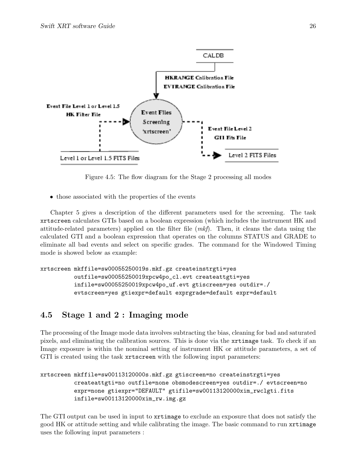

Figure 4.5: The flow diagram for the Stage 2 processing all modes

• those associated with the properties of the events

Chapter 5 gives a description of the different parameters used for the screening. The task xrtscreen calculates GTIs based on a boolean expression (which includes the instrument HK and attitude-related parameters) applied on the filter file  $(mkf)$ . Then, it cleans the data using the calculated GTI and a boolean expression that operates on the columns STATUS and GRADE to eliminate all bad events and select on specific grades. The command for the Windowed Timing mode is showed below as example:

```
xrtscreen mkffile=sw00055250019s.mkf.gz createinstrgti=yes
   outfile=sw00055250019xpcw4po_cl.evt createattgti=yes
   infile=sw00055250019xpcw4po_uf.evt gtiscreen=yes outdir=./
   evtscreen=yes gtiexpr=default exprgrade=default expr=default
```
## 4.5 Stage 1 and 2 : Imaging mode

The processing of the Image mode data involves subtracting the bias, cleaning for bad and saturated pixels, and eliminating the calibration sources. This is done via the xrtimage task. To check if an Image exposure is within the nominal setting of instrument HK or attitude parameters, a set of GTI is created using the task xrtscreen with the following input parameters:

```
xrtscreen mkffile=sw00113120000s.mkf.gz gtiscreen=no createinstrgti=yes
   createattgti=no outfile=none obsmodescreen=yes outdir=./ evtscreen=no
   expr=none gtiexpr="DEFAULT" gtifile=sw00113120000xim_rwclgti.fits
   infile=sw00113120000xim_rw.img.gz
```
The GTI output can be used in input to xrtimage to exclude an exposure that does not satisfy the good HK or attitude setting and while calibrating the image. The basic command to run xrtimage uses the following input parameters :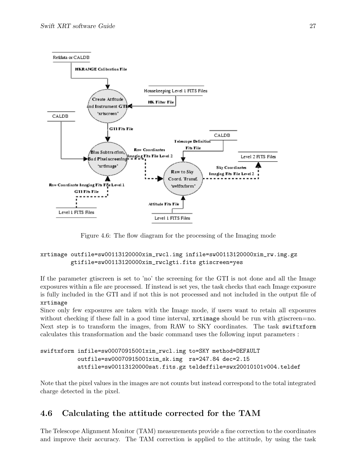

Figure 4.6: The flow diagram for the processing of the Imaging mode

#### xrtimage outfile=sw00113120000xim\_rwcl.img infile=sw00113120000xim\_rw.img.gz gtifile=sw00113120000xim\_rwclgti.fits gtiscreen=yes

If the parameter gtiscreen is set to 'no' the screening for the GTI is not done and all the Image exposures within a file are processed. If instead is set yes, the task checks that each Image exposure is fully included in the GTI and if not this is not processed and not included in the output file of xrtimage

Since only few exposures are taken with the Image mode, if users want to retain all exposures without checking if these fall in a good time interval,  $xrtimage$  should be run with gtiscreen=no. Next step is to transform the images, from RAW to SKY coordinates. The task swiftxform calculates this transformation and the basic command uses the following input parameters :

```
swiftxform infile=sw00070915001xim_rwcl.img to=SKY method=DEFAULT
    outfile=sw00070915001xim_sk.img ra=247.84 dec=2.15
    attfile=sw00113120000sat.fits.gz teldeffile=swx20010101v004.teldef
```
Note that the pixel values in the images are not counts but instead correspond to the total integrated charge detected in the pixel.

## 4.6 Calculating the attitude corrected for the TAM

The Telescope Alignment Monitor (TAM) measurements provide a fine correction to the coordinates and improve their accuracy. The TAM correction is applied to the attitude, by using the task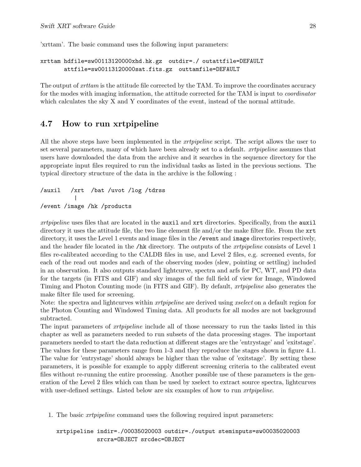'xrttam'. The basic command uses the following input parameters:

```
xrttam hdfile=sw00113120000xhd.hk.gz outdir=./ outattfile=DEFAULT
attfile=sw00113120000sat.fits.gz outtamfile=DEFAULT
```
The output of *xrttam* is the attitude file corrected by the TAM. To improve the coordinates accuracy for the modes with imaging information, the attitude corrected for the TAM is input to coordinator which calculates the sky X and Y coordinates of the event, instead of the normal attitude.

#### 4.7 How to run xrtpipeline

All the above steps have been implemented in the *xrtpipeline* script. The script allows the user to set several parameters, many of which have been already set to a default. xrtpipeline assumes that users have downloaded the data from the archive and it searches in the sequence directory for the appropriate input files required to run the individual tasks as listed in the previous sections. The typical directory structure of the data in the archive is the following :

/auxil /xrt /bat /uvot /log /tdrss | /event /image /hk /products

xrtpipeline uses files that are located in the auxil and xrt directories. Specifically, from the auxil directory it uses the attitude file, the two line element file and/or the make filter file. From the xrt directory, it uses the Level 1 events and image files in the /event and image directories respectively, and the header file located in the /hk directory. The outputs of the *xrtpipeline* consists of Level 1 files re-calibrated according to the CALDB files in use, and Level 2 files, e.g. screened events, for each of the read out modes and each of the observing modes (slew, pointing or settling) included in an observation. It also outputs standard lightcurve, spectra and arfs for PC, WT, and PD data for the targets (in FITS and GIF) and sky images of the full field of view for Image, Windowed Timing and Photon Counting mode (in FITS and GIF). By default, xrtpipeline also generates the make filter file used for screening.

Note: the spectra and lightcurves within *xrtpipeline* are derived using *xselect* on a default region for the Photon Counting and Windowed Timing data. All products for all modes are not background subtracted.

The input parameters of *xrtpipeline* include all of those necessary to run the tasks listed in this chapter as well as parameters needed to run subsets of the data processing stages. The important parameters needed to start the data reduction at different stages are the 'entrystage' and 'exitstage'. The values for these parameters range from 1-3 and they reproduce the stages shown in figure 4.1. The value for 'entrystage' should always be higher than the value of 'exitstage'. By setting these parameters, it is possible for example to apply different screening criteria to the calibrated event files without re-running the entire processing. Another possible use of these parameters is the generation of the Level 2 files which can than be used by xselect to extract source spectra, lightcurves with user-defined settings. Listed below are six examples of how to run *xrtpipeline*.

1. The basic xrtpipeline command uses the following required input parameters:

xrtpipeline indir=./00035020003 outdir=./output steminputs=sw00035020003 srcra=OBJECT srcdec=OBJECT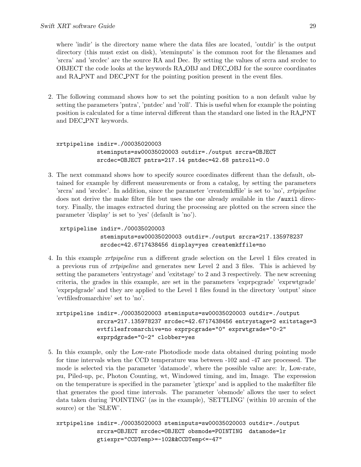where 'indir' is the directory name where the data files are located, 'outdir' is the output directory (this must exist on disk), 'steminputs' is the common root for the filenames and 'srcra' and 'srcdec' are the source RA and Dec. By setting the values of srcra and srcdec to OBJECT the code looks at the keywords RA OBJ and DEC OBJ for the source coordinates and RA PNT and DEC PNT for the pointing position present in the event files.

2. The following command shows how to set the pointing position to a non default value by setting the parameters 'pntra', 'pntdec' and 'roll'. This is useful when for example the pointing position is calculated for a time interval different than the standard one listed in the RA PNT and DEC PNT keywords.

```
xrtpipeline indir=./00035020003
     steminputs=sw00035020003 outdir=./output srcra=OBJECT
     srcdec=OBJECT pntra=217.14 pntdec=42.68 pntroll=0.0
```
3. The next command shows how to specify source coordinates different than the default, obtained for example by different measurements or from a catalog, by setting the parameters 'srcra' and 'srcdec'. In addition, since the parameter 'createmkffile' is set to 'no', xrtpipeline does not derive the make filter file but uses the one already available in the /auxil directory. Finally, the images extracted during the processing are plotted on the screen since the parameter 'display' is set to 'yes' (default is 'no').

```
xrtpipeline indir=./00035020003
     steminputs=sw00035020003 outdir=./output srcra=217.135978237
     srcdec=42.6717438456 display=yes createmkffile=no
```
4. In this example xrtpipeline run a different grade selection on the Level 1 files created in a previous run of xrtpipeline and generates new Level 2 and 3 files. This is achieved by setting the parameters 'entrystage' and 'exitstage' to 2 and 3 respectively. The new screening criteria, the grades in this example, are set in the parameters 'exprpcgrade' 'exprwtgrade' 'exprpdgrade' and they are applied to the Level 1 files found in the directory 'output' since 'evtfilesfromarchive' set to 'no'.

```
xrtpipeline indir=./00035020003 steminputs=sw00035020003 outdir=./output
     srcra=217.135978237 srcdec=42.6717438456 entrystage=2 exitstage=3
     evtfilesfromarchive=no exprpcgrade="0" exprwtgrade="0-2"
     exprpdgrade="0-2" clobber=yes
```
5. In this example, only the Low-rate Photodiode mode data obtained during pointing mode for time intervals when the CCD temperature was between -102 and -47 are processed. The mode is selected via the parameter 'datamode', where the possible value are: lr, Low-rate, pu, Piled-up, pc, Photon Counting, wt, Windowed timing, and im, Image. The expression on the temperature is specified in the parameter 'gtiexpr' and is applied to the makefilter file that generates the good time intervals. The parameter 'obsmode' allows the user to select data taken during 'POINTING' (as in the example), 'SETTLING' (within 10 arcmin of the source) or the 'SLEW'.

xrtpipeline indir=./00035020003 steminputs=sw00035020003 outdir=./output srcra=OBJECT srcdec=OBJECT obsmode=POINTING datamode=lr gtiexpr="CCDTemp>=-102&&CCDTemp<=-47"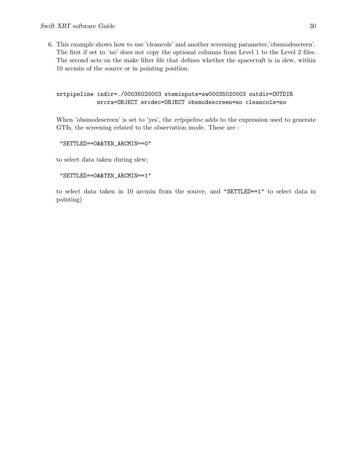6. This example shows how to use 'cleancols' and another screening parameter,'obsmodescreen'. The first if set to 'no' does not copy the optional columns from Level 1 to the Level 2 files. The second acts on the make filter file that defines whether the spacecraft is in slew, within 10 arcmin of the source or in pointing position.

#### xrtpipeline indir=./00035020003 steminputs=sw00035020003 outdir=OUTDIR srcra=OBJECT srcdec=OBJECT obsmodescreen=no cleancols=no

When 'obsmodescreen' is set to 'yes', the *xrtpipeline* adds to the expression used to generate GTIs, the screening related to the observation mode. These are :

"SETTLED==0&&TEN\_ARCMIN==0"

to select data taken during slew;

```
"SETTLED==0&&TEN_ARCMIN==1"
```
to select data taken in 10 arcmin from the source, and "SETTLED==1" to select data in pointing)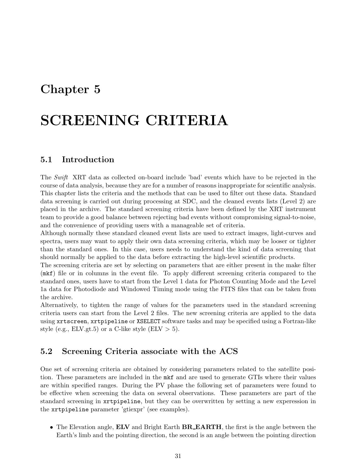## Chapter 5

# SCREENING CRITERIA

## 5.1 Introduction

The Swift XRT data as collected on-board include 'bad' events which have to be rejected in the course of data analysis, because they are for a number of reasons inappropriate for scientific analysis. This chapter lists the criteria and the methods that can be used to filter out these data. Standard data screening is carried out during processing at SDC, and the cleaned events lists (Level 2) are placed in the archive. The standard screening criteria have been defined by the XRT instrument team to provide a good balance between rejecting bad events without compromising signal-to-noise, and the convenience of providing users with a manageable set of criteria.

Although normally these standard cleaned event lists are used to extract images, light-curves and spectra, users may want to apply their own data screening criteria, which may be looser or tighter than the standard ones. In this case, users needs to understand the kind of data screening that should normally be applied to the data before extracting the high-level scientific products.

The screening criteria are set by selecting on parameters that are either present in the make filter (mkf) file or in columns in the event file. To apply different screening criteria compared to the standard ones, users have to start from the Level 1 data for Photon Counting Mode and the Level 1a data for Photodiode and Windowed Timing mode using the FITS files that can be taken from the archive.

Alternatively, to tighten the range of values for the parameters used in the standard screening criteria users can start from the Level 2 files. The new screening criteria are applied to the data using xrtscreen, xrtpipeline or XSELECT software tasks and may be specified using a Fortran-like style (e.g., ELV.gt.5) or a C-like style (ELV  $> 5$ ).

## 5.2 Screening Criteria associate with the ACS

One set of screening criteria are obtained by considering parameters related to the satellite position. These parameters are included in the mkf and are used to generate GTIs where their values are within specified ranges. During the PV phase the following set of parameters were found to be effective when screening the data on several observations. These parameters are part of the standard screening in xrtpipeline, but they can be overwritten by setting a new experession in the xrtpipeline parameter 'gtiexpr' (see examples).

• The Elevation angle, **ELV** and Bright Earth **BR\_EARTH**, the first is the angle between the Earth's limb and the pointing direction, the second is an angle between the pointing direction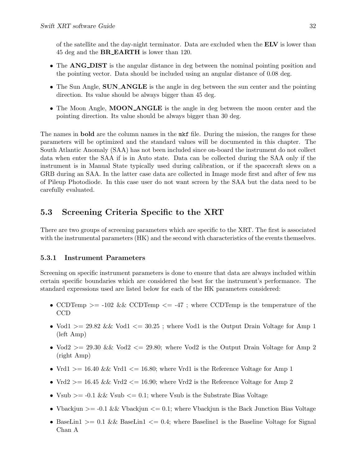of the satellite and the day-night terminator. Data are excluded when the ELV is lower than 45 deg and the **BR\_EARTH** is lower than 120.

- The ANG DIST is the angular distance in deg between the nominal pointing position and the pointing vector. Data should be included using an angular distance of 0.08 deg.
- The Sun Angle, **SUN\_ANGLE** is the angle in deg between the sun center and the pointing direction. Its value should be always bigger than 45 deg.
- The Moon Angle, **MOON\_ANGLE** is the angle in deg between the moon center and the pointing direction. Its value should be always bigger than 30 deg.

The names in **bold** are the column names in the most file. During the mission, the ranges for these parameters will be optimized and the standard values will be documented in this chapter. The South Atlantic Anomaly (SAA) has not been included since on-board the instrument do not collect data when enter the SAA if is in Auto state. Data can be collected during the SAA only if the instrument is in Manual State typically used during calibration, or if the spacecraft slews on a GRB during an SAA. In the latter case data are collected in Image mode first and after of few ms of Pileup Photodiode. In this case user do not want screen by the SAA but the data need to be carefully evaluated.

## 5.3 Screening Criteria Specific to the XRT

There are two groups of screening parameters which are specific to the XRT. The first is associated with the instrumental parameters  $(HK)$  and the second with characteristics of the events themselves.

### 5.3.1 Instrument Parameters

Screening on specific instrument parameters is done to ensure that data are always included within certain specific boundaries which are considered the best for the instrument's performance. The standard expressions used are listed below for each of the HK parameters considered:

- CCDTemp  $>= -102 \&\&CCDTemp \le -47$ ; where CCDTemp is the temperature of the CCD
- Vod1 > = 29.82 & Vod1  $\leq$  30.25; where Vod1 is the Output Drain Voltage for Amp 1 (left Amp)
- Vod2 > = 29.30 & Vod2  $\leq$  29.80; where Vod2 is the Output Drain Voltage for Amp 2 (right Amp)
- Vrd1 > = 16.40 && Vrd1 < = 16.80; where Vrd1 is the Reference Voltage for Amp 1
- Vrd2 > = 16.45 && Vrd2 < = 16.90; where Vrd2 is the Reference Voltage for Amp 2
- Vsub  $>= -0.1$  & Vsub  $<= 0.1$ ; where Vsub is the Substrate Bias Voltage
- Vbackjun  $\ge$  = -0.1 & Vbackjun  $\le$  = 0.1; where Vbackjun is the Back Junction Bias Voltage
- BaseLin1 > = 0.1 & BaseLin1 < = 0.4; where Baseline1 is the Baseline Voltage for Signal Chan A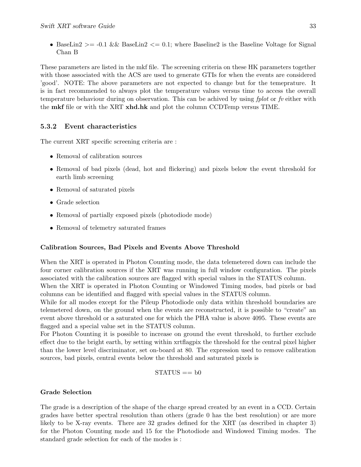• BaseLin2  $> = 0.1$  & BaseLin2  $\lt = 0.1$ ; where Baseline 2 is the Baseline Voltage for Signal Chan B

These parameters are listed in the mkf file. The screening criteria on these HK parameters together with those associated with the ACS are used to generate GTIs for when the events are considered 'good'. NOTE: The above parameters are not expected to change but for the temeprature. It is in fact recommended to always plot the temperature values versus time to access the overall temperature behaviour during on observation. This can be achived by using fplot or fv either with the **mkf** file or with the XRT **xhd.hk** and plot the column CCDTemp versus TIME.

### 5.3.2 Event characteristics

The current XRT specific screening criteria are :

- Removal of calibration sources
- Removal of bad pixels (dead, hot and flickering) and pixels below the event threshold for earth limb screening
- Removal of saturated pixels
- Grade selection
- Removal of partially exposed pixels (photodiode mode)
- Removal of telemetry saturated frames

#### Calibration Sources, Bad Pixels and Events Above Threshold

When the XRT is operated in Photon Counting mode, the data telemetered down can include the four corner calibration sources if the XRT was running in full window configuration. The pixels associated with the calibration sources are flagged with special values in the STATUS column.

When the XRT is operated in Photon Counting or Windowed Timing modes, bad pixels or bad columns can be identified and flagged with special values in the STATUS column.

While for all modes except for the Pileup Photodiode only data within threshold boundaries are telemetered down, on the ground when the events are reconstructed, it is possible to "create" an event above threshold or a saturated one for which the PHA value is above 4095. These events are flagged and a special value set in the STATUS column.

For Photon Counting it is possible to increase on ground the event threshold, to further exclude effect due to the bright earth, by setting within xrtflagpix the threshold for the central pixel higher than the lower level discriminator, set on-board at 80. The expression used to remove calibration sources, bad pixels, central events below the threshold and saturated pixels is

 $STATUS == b0$ 

### Grade Selection

The grade is a description of the shape of the charge spread created by an event in a CCD. Certain grades have better spectral resolution than others (grade 0 has the best resolution) or are more likely to be X-ray events. There are 32 grades defined for the XRT (as described in chapter 3) for the Photon Counting mode and 15 for the Photodiode and Windowed Timing modes. The standard grade selection for each of the modes is :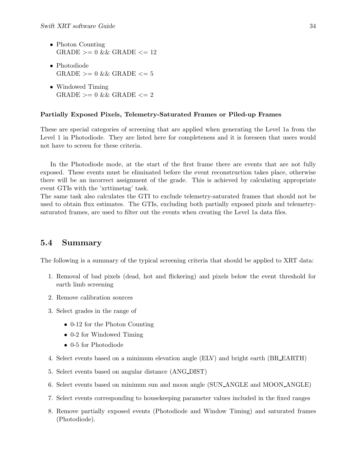- Photon Counting  $GRADE \ge 0$  & GRADE  $\le 12$
- Photodiode  $GRADE \geq 0$  & GRADE  $\leq 5$
- Windowed Timing  $GRADE \geq 0$  &&  $GRADE \leq 2$

#### Partially Exposed Pixels, Telemetry-Saturated Frames or Piled-up Frames

These are special categories of screening that are applied when generating the Level 1a from the Level 1 in Photodiode. They are listed here for completeness and it is foreseen that users would not have to screen for these criteria.

In the Photodiode mode, at the start of the first frame there are events that are not fully exposed. These events must be eliminated before the event reconstruction takes place, otherwise there will be an incorrect assignment of the grade. This is achieved by calculating appropriate event GTIs with the 'xrttimetag' task.

The same task also calculates the GTI to exclude telemetry-saturated frames that should not be used to obtain flux estimates. The GTIs, excluding both partially exposed pixels and telemetrysaturated frames, are used to filter out the events when creating the Level 1a data files.

## 5.4 Summary

The following is a summary of the typical screening criteria that should be applied to XRT data:

- 1. Removal of bad pixels (dead, hot and flickering) and pixels below the event threshold for earth limb screening
- 2. Remove calibration sources
- 3. Select grades in the range of
	- 0-12 for the Photon Counting
	- 0-2 for Windowed Timing
	- 0-5 for Photodiode
- 4. Select events based on a minimum elevation angle (ELV) and bright earth (BR EARTH)
- 5. Select events based on angular distance (ANG DIST)
- 6. Select events based on minimun sun and moon angle (SUN ANGLE and MOON ANGLE)
- 7. Select events corresponding to housekeeping parameter values included in the fixed ranges
- 8. Remove partially exposed events (Photodiode and Window Timing) and saturated frames (Photodiode).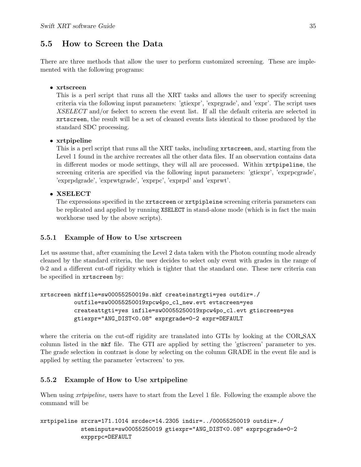## 5.5 How to Screen the Data

There are three methods that allow the user to perform customized screening. These are implemented with the following programs:

### • xrtscreen

This is a perl script that runs all the XRT tasks and allows the user to specify screening criteria via the following input parameters: 'gtiexpr', 'exprgrade', and 'expr'. The script uses XSELECT and/or fselect to screen the event list. If all the default criteria are selected in xrtscreen, the result will be a set of cleaned events lists identical to those produced by the standard SDC processing.

### • xrtpipeline

This is a perl script that runs all the XRT tasks, including xrtscreen, and, starting from the Level 1 found in the archive recreates all the other data files. If an observation contains data in different modes or mode settings, they will all are processed. Within xrtpipeline, the screening criteria are specified via the following input parameters: 'gtiexpr', 'exprpcgrade', 'exprpdgrade', 'exprwtgrade', 'exprpc', 'exprpd' and 'exprwt'.

### • XSELECT

The expressions specified in the xrtscreen or xrtpipleine screening criteria parameters can be replicated and applied by running XSELECT in stand-alone mode (which is in fact the main workhorse used by the above scripts).

### 5.5.1 Example of How to Use xrtscreen

Let us assume that, after examining the Level 2 data taken with the Photon counting mode already cleaned by the standard criteria, the user decides to select only event with grades in the range of 0-2 and a different cut-off rigidity which is tighter that the standard one. These new criteria can be specified in xrtscreen by:

```
xrtscreen mkffile=sw00055250019s.mkf createinstrgti=yes outdir=./
          outfile=sw00055250019xpcw4po_cl_new.evt evtscreen=yes
          createattgti=yes infile=sw00055250019xpcw4po_cl.evt gtiscreen=yes
          gtiexpr="ANG_DIST<0.08" exprgrade=0-2 expr=DEFAULT
```
where the criteria on the cut-off rigidity are translated into GTIs by looking at the COR\_SAX column listed in the mkf file. The GTI are applied by setting the 'gtiscreen' parameter to yes. The grade selection in contrast is done by selecting on the column GRADE in the event file and is applied by setting the parameter 'evtscreen' to yes.

### 5.5.2 Example of How to Use xrtpipeline

When using *xrtpipeline*, users have to start from the Level 1 file. Following the example above the command will be

```
xrtpipeline srcra=171.1014 srcdec=14.2305 indir=../00055250019 outdir=./
            steminputs=sw00055250019 gtiexpr="ANG_DIST<0.08" exprpcgrade=0-2
            expprpc=DEFAULT
```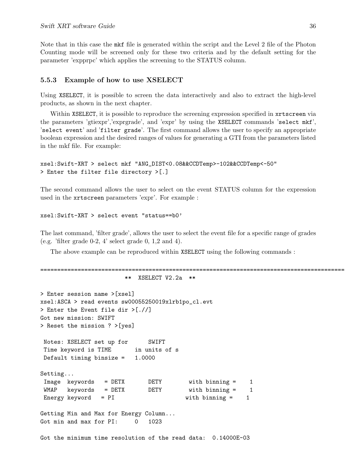Note that in this case the mkf file is generated within the script and the Level 2 file of the Photon Counting mode will be screened only for these two criteria and by the default setting for the parameter 'expprpc' which applies the screening to the STATUS column.

#### 5.5.3 Example of how to use XSELECT

Using XSELECT, it is possible to screen the data interactively and also to extract the high-level products, as shown in the next chapter.

Within XSELECT, it is possible to reproduce the screening expression specified in xrtscreen via the parameters 'gtiexpr','exprgrade', and 'expr' by using the XSELECT commands 'select mkf', 'select event' and 'filter grade'. The first command allows the user to specify an appropriate boolean expression and the desired ranges of values for generating a GTI from the parameters listed in the mkf file. For example:

```
xsel:Swift-XRT > select mkf "ANG_DIST<0.08&&CCDTemp>-102&&CCDTemp<-50"
> Enter the filter file directory >[.]
```
The second command allows the user to select on the event STATUS column for the expression used in the xrtscreen parameters 'expr'. For example :

```
xsel:Swift-XRT > select event "status==b0'
```
The last command, 'filter grade', allows the user to select the event file for a specific range of grades (e.g. 'filter grade  $0-2$ ,  $4$ ' select grade  $0, 1, 2$  and  $4$ ).

The above example can be reproduced within XSELECT using the following commands :

```
==========================================================================================
                      ** XSELECT V2.2a **
> Enter session name >[xsel]
xsel:ASCA > read events sw00055250019xlrb1po_cl.evt
> Enter the Event file dir >[.//]
Got new mission: SWIFT
> Reset the mission ? >[yes]
Notes: XSELECT set up for SWIFT
Time keyword is TIME in units of s
Default timing binsize = 1.0000
Setting...
Image keywords = DETX DETY with binning = 1
WMAP keywords = DETX DETY with binning = 1
Energy keyword = PI with binning = 1
Getting Min and Max for Energy Column...
Got min and max for PI: 0 1023
Got the minimum time resolution of the read data: 0.14000E-03
```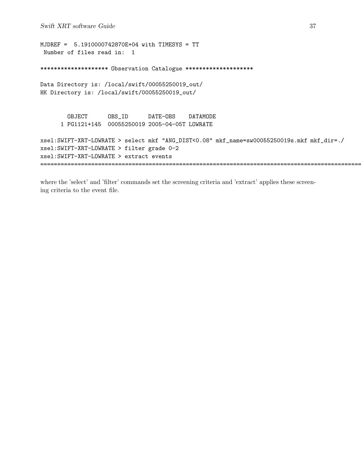```
MJDREF = 5.1910000742870E+04 with TIMESYS = TT
 Number of files read in: 1
******************** Observation Catalogue *********************
Data Directory is: /local/swift/00055250019_out/
HK Directory is: /local/swift/00055250019_out/
        OBJECT OBS_ID DATE-OBS DATAMODE
      1 PG1121+145 00055250019 2005-04-05T LOWRATE
xsel:SWIFT-XRT-LOWRATE > select mkf "ANG_DIST<0.08" mkf_name=sw00055250019s.mkf mkf_dir=./
xsel:SWIFT-XRT-LOWRATE > filter grade 0-2
xsel:SWIFT-XRT-LOWRATE > extract events
=================================================================================================
```
where the 'select' and 'filter' commands set the screening criteria and 'extract' applies these screening criteria to the event file.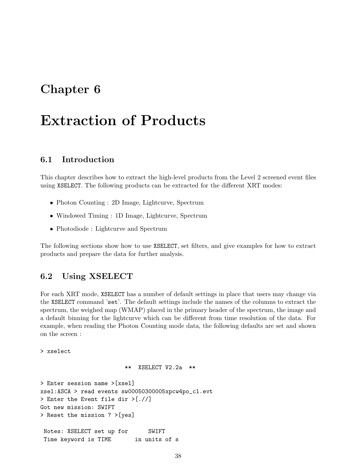## Chapter 6

# Extraction of Products

## 6.1 Introduction

This chapter describes how to extract the high-level products from the Level 2 screened event files using XSELECT. The following products can be extracted for the different XRT modes:

- Photon Counting : 2D Image, Lightcurve, Spectrum
- Windowed Timing : 1D Image, Lightcurve, Spectrum
- Photodiode : Lightcurve and Spectrum

The following sections show how to use XSELECT, set filters, and give examples for how to extract products and prepare the data for further analysis.

## 6.2 Using XSELECT

For each XRT mode, XSELECT has a number of default settings in place that users may change via the XSELECT command 'set'. The default settings include the names of the columns to extract the spectrum, the weighed map (WMAP) placed in the primary header of the spectrum, the image and a default binning for the lightcurve which can be different from time resolution of the data. For example, when reading the Photon Counting mode data, the following defaults are set and shown on the screen :

> xselect

\*\* XSELECT V2.2a \*\*

```
> Enter session name >[xsel]
xsel:ASCA > read events sw00050300005xpcw4po_cl.evt
> Enter the Event file dir >[.//]
Got new mission: SWIFT
> Reset the mission ? >[yes]
Notes: XSELECT set up for SWIFT
 Time keyword is TIME in units of s
```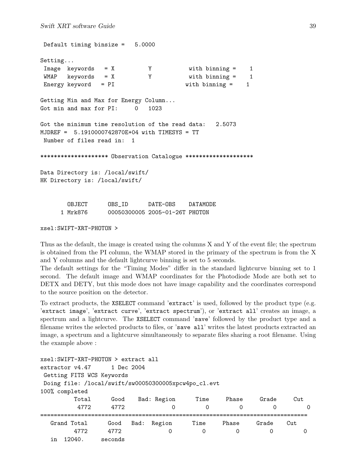Default timing binsize = 5.0000 Setting... Image keywords = X Y with binning = 1 WMAP keywords = X Y with binning = 1 Energy keyword = PI with binning = 1 Getting Min and Max for Energy Column... Got min and max for PI: 0 1023 Got the minimum time resolution of the read data: 2.5073 MJDREF = 5.1910000742870E+04 with TIMESYS = TT Number of files read in: 1 \*\*\*\*\*\*\*\*\*\*\*\*\*\*\*\*\*\*\*\* Observation Catalogue \*\*\*\*\*\*\*\*\*\*\*\*\*\*\*\*\*\*\*\* Data Directory is: /local/swift/ HK Directory is: /local/swift/ OBJECT OBS\_ID DATE-OBS DATAMODE 1 Mrk876 00050300005 2005-01-26T PHOTON

xsel:SWIFT-XRT-PHOTON >

Thus as the default, the image is created using the columns X and Y of the event file; the spectrum is obtained from the PI column, the WMAP stored in the primary of the spectrum is from the X and Y columns and the default lightcurve binning is set to 5 seconds.

The default settings for the "Timing Modes" differ in the standard lightcurve binning set to 1 second. The default image and WMAP coordinates for the Photodiode Mode are both set to DETX and DETY, but this mode does not have image capability and the coordinates correspond to the source position on the detector.

To extract products, the XSELECT command 'extract' is used, followed by the product type (e.g. 'extract image', 'extract curve', 'extract spectrum'), or 'extract all' creates an image, a spectrum and a lightcurve. The XSELECT command 'save' followed by the product type and a filename writes the selected products to files, or 'save all' writes the latest products extracted an image, a spectrum and a lightcurve simultaneously to separate files sharing a root filename. Using the example above :

| xsel: SWIFT-XRT-PHOTON > extract all                 |         |      |             |      |       |       |          |
|------------------------------------------------------|---------|------|-------------|------|-------|-------|----------|
| $extraction v4.47$ 1 Dec 2004                        |         |      |             |      |       |       |          |
| Getting FITS WCS Keywords                            |         |      |             |      |       |       |          |
| Doing file: /local/swift/sw00050300005xpcw4po_cl.evt |         |      |             |      |       |       |          |
| 100% completed                                       |         |      |             |      |       |       |          |
| Total                                                | Good    |      | Bad: Region | Time | Phase | Grade | Cut      |
| 4772                                                 | 4772    |      |             | 0    | Ω     | 0     | $\Omega$ |
| Grand Total                                          | Good    | Bad: | Region      | Time | Phase | Grade | Cut      |
| 4772                                                 | 4772    |      | O           | 0    | 0     | 0     | Ω        |
| 12040.<br>in                                         | seconds |      |             |      |       |       |          |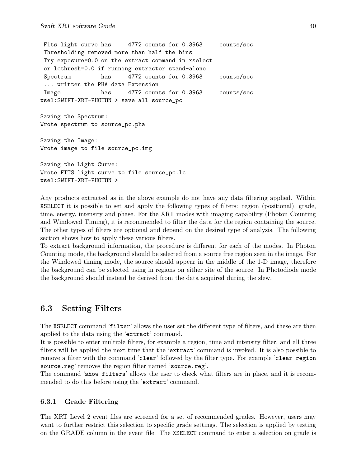Fits light curve has 4772 counts for 0.3963 counts/sec Thresholding removed more than half the bins Try exposure=0.0 on the extract command in xselect or lcthresh=0.0 if running extractor stand-alone Spectrum has 4772 counts for 0.3963 counts/sec ... written the PHA data Extension Image has 4772 counts for 0.3963 counts/sec xsel:SWIFT-XRT-PHOTON > save all source\_pc Saving the Spectrum: Wrote spectrum to source\_pc.pha Saving the Image: Wrote image to file source\_pc.img

```
Saving the Light Curve:
Wrote FITS light curve to file source_pc.lc
xsel:SWIFT-XRT-PHOTON >
```
Any products extracted as in the above example do not have any data filtering applied. Within XSELECT it is possible to set and apply the following types of filters: region (positional), grade, time, energy, intensity and phase. For the XRT modes with imaging capability (Photon Counting and Windowed Timing), it is recommended to filter the data for the region containing the source. The other types of filters are optional and depend on the desired type of analysis. The following section shows how to apply these various filters.

To extract background information, the procedure is different for each of the modes. In Photon Counting mode, the background should be selected from a source free region seen in the image. For the Windowed timing mode, the source should appear in the middle of the 1-D image, therefore the background can be selected using in regions on either site of the source. In Photodiode mode the background should instead be derived from the data acquired during the slew.

## 6.3 Setting Filters

The XSELECT command 'filter' allows the user set the different type of filters, and these are then applied to the data using the 'extract' command.

It is possible to enter multiple filters, for example a region, time and intensity filter, and all three filters will be applied the next time that the 'extract' command is invoked. It is also possible to remove a filter with the command 'clear' followed by the filter type. For example 'clear region source.reg' removes the region filter named 'source.reg'.

The command 'show filters' allows the user to check what filters are in place, and it is recommended to do this before using the 'extract' command.

### 6.3.1 Grade Filtering

The XRT Level 2 event files are screened for a set of recommended grades. However, users may want to further restrict this selection to specific grade settings. The selection is applied by testing on the GRADE column in the event file. The XSELECT command to enter a selection on grade is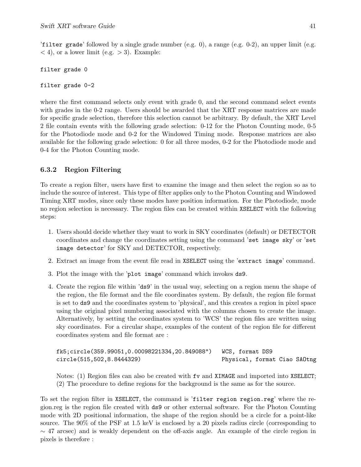'filter grade' followed by a single grade number  $(e.g. 0)$ , a range  $(e.g. 0-2)$ , an upper limit  $(e.g. 0)$  $<$  4), or a lower limit (e.g.  $>$  3). Example:

```
filter grade 0
```
filter grade 0-2

where the first command selects only event with grade 0, and the second command select events with grades in the 0-2 range. Users should be awarded that the XRT response matrices are made for specific grade selection, therefore this selection cannot be arbitrary. By default, the XRT Level 2 file contain events with the following grade selection: 0-12 for the Photon Counting mode, 0-5 for the Photodiode mode and 0-2 for the Windowed Timing mode. Response matrices are also available for the following grade selection: 0 for all three modes, 0-2 for the Photodiode mode and 0-4 for the Photon Counting mode.

## 6.3.2 Region Filtering

To create a region filter, users have first to examine the image and then select the region so as to include the source of interest. This type of filter applies only to the Photon Counting and Windowed Timing XRT modes, since only these modes have position information. For the Photodiode, mode no region selection is necessary. The region files can be created within XSELECT with the following steps:

- 1. Users should decide whether they want to work in SKY coordinates (default) or DETECTOR coordinates and change the coordinates setting using the command 'set image sky' or 'set image detector' for SKY and DETECTOR, respectively.
- 2. Extract an image from the event file read in XSELECT using the 'extract image' command.
- 3. Plot the image with the 'plot image' command which invokes ds9.
- 4. Create the region file within 'ds9' in the usual way, selecting on a region menu the shape of the region, the file format and the file coordinates system. By default, the region file format is set to ds9 and the coordinates system to 'physical', and this creates a region in pixel space using the original pixel numbering associated with the columns chosen to create the image. Alternatively, by setting the coordinates system to 'WCS' the region files are written using sky coordinates. For a circular shape, examples of the content of the region file for different coordinates system and file format are :

| fk5;circle(359.99051,0.00098221334,20.849088") | WCS. format DS9              |  |  |
|------------------------------------------------|------------------------------|--|--|
| circle(515,502,8.8444329)                      | Physical, format Ciao SAOtng |  |  |

Notes: (1) Region files can also be created with fv and XIMAGE and imported into XSELECT; (2) The procedure to define regions for the background is the same as for the source.

To set the region filter in XSELECT, the command is 'filter region region.reg' where the region.reg is the region file created with ds9 or other external software. For the Photon Counting mode with 2D positional information, the shape of the region should be a circle for a point-like source. The 90% of the PSF at 1.5 keV is enclosed by a 20 pixels radius circle (corresponding to  $\sim$  47 arcsec) and is weakly dependent on the off-axis angle. An example of the circle region in pixels is therefore :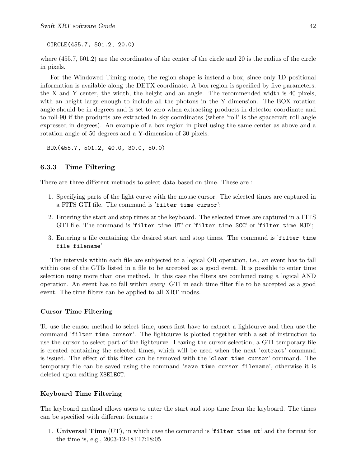CIRCLE(455.7, 501.2, 20.0)

where (455.7, 501.2) are the coordinates of the center of the circle and 20 is the radius of the circle in pixels.

For the Windowed Timing mode, the region shape is instead a box, since only 1D positional information is available along the DETX coordinate. A box region is specified by five parameters: the X and Y center, the width, the height and an angle. The recommended width is 40 pixels, with an height large enough to include all the photons in the Y dimension. The BOX rotation angle should be in degrees and is set to zero when extracting products in detector coordinate and to roll-90 if the products are extracted in sky coordinates (where 'roll' is the spacecraft roll angle expressed in degrees). An example of a box region in pixel using the same center as above and a rotation angle of 50 degrees and a Y-dimension of 30 pixels.

```
BOX(455.7, 501.2, 40.0, 30.0, 50.0)
```
### 6.3.3 Time Filtering

There are three different methods to select data based on time. These are :

- 1. Specifying parts of the light curve with the mouse cursor. The selected times are captured in a FITS GTI file. The command is 'filter time cursor';
- 2. Entering the start and stop times at the keyboard. The selected times are captured in a FITS GTI file. The command is 'filter time UT' or 'filter time SCC' or 'filter time MJD';
- 3. Entering a file containing the desired start and stop times. The command is 'filter time file filename'

The intervals within each file are subjected to a logical OR operation, i.e., an event has to fall within one of the GTIs listed in a file to be accepted as a good event. It is possible to enter time selection using more than one method. In this case the filters are combined using a logical AND operation. An event has to fall within every GTI in each time filter file to be accepted as a good event. The time filters can be applied to all XRT modes.

### Cursor Time Filtering

To use the cursor method to select time, users first have to extract a lightcurve and then use the command 'filter time cursor'. The lightcurve is plotted together with a set of instruction to use the cursor to select part of the lightcurve. Leaving the cursor selection, a GTI temporary file is created containing the selected times, which will be used when the next 'extract' command is issued. The effect of this filter can be removed with the 'clear time cursor' command. The temporary file can be saved using the command 'save time cursor filename', otherwise it is deleted upon exiting XSELECT.

### Keyboard Time Filtering

The keyboard method allows users to enter the start and stop time from the keyboard. The times can be specified with different formats :

1. Universal Time (UT), in which case the command is 'filter time ut' and the format for the time is, e.g., 2003-12-18T17:18:05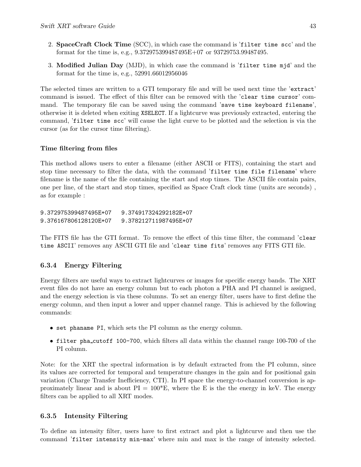- 2. SpaceCraft Clock Time (SCC), in which case the command is 'filter time scc' and the format for the time is, e.g., 9.372975399487495E+07 or 93729753.99487495.
- 3. Modified Julian Day (MJD), in which case the command is 'filter time mjd' and the format for the time is, e.g., 52991.66012956046

The selected times are written to a GTI temporary file and will be used next time the 'extract' command is issued. The effect of this filter can be removed with the 'clear time cursor' command. The temporary file can be saved using the command 'save time keyboard filename', otherwise it is deleted when exiting XSELECT. If a lightcurve was previously extracted, entering the command, 'filter time scc' will cause the light curve to be plotted and the selection is via the cursor (as for the cursor time filtering).

### Time filtering from files

This method allows users to enter a filename (either ASCII or FITS), containing the start and stop time necessary to filter the data, with the command 'filter time file filename' where filename is the name of the file containing the start and stop times. The ASCII file contain pairs, one per line, of the start and stop times, specified as Space Craft clock time (units are seconds) , as for example :

9.372975399487495E+07 9.374917324292182E+07 9.376167806128120E+07 9.378212711987495E+07

The FITS file has the GTI format. To remove the effect of this time filter, the command 'clear time ASCII' removes any ASCII GTI file and 'clear time fits' removes any FITS GTI file.

### 6.3.4 Energy Filtering

Energy filters are useful ways to extract lightcurves or images for specific energy bands. The XRT event files do not have an energy column but to each photon a PHA and PI channel is assigned, and the energy selection is via these columns. To set an energy filter, users have to first define the energy column, and then input a lower and upper channel range. This is achieved by the following commands:

- set phaname PI, which sets the PI column as the energy column.
- filter pha\_cutoff 100-700, which filters all data within the channel range 100-700 of the PI column.

Note: for the XRT the spectral information is by default extracted from the PI column, since its values are corrected for temporal and temperature changes in the gain and for positional gain variation (Charge Transfer Inefficiency, CTI). In PI space the energy-to-channel conversion is approximately linear and is about  $PI = 100*E$ , where the E is the the energy in keV. The energy filters can be applied to all XRT modes.

### 6.3.5 Intensity Filtering

To define an intensity filter, users have to first extract and plot a lightcurve and then use the command 'filter intensity min-max' where min and max is the range of intensity selected.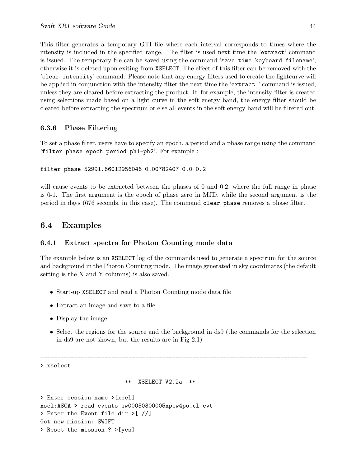This filter generates a temporary GTI file where each interval corresponds to times where the intensity is included in the specified range. The filter is used next time the 'extract' command is issued. The temporary file can be saved using the command 'save time keyboard filename', otherwise it is deleted upon exiting from XSELECT. The effect of this filter can be removed with the 'clear intensity' command. Please note that any energy filters used to create the lightcurve will be applied in conjunction with the intensity filter the next time the 'extract ' command is issued, unless they are cleared before extracting the product. If, for example, the intensity filter is created using selections made based on a light curve in the soft energy band, the energy filter should be cleared before extracting the spectrum or else all events in the soft energy band will be filtered out.

### 6.3.6 Phase Filtering

To set a phase filter, users have to specify an epoch, a period and a phase range using the command 'filter phase epoch period ph1-ph2'. For example :

filter phase 52991.66012956046 0.00782407 0.0-0.2

will cause events to be extracted between the phases of 0 and 0.2, where the full range in phase is 0-1. The first argument is the epoch of phase zero in MJD, while the second argument is the period in days (676 seconds, in this case). The command clear phase removes a phase filter.

## 6.4 Examples

### 6.4.1 Extract spectra for Photon Counting mode data

The example below is an XSELECT log of the commands used to generate a spectrum for the source and background in the Photon Counting mode. The image generated in sky coordinates (the default setting is the X and Y columns) is also saved.

- Start-up XSELECT and read a Photon Counting mode data file
- Extract an image and save to a file
- Display the image
- Select the regions for the source and the background in ds9 (the commands for the selection in ds9 are not shown, but the results are in Fig 2.1)

===============================================================================

> xselect

\*\* XSELECT V2.2a \*\*

> Enter session name >[xsel] xsel:ASCA > read events sw00050300005xpcw4po\_cl.evt > Enter the Event file dir >[.//] Got new mission: SWIFT > Reset the mission ? >[yes]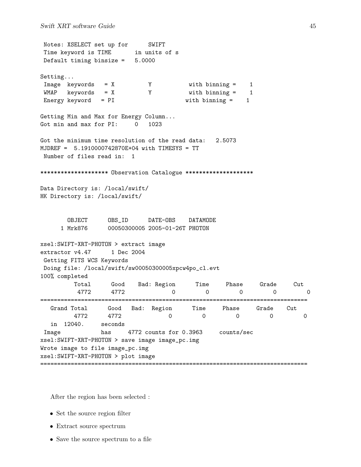Notes: XSELECT set up for SWIFT Time keyword is TIME in units of s Default timing binsize = 5.0000 Setting... Image keywords = X Y with binning = 1 WMAP keywords = X Y with binning = 1 Energy keyword = PI with binning = 1 Getting Min and Max for Energy Column... Got min and max for PI: 0 1023 Got the minimum time resolution of the read data: 2.5073 MJDREF = 5.1910000742870E+04 with TIMESYS = TT Number of files read in: 1 \*\*\*\*\*\*\*\*\*\*\*\*\*\*\*\*\*\*\*\* Observation Catalogue \*\*\*\*\*\*\*\*\*\*\*\*\*\*\*\*\*\*\*\* Data Directory is: /local/swift/ HK Directory is: /local/swift/ OBJECT OBS\_ID DATE-OBS DATAMODE 1 Mrk876 00050300005 2005-01-26T PHOTON xsel:SWIFT-XRT-PHOTON > extract image extractor v4.47 1 Dec 2004 Getting FITS WCS Keywords Doing file: /local/swift/sw00050300005xpcw4po\_cl.evt 100% completed Total Good Bad: Region Time Phase Grade Cut 4772 4772 0 0 0 0 0 =============================================================================== Grand Total Good Bad: Region Time Phase Grade Cut 4772 4772 0 0 0 0 0 in 12040. seconds Image has 4772 counts for 0.3963 counts/sec xsel:SWIFT-XRT-PHOTON > save image image\_pc.img Wrote image to file image\_pc.img xsel:SWIFT-XRT-PHOTON > plot image ===============================================================================

After the region has been selected :

- Set the source region filter
- Extract source spectrum
- Save the source spectrum to a file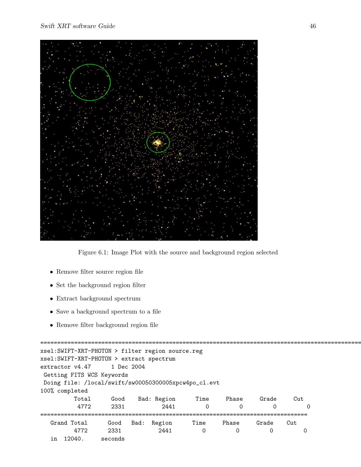

Figure 6.1: Image Plot with the source and background region selected

- Remove filter source region file
- Set the background region filter
- Extract background spectrum
- Save a background spectrum to a file
- $\bullet\,$  Remove filter background region file

================================================================================================= xsel:SWIFT-XRT-PHOTON > filter region source.reg xsel:SWIFT-XRT-PHOTON > extract spectrum extractor v4.47 1 Dec 2004 Getting FITS WCS Keywords Doing file: /local/swift/sw00050300005xpcw4po\_cl.evt 100% completed Total Good Bad: Region Time Phase Grade Cut 4772 2331 2441 0 0 0 0 =============================================================================== Grand Total Good Bad: Region Time Phase Grade Cut 4772 2331 2441 0 0 0 0 in 12040. seconds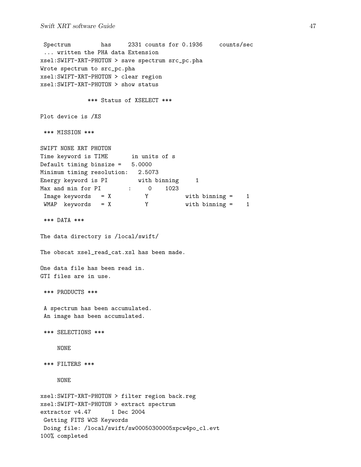#### Swift XRT software Guide 47

```
Spectrum has 2331 counts for 0.1936 counts/sec
 ... written the PHA data Extension
xsel:SWIFT-XRT-PHOTON > save spectrum src_pc.pha
Wrote spectrum to src_pc.pha
xsel:SWIFT-XRT-PHOTON > clear region
xsel:SWIFT-XRT-PHOTON > show status
            *** Status of XSELECT ***
Plot device is /XS
*** MISSION ***
SWIFT NONE XRT PHOTON
Time keyword is TIME in units of s
Default timing binsize = 5.0000
Minimum timing resolution: 2.5073
Energy keyword is PI with binning 1
Max and min for PI : 0 1023
Image keywords = X Y with binning = 1
WMAP keywords = X Y with binning = 1
*** DATA ***
The data directory is /local/swift/
The obscat xsel_read_cat.xsl has been made.
One data file has been read in.
GTI files are in use.
*** PRODUCTS ***
A spectrum has been accumulated.
An image has been accumulated.
*** SELECTIONS ***
    NONE
*** FILTERS ***
    NONE
xsel:SWIFT-XRT-PHOTON > filter region back.reg
xsel:SWIFT-XRT-PHOTON > extract spectrum
extractor v4.47 1 Dec 2004
Getting FITS WCS Keywords
Doing file: /local/swift/sw00050300005xpcw4po_cl.evt
100% completed
```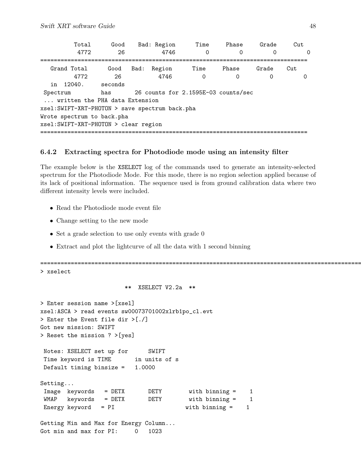|                                                 | Total | Good        |      | Bad: Region    | Time                                | Phase      | Grade      | Cut             |
|-------------------------------------------------|-------|-------------|------|----------------|-------------------------------------|------------|------------|-----------------|
|                                                 | 4772  | 26          |      | 4746           | 0                                   | Ω          | 0          | $\Omega$        |
| Grand Total                                     | 4772  | Good<br>-26 | Bad: | Region<br>4746 | Time<br>$\Omega$                    | Phase<br>0 | Grade<br>0 | Cut<br>$\Omega$ |
| 12040.<br>in                                    |       | seconds     |      |                |                                     |            |            |                 |
| Spectrum<br>written the PHA data Extension      |       | has         |      |                | 26 counts for 2.1595E-03 counts/sec |            |            |                 |
| xsel: SWIFT-XRT-PHOTON > save spectrum back.pha |       |             |      |                |                                     |            |            |                 |
| Wrote spectrum to back.pha                      |       |             |      |                |                                     |            |            |                 |
| xsel: SWIFT-XRT-PHOTON > clear region           |       |             |      |                |                                     |            |            |                 |
|                                                 |       |             |      |                |                                     |            |            |                 |

### 6.4.2 Extracting spectra for Photodiode mode using an intensity filter

The example below is the XSELECT log of the commands used to generate an intensity-selected spectrum for the Photodiode Mode. For this mode, there is no region selection applied because of its lack of positional information. The sequence used is from ground calibration data where two different intensity levels were included.

- Read the Photodiode mode event file
- Change setting to the new mode
- Set a grade selection to use only events with grade 0
- Extract and plot the lightcurve of all the data with 1 second binning

================================================================================================= > xselect \*\* XSELECT V2.2a \*\* > Enter session name >[xsel] xsel:ASCA > read events sw00073701002xlrb1po\_cl.evt > Enter the Event file dir >[./] Got new mission: SWIFT > Reset the mission ? >[yes] Notes: XSELECT set up for SWIFT Time keyword is TIME in units of s Default timing binsize = 1.0000 Setting... Image keywords = DETX DETY with binning = 1 WMAP keywords = DETX DETY with binning = 1 Energy keyword = PI with binning = 1 Getting Min and Max for Energy Column...

Got min and max for PI: 0 1023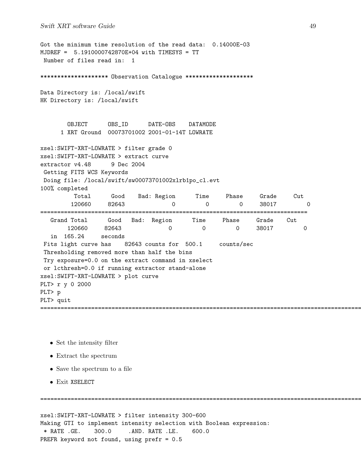Got the minimum time resolution of the read data: 0.14000E-03 MJDREF = 5.1910000742870E+04 with TIMESYS = TT Number of files read in: 1 \*\*\*\*\*\*\*\*\*\*\*\*\*\*\*\*\*\*\* Observation Catalogue \*\*\*\*\*\*\*\*\*\*\*\*\*\*\*\*\*\*\*\* Data Directory is: /local/swift HK Directory is: /local/swift OBJECT OBS\_ID DATE-OBS DATAMODE 1 XRT Ground 00073701002 2001-01-14T LOWRATE xsel:SWIFT-XRT-LOWRATE > filter grade 0 xsel:SWIFT-XRT-LOWRATE > extract curve  $extraction v4.48$  9 Dec 2004 Getting FITS WCS Keywords Doing file: /local/swift/sw00073701002xlrb1po\_cl.evt 100% completed Total Good Bad: Region Time Phase Grade Cut 120660 82643 0 0 0 38017 0 =============================================================================== Grand Total Good Bad: Region Time Phase Grade Cut 120660 82643 0 0 0 38017 0 in 165.24 seconds Fits light curve has 82643 counts for 500.1 counts/sec Thresholding removed more than half the bins Try exposure=0.0 on the extract command in xselect or lcthresh=0.0 if running extractor stand-alone xsel:SWIFT-XRT-LOWRATE > plot curve PLT> r y 0 2000 PLT> p PLT> quit =================================================================================================

- Set the intensity filter
- Extract the spectrum
- Save the spectrum to a file
- Exit XSELECT

```
xsel:SWIFT-XRT-LOWRATE > filter intensity 300-600
Making GTI to implement intensity selection with Boolean expression:
 * RATE .GE. 300.0 .AND. RATE .LE. 600.0
PREFR keyword not found, using prefr = 0.5
```
=================================================================================================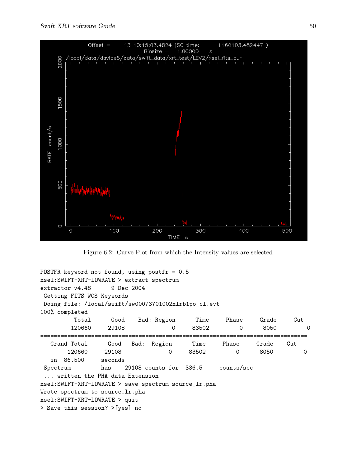

Figure 6.2: Curve Plot from which the Intensity values are selected

```
POSTFR keyword not found, using postfr = 0.5
xsel:SWIFT-XRT-LOWRATE > extract spectrum
extractor v4.48 9 Dec 2004
Getting FITS WCS Keywords
Doing file: /local/swift/sw00073701002xlrb1po_cl.evt
100% completed
        Total Good Bad: Region Time Phase Grade Cut
       120660 29108 0 83502 0 8050 0
===============================================================================
  Grand Total Good Bad: Region Time Phase Grade Cut
      120660 29108 0 83502 0 8050 0
  in 86.500 seconds
Spectrum has 29108 counts for 336.5 counts/sec
 ... written the PHA data Extension
xsel:SWIFT-XRT-LOWRATE > save spectrum source_lr.pha
Wrote spectrum to source_lr.pha
xsel:SWIFT-XRT-LOWRATE > quit
> Save this session? >[yes] no
=================================================================================================
```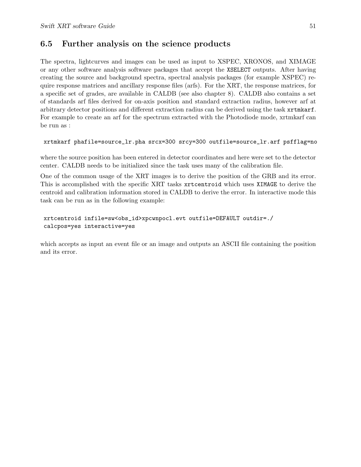## 6.5 Further analysis on the science products

The spectra, lightcurves and images can be used as input to XSPEC, XRONOS, and XIMAGE or any other software analysis software packages that accept the XSELECT outputs. After having creating the source and background spectra, spectral analysis packages (for example XSPEC) require response matrices and ancillary response files (arfs). For the XRT, the response matrices, for a specific set of grades, are available in CALDB (see also chapter 8). CALDB also contains a set of standards arf files derived for on-axis position and standard extraction radius, however arf at arbitrary detector positions and different extraction radius can be derived using the task xrtmkarf. For example to create an arf for the spectrum extracted with the Photodiode mode, xrtmkarf can be run as :

### xrtmkarf phafile=source\_lr.pha srcx=300 srcy=300 outfile=source\_lr.arf psfflag=no

where the source position has been entered in detector coordinates and here were set to the detector center. CALDB needs to be initialized since the task uses many of the calibration file.

One of the common usage of the XRT images is to derive the position of the GRB and its error. This is accomplished with the specific XRT tasks xrtcentroid which uses XIMAGE to derive the centroid and calibration information stored in CALDB to derive the error. In interactive mode this task can be run as in the following example:

### xrtcentroid infile=sw<obs\_id>xpcwnpocl.evt outfile=DEFAULT outdir=./ calcpos=yes interactive=yes

which accepts as input an event file or an image and outputs an ASCII file containing the position and its error.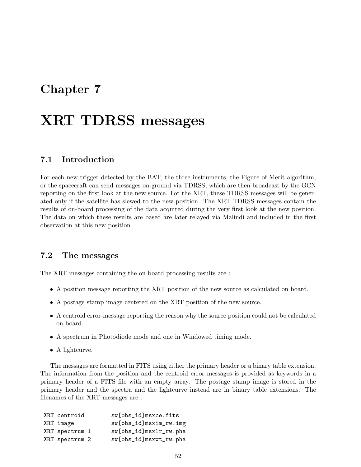## Chapter 7

# XRT TDRSS messages

## 7.1 Introduction

For each new trigger detected by the BAT, the three instruments, the Figure of Merit algorithm, or the spacecraft can send messages on-ground via TDRSS, which are then broadcast by the GCN reporting on the first look at the new source. For the XRT, these TDRSS messages will be generated only if the satellite has slewed to the new position. The XRT TDRSS messages contain the results of on-board processing of the data acquired during the very first look at the new position. The data on which these results are based are later relayed via Malindi and included in the first observation at this new position.

## 7.2 The messages

The XRT messages containing the on-board processing results are :

- A position message reporting the XRT position of the new source as calculated on board.
- A postage stamp image centered on the XRT position of the new source.
- A centroid error-message reporting the reason why the source position could not be calculated on board.
- A spectrum in Photodiode mode and one in Windowed timing mode.
- A lightcurve.

The messages are formatted in FITS using either the primary header or a binary table extension. The information from the position and the centroid error messages is provided as keywords in a primary header of a FITS file with an empty array. The postage stamp image is stored in the primary header and the spectra and the lightcurve instead are in binary table extensions. The filenames of the XRT messages are :

| XRT centroid   | sw[obs_id]msxce.fits   |
|----------------|------------------------|
| XRT image      | sw[obs_id]msxim_rw.img |
| XRT spectrum 1 | sw[obs_id]msxlr_rw.pha |
| XRT spectrum 2 | sw[obs_id]msxwt_rw.pha |
|                |                        |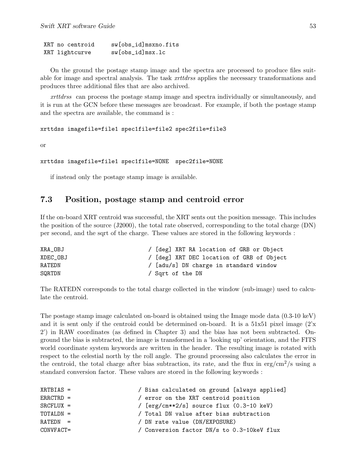XRT no centroid sw[obs\_id]msxno.fits XRT lightcurve sw[obs\_id]msx.lc

On the ground the postage stamp image and the spectra are processed to produce files suitable for image and spectral analysis. The task *xrttdrss* applies the necessary transformations and produces three additional files that are also archived.

xrttdrss can process the postage stamp image and spectra individually or simultaneously, and it is run at the GCN before these messages are broadcast. For example, if both the postage stamp and the spectra are available, the command is :

xrttdss imagefile=file1 spec1file=file2 spec2file=file3

or

```
xrttdss imagefile=file1 spec1file=NONE spec2file=NONE
```
if instead only the postage stamp image is available.

## 7.3 Position, postage stamp and centroid error

If the on-board XRT centroid was successful, the XRT sents out the position message. This includes the position of the source (J2000), the total rate observed, corresponding to the total charge (DN) per second, and the sqrt of the charge. These values are stored in the following keywords :

| XRA_OBJ  | / [deg] XRT RA location of GRB or Object  |
|----------|-------------------------------------------|
| XDEC OBJ | / [deg] XRT DEC location of GRB of Object |
| RATEDN   | / [adu/s] DN charge in standard window    |
| SQRTDN   | / Sqrt of the DN                          |

The RATEDN corresponds to the total charge collected in the window (sub-image) used to calculate the centroid.

The postage stamp image calculated on-board is obtained using the Image mode data (0.3-10 keV) and it is sent only if the centroid could be determined on-board. It is a 51x51 pixel image (2'x 2') in RAW coordinates (as defined in Chapter 3) and the bias has not been subtracted. Onground the bias is subtracted, the image is transformed in a 'looking up' orientation, and the FITS world coordinate system keywords are written in the header. The resulting image is rotated with respect to the celestial north by the roll angle. The ground processing also calculates the error in the centroid, the total charge after bias subtraction, its rate, and the flux in  $\text{erg/cm}^2\text{/s}$  using a standard conversion factor. These values are stored in the following keywords :

| $XRTBIAS =$  | / Bias calculated on ground [always applied]         |
|--------------|------------------------------------------------------|
| $ERRCTRD =$  | / error on the XRT centroid position                 |
| $SRCFLUX =$  | / $[erg/cm**2/s]$ source flux $(0.3-10 \text{ keV})$ |
| $TOTALDN =$  | / Total DN value after bias subtraction              |
| $RATEDN =$   | / DN rate value (DN/EXPOSURE)                        |
| $CONVFACT =$ | / Conversion factor DN/s to 0.3-10keV flux           |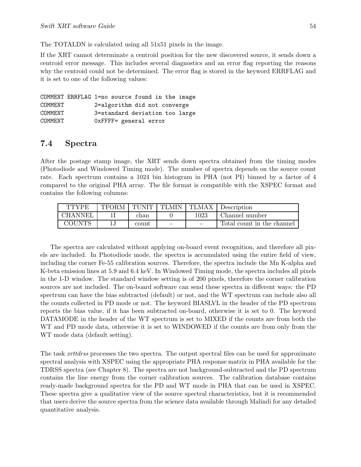The TOTALDN is calculated using all 51x51 pixels in the image.

If the XRT cannot determinate a centroid position for the new discovered source, it sends down a centroid error message. This includes several diagnostics and an error flag reporting the reasons why the centroid could not be determined. The error flag is stored in the keyword ERRFLAG and it is set to one of the following values:

```
COMMENT ERRFLAG 1=no source found in the image
COMMENT 2=algorithm did not converge
COMMENT 3=standard deviation too large
COMMENT 0xFFFF= general error
```
## 7.4 Spectra

After the postage stamp image, the XRT sends down spectra obtained from the timing modes (Photodiode and Windowed Timing mode). The number of spectra depends on the source count rate. Each spectrum contains a 1024 bin histogram in PHA (not PI) binned by a factor of 4 compared to the original PHA array. The file format is compatible with the XSPEC format and contains the following columns:

| TTYPE          | <b>TFORM</b> | TUNIT | TLMIN                    | TLMAX                    | Description                |
|----------------|--------------|-------|--------------------------|--------------------------|----------------------------|
| <b>CHANNEI</b> |              | chan  |                          | $1023\,$                 | Channel number             |
| <b>COUNTS</b>  |              | count | $\overline{\phantom{0}}$ | $\overline{\phantom{a}}$ | Total count in the channel |

The spectra are calculated without applying on-board event recognition, and therefore all pixels are included. In Photodiode mode, the spectra is accumulated using the entire field of view, including the corner Fe-55 calibration sources. Therefore, the spectra include the Mn K-alpha and K-beta emission lines at 5.9 and 6.4 keV. In Windowed Timing mode, the spectra includes all pixels in the 1-D window. The standard window setting is of 200 pixels, therefore the corner calibration sources are not included. The on-board software can send these spectra in different ways: the PD spectrum can have the bias subtracted (default) or not, and the WT spectrum can include also all the counts collected in PD mode or not. The keyword BIASLVL in the header of the PD spectrum reports the bias value, if it has been subtracted on-board, otherwise it is set to 0. The keyword DATAMODE in the header of the WT spectrum is set to MIXED if the counts are from both the WT and PD mode data, otherwise it is set to WINDOWED if the counts are from only from the WT mode data (default setting).

The task xrttdrss processes the two spectra. The output spectral files can be used for approximate spectral analysis with XSPEC using the appropriate PHA response matrix in PHA available for the TDRSS spectra (see Chapter 8). The spectra are not background-subtracted and the PD spectrum contains the line energy from the corner calibration sources. The calibration database contains ready-made background spectra for the PD and WT mode in PHA that can be used in XSPEC. These spectra give a qualitative view of the source spectral characteristics, but it is recommended that users derive the source spectra from the science data available through Malindi for any detailed quantitative analysis.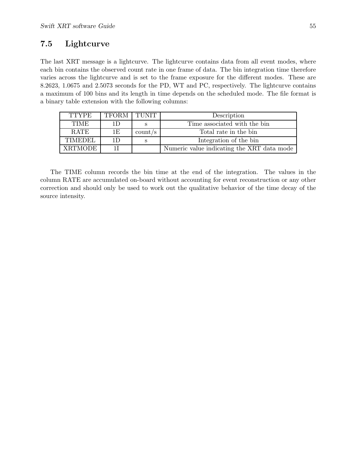## 7.5 Lightcurve

The last XRT message is a lightcurve. The lightcurve contains data from all event modes, where each bin contains the observed count rate in one frame of data. The bin integration time therefore varies across the lightcurve and is set to the frame exposure for the different modes. These are 8.2623, 1.0675 and 2.5073 seconds for the PD, WT and PC, respectively. The lightcurve contains a maximum of 100 bins and its length in time depends on the scheduled mode. The file format is a binary table extension with the following columns:

| <b>TTYPE</b>   | TFORM TUNIT |         | Description                                |
|----------------|-------------|---------|--------------------------------------------|
| <b>TIME</b>    | 1 D         |         | Time associated with the bin               |
| RATE           | 1E          | count/s | Total rate in the bin                      |
| <b>TIMEDEL</b> | 1D          |         | Integration of the bin                     |
| <b>XRTMODE</b> |             |         | Numeric value indicating the XRT data mode |

The TIME column records the bin time at the end of the integration. The values in the column RATE are accumulated on-board without accounting for event reconstruction or any other correction and should only be used to work out the qualitative behavior of the time decay of the source intensity.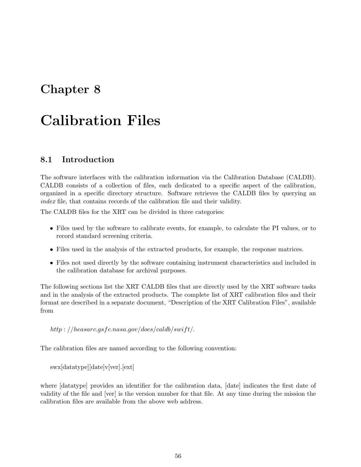## Chapter 8

# Calibration Files

## 8.1 Introduction

The software interfaces with the calibration information via the Calibration Database (CALDB). CALDB consists of a collection of files, each dedicated to a specific aspect of the calibration, organized in a specific directory structure. Software retrieves the CALDB files by querying an index file, that contains records of the calibration file and their validity.

The CALDB files for the XRT can be divided in three categories:

- Files used by the software to calibrate events, for example, to calculate the PI values, or to record standard screening criteria.
- Files used in the analysis of the extracted products, for example, the response matrices.
- Files not used directly by the software containing instrument characteristics and included in the calibration database for archival purposes.

The following sections list the XRT CALDB files that are directly used by the XRT software tasks and in the analysis of the extracted products. The complete list of XRT calibration files and their format are described in a separate document, "Description of the XRT Calibration Files", available from

http://heasarc.gsfc.nasa.gov/docs/caldb/swift/.

The calibration files are named according to the following convention:

swx[datatype][date]v[ver].[ext]

where [datatype] provides an identifier for the calibration data, [date] indicates the first date of validity of the file and [ver] is the version number for that file. At any time during the mission the calibration files are available from the above web address.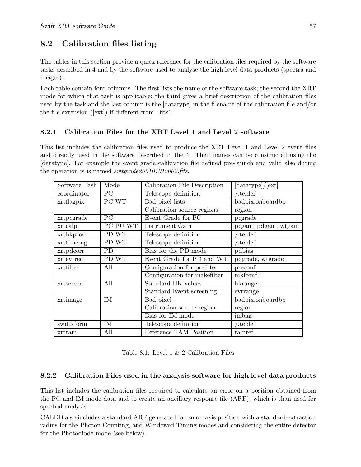## 8.2 Calibration files listing

The tables in this section provide a quick reference for the calibration files required by the software tasks described in 4 and by the software used to analyse the high level data products (spectra and images).

Each table contain four columns. The first lists the name of the software task; the second the XRT mode for which that task is applicable; the third gives a brief description of the calibration files used by the task and the last column is the [datatype] in the filename of the calibration file and/or the file extension ([ext]) if different from '.fits'.

## 8.2.1 Calibration Files for the XRT Level 1 and Level 2 software

This list includes the calibration files used to produce the XRT Level 1 and Level 2 event files and directly used in the software described in the 4. Their names can be constructed using the [datatype]. For example the event grade calibration file defined pre-launch and valid also during the operation is is named swxgrade20010101v002.fits.

| Software Task | Mode     | Calibration File Description | $[\text{datatype}]/[\text{ext}]$ |
|---------------|----------|------------------------------|----------------------------------|
| coordinator   | PC       | Telescope definition         | .teldef                          |
| xrtflagpix    | PC WT    | Bad pixel lists              | badpix,onboardbp                 |
|               |          | Calibration source regions   | region                           |
| xrtpcgrade    | PC       | Event Grade for PC           | pcgrade                          |
| xrtcalpi      | PC PU WT | Instrument Gain              | pcgain, pdgain, wtgain           |
| xrthkproc     | PD WT    | Telescope definition         | teldef.                          |
| xrttimetag    | PD WT    | Telescope definition         | teldef.                          |
| xrtpdcorr     | PD       | Bias for the PD mode         | pdbias                           |
| xrtevtrec     | PD WT    | Event Grade for PD and WT    | pdgrade, wtgrade                 |
| xrtfilter     | All      | Configuration for prefilter  | preconf                          |
|               |          | Configuration for makefilter | mkfconf                          |
| xrtscreen     | All      | Standard HK values           | hkrange                          |
|               |          | Standard Event screening     | evtrange                         |
| xrtimage      | IM       | Bad pixel                    | badpix, on board bp              |
|               |          | Calibration source region    | region                           |
|               |          | Bias for IM mode             | imbias                           |
| swiftxform    | IM       | Telescope definition         | teldef.                          |
| xrttam        | All      | Reference TAM Position       | tamref                           |

| Table 8.1: Level 1 $\&$ 2 Calibration Files |  |
|---------------------------------------------|--|
|---------------------------------------------|--|

### 8.2.2 Calibration Files used in the analysis software for high level data products

This list includes the calibration files required to calculate an error on a position obtained from the PC and IM mode data and to create an ancillary response file (ARF), which is than used for spectral analysis.

CALDB also includes a standard ARF generated for an on-axis position with a standard extraction radius for the Photon Counting, and Windowed Timing modes and considering the entire detector for the Photodiode mode (see below).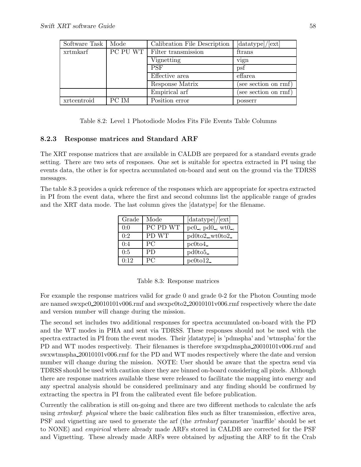| Software Task | Mode  | Calibration File Description                | [datatype]/[ext]     |
|---------------|-------|---------------------------------------------|----------------------|
| xrtmkarf      |       | $\overline{PC}$ PU WT   Filter transmission | ftrans               |
|               |       | Vignetting                                  | vign                 |
|               |       | <b>PSF</b>                                  | psf                  |
|               |       | Effective area                              | effarea              |
|               |       | Response Matrix                             | (see section on rmf) |
|               |       | Empirical arf                               | (see section on rmf) |
| xrtcentroid   | PC IM | Position error                              | posserr              |

Table 8.2: Level 1 Photodiode Modes Fits File Events Table Columns

### 8.2.3 Response matrices and Standard ARF

The XRT response matrices that are available in CALDB are prepared for a standard events grade setting. There are two sets of responses. One set is suitable for spectra extracted in PI using the events data, the other is for spectra accumulated on-board and sent on the ground via the TDRSS messages.

The table 8.3 provides a quick reference of the responses which are appropriate for spectra extracted in PI from the event data, where the first and second columns list the applicable range of grades and the XRT data mode. The last column gives the [datatype] for the filename.

| Grade | Mode      | $[{\rm datatype}]/[{\rm ext}]$                           |
|-------|-----------|----------------------------------------------------------|
| 0:0   | PC PD WT  | pc0 <sub>-</sub> , pd0 <sub>-</sub> , wt0 <sub>-</sub> , |
| 0:2   | PD WT     | $pd0to2$ , wt $0to2$                                     |
| 0:4   | <b>PC</b> | $pc0$ to4                                                |
| 0:5   | <b>PD</b> | pd0to5                                                   |
| 0:12  | PC        | $pc0$ to $12$                                            |

|  | Table 8.3: Response matrices |  |
|--|------------------------------|--|
|--|------------------------------|--|

For example the response matrices valid for grade 0 and grade 0-2 for the Photon Counting mode are named swxpc0 20010101v006.rmf and swxpc0to2 20010101v006.rmf respectively where the date and version number will change during the mission.

The second set includes two additional responses for spectra accumulated on-board with the PD and the WT modes in PHA and sent via TDRSS. These responses should not be used with the spectra extracted in PI from the event modes. Their [datatype] is 'pdmspha' and 'wtmspha' for the PD and WT modes respectively. Their filenames is therefore swxpdmspha 20010101v006.rmf and swxwtmspha 20010101v006.rmf for the PD and WT modes respectively where the date and version number will change during the mission. NOTE: User should be aware that the spectra send via TDRSS should be used with caution since they are binned on-board considering all pixels. Although there are response matrices available these were released to facilitate the mapping into energy and any spectral analysis should be considered preliminary and any finding should be confirmed by extracting the spectra in PI from the calibrated event file before publication.

Currently the calibration is still on-going and there are two different methods to calculate the arfs using xrtmkarf: physical where the basic calibration files such as filter transmission, effective area, PSF and vignetting are used to generate the arf (the xrtmkarf parameter 'inarffile' should be set to NONE) and empirical where already made ARFs stored in CALDB are corrected for the PSF and Vignetting. These already made ARFs were obtained by adjusting the ARF to fit the Crab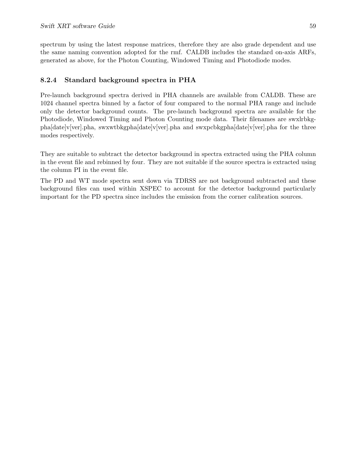spectrum by using the latest response matrices, therefore they are also grade dependent and use the same naming convention adopted for the rmf. CALDB includes the standard on-axis ARFs, generated as above, for the Photon Counting, Windowed Timing and Photodiode modes.

### 8.2.4 Standard background spectra in PHA

Pre-launch background spectra derived in PHA channels are available from CALDB. These are 1024 channel spectra binned by a factor of four compared to the normal PHA range and include only the detector background counts. The pre-launch background spectra are available for the Photodiode, Windowed Timing and Photon Counting mode data. Their filenames are swxlrbkgpha[date]v[ver].pha, swxwtbkgpha[date]v[ver].pha and swxpcbkgpha[date]v[ver].pha for the three modes respectively.

They are suitable to subtract the detector background in spectra extracted using the PHA column in the event file and rebinned by four. They are not suitable if the source spectra is extracted using the column PI in the event file.

The PD and WT mode spectra sent down via TDRSS are not background subtracted and these background files can used within XSPEC to account for the detector background particularly important for the PD spectra since includes the emission from the corner calibration sources.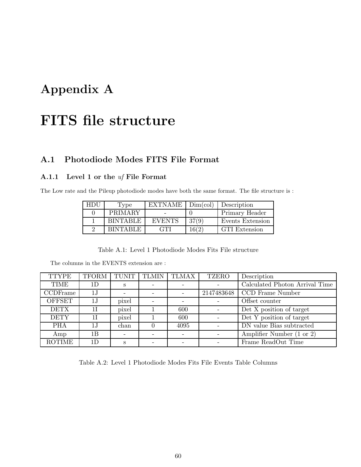# Appendix A

# FITS file structure

## A.1 Photodiode Modes FITS File Format

## A.1.1 Level 1 or the uf File Format

The Low rate and the Pileup photodiode modes have both the same format. The file structure is :

| HDU. | Type            | EXTNAME       | Dim(col) | Description          |
|------|-----------------|---------------|----------|----------------------|
|      | PRIMARY         |               |          | Primary Header       |
|      | <b>BINTABLE</b> | <b>EVENTS</b> | 37(9)    | Events Extension     |
|      | <b>RINTARLE</b> | <b>GTI</b>    | 16(2     | <b>GTI</b> Extension |

Table A.1: Level 1 Photodiode Modes Fits File structure

| <b>TTYPE</b>  | <b>TFORM</b> | <b>TUNIT</b>             | <b>TLMIN</b>             | <b>TLMAX</b> | <b>TZERO</b> | Description                    |
|---------------|--------------|--------------------------|--------------------------|--------------|--------------|--------------------------------|
| <b>TIME</b>   | 1D           | S                        |                          |              |              | Calculated Photon Arrival Time |
| CCDFrame      | 1J           | $\overline{\phantom{0}}$ | $\overline{\phantom{a}}$ |              | 2147483648   | CCD Frame Number               |
| <b>OFFSET</b> | 1J           | pixel                    | $\overline{\phantom{0}}$ |              |              | Offset counter                 |
| <b>DETX</b>   | 1 I          | pixel                    |                          | 600          |              | Det X position of target       |
| <b>DETY</b>   | 1 I          | pixel                    |                          | 600          |              | Det Y position of target       |
| <b>PHA</b>    | 1J           | chan                     |                          | 4095         |              | DN value Bias subtracted       |
| Amp           | 1B           |                          |                          |              |              | Amplifier Number (1 or 2)      |
| <b>ROTIME</b> | 1D           | S                        |                          |              |              | Frame ReadOut Time             |

Table A.2: Level 1 Photodiode Modes Fits File Events Table Columns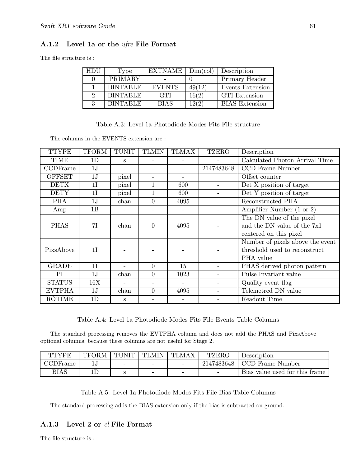### A.1.2 Level 1a or the ufre File Format

The file structure is :

| HDU | Type            | <b>EXTNAME</b> | Dim(col) | Description           |
|-----|-----------------|----------------|----------|-----------------------|
|     | PRIMARY         |                |          | Primary Header        |
|     | <b>BINTABLE</b> | <b>EVENTS</b>  | 49(12)   | Events Extension      |
| 9   | <b>BINTABLE</b> | <b>GTI</b>     | 16(2)    | <b>GTI</b> Extension  |
| २   | <b>BINTABLE</b> | <b>BIAS</b>    | 12(2)    | <b>BIAS</b> Extension |

|  |  | Table A.3: Level 1a Photodiode Modes Fits File structure |  |  |  |  |
|--|--|----------------------------------------------------------|--|--|--|--|
|--|--|----------------------------------------------------------|--|--|--|--|

The columns in the EVENTS extension are :

| <b>TTYPE</b>  | TFORM          | <b>TUNIT</b>      | <b>TLMIN</b>   | <b>TLMAX</b> | <b>TZERO</b> | Description                      |
|---------------|----------------|-------------------|----------------|--------------|--------------|----------------------------------|
| TIME          | 1D             | S                 |                |              |              | Calculated Photon Arrival Time   |
| CCDFrame      | 1J             | $\qquad \qquad -$ |                |              | 2147483648   | CCD Frame Number                 |
| <b>OFFSET</b> | 1J             | pixel             |                |              |              | Offset counter                   |
| <b>DETX</b>   | 1I             | pixel             |                | 600          |              | Det X position of target         |
| <b>DETY</b>   | 1 <sup>I</sup> | pixel             |                | 600          |              | Det Y position of target         |
| <b>PHA</b>    | 1J             | chan              | $\overline{0}$ | 4095         |              | Reconstructed PHA                |
| Amp           | 1B             |                   |                |              |              | Amplifier Number (1 or 2)        |
|               |                |                   |                |              |              | The DN value of the pixel        |
| <b>PHAS</b>   | 7I             | chan              | $\theta$       | 4095         |              | and the DN value of the 7x1      |
|               |                |                   |                |              |              | centered on this pixel           |
|               |                |                   |                |              |              | Number of pixels above the event |
| PixsAbove     | 1 <sup>T</sup> |                   |                |              |              | threshold used to reconstruct    |
|               |                |                   |                |              |              | PHA value                        |
| GRADE         | 1 <sub>I</sub> |                   | $\Omega$       | 15           |              | PHAS derived photon pattern      |
| PI            | 1J             | chan              | $\overline{0}$ | 1023         |              | Pulse Invariant value            |
| <b>STATUS</b> | 16X            |                   |                |              |              | Quality event flag               |
| <b>EVTPHA</b> | 1J             | chan              | $\overline{0}$ | 4095         |              | Telemetred DN value              |
| <b>ROTIME</b> | 1D             | S                 |                |              |              | Readout Time                     |

Table A.4: Level 1a Photodiode Modes Fits File Events Table Columns

The standard processing removes the EVTPHA column and does not add the PHAS and PixsAbove optional columns, because these columns are not useful for Stage 2.

| <b>TTYPE</b> | TFORM | TUNIT | TLMIN                    | <b>TLMAX</b> | <b>TZERO</b>             | Description                    |
|--------------|-------|-------|--------------------------|--------------|--------------------------|--------------------------------|
| $CCDF$ rame  |       |       | $\overline{\phantom{0}}$ |              | 2147483648               | CCD Frame Number               |
| BIAS         | ιD    |       | $\overline{\phantom{0}}$ | -            | $\overline{\phantom{0}}$ | Bias value used for this frame |

Table A.5: Level 1a Photodiode Modes Fits File Bias Table Columns

The standard processing adds the BIAS extension only if the bias is subtracted on ground.

### A.1.3 Level 2 or cl File Format

The file structure is :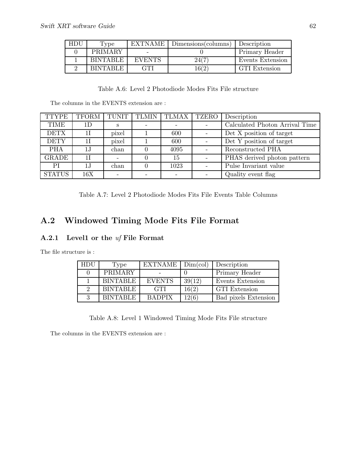| HDU | Type            | <b>EXTNAME</b> | $Dimensions$ (columns) | Description      |
|-----|-----------------|----------------|------------------------|------------------|
|     | PRIMARY         |                |                        | Primary Header   |
|     | <b>BINTABLE</b> | <b>EVENTS</b>  | 24(7                   | Events Extension |
|     | <b>RINTARLE</b> | GTI            | 16(2                   | GTI Extension    |

## Table A.6: Level 2 Photodiode Modes Fits File structure

The columns in the EVENTS extension are :

| TTYPE         | TFORM | TUNIT | <b>TLMIN</b> | TLMAX | TZERO | Description                    |
|---------------|-------|-------|--------------|-------|-------|--------------------------------|
| <b>TIME</b>   | 1D    | S     |              |       |       | Calculated Photon Arrival Time |
| <b>DETX</b>   |       | pixel |              | 600   |       | Det X position of target       |
| <b>DETY</b>   |       | pixel |              | 600   |       | Det Y position of target       |
| <b>PHA</b>    | 1.J   | chan  |              | 4095  |       | Reconstructed PHA              |
| <b>GRADE</b>  | 1 I   |       |              | 15    |       | PHAS derived photon pattern    |
| PI            | 1J    | chan  |              | 1023  |       | Pulse Invariant value          |
| <b>STATUS</b> | 16X   |       |              |       |       | Quality event flag             |

Table A.7: Level 2 Photodiode Modes Fits File Events Table Columns

## A.2 Windowed Timing Mode Fits File Format

## A.2.1 Level1 or the uf File Format

The file structure is :

| HDU | Type            | $EXTNAME$ $Dim,col)$ |        | Description          |
|-----|-----------------|----------------------|--------|----------------------|
|     | PRIMARY         |                      |        | Primary Header       |
|     | <b>BINTABLE</b> | <b>EVENTS</b>        | 39(12) | Events Extension     |
| 2   | <b>BINTABLE</b> | <b>GTI</b>           | 16(2)  | <b>GTI</b> Extension |
| 3   | <b>BINTABLE</b> | <b>BADPIX</b>        | 12(6)  | Bad pixels Extension |

Table A.8: Level 1 Windowed Timing Mode Fits File structure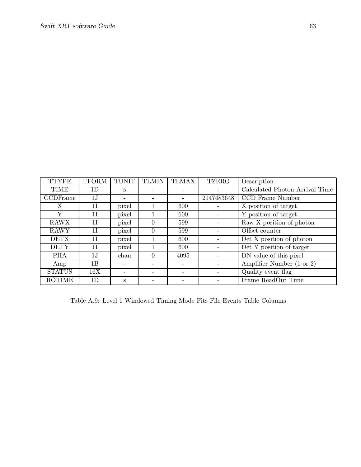| <b>TTYPE</b>  | <b>TFORM</b>   | <b>TUNIT</b> | <b>TLMIN</b> | <b>TLMAX</b> | <b>TZERO</b> | Description                    |
|---------------|----------------|--------------|--------------|--------------|--------------|--------------------------------|
| <b>TIME</b>   | 1D             | S            |              |              |              | Calculated Photon Arrival Time |
| CCDFrame      | 1J             |              |              |              | 2147483648   | CCD Frame Number               |
| Χ             | 11             | pixel        |              | 600          |              | X position of target           |
| Y             | 11             | pixel        |              | 600          |              | Y position of target           |
| <b>RAWX</b>   | 11             | pixel        | $\Omega$     | 599          |              | Raw X position of photon       |
| <b>RAWY</b>   | $1\mathrm{I}$  | pixel        | $\Omega$     | 599          |              | Offset counter                 |
| <b>DETX</b>   | 1 <sup>T</sup> | pixel        |              | 600          |              | Det X position of photon       |
| <b>DETY</b>   | 1 I            | pixel        |              | 600          |              | Det Y position of target       |
| <b>PHA</b>    | 1J             | chan         | $\theta$     | 4095         |              | DN value of this pixel         |
| Amp           | 1B             |              |              |              |              | Amplifier Number (1 or 2)      |
| <b>STATUS</b> | 16X            |              |              |              |              | Quality event flag             |
| <b>ROTIME</b> | 1D             | S            |              |              |              | Frame ReadOut Time             |

Table A.9: Level 1 Windowed Timing Mode Fits File Events Table Columns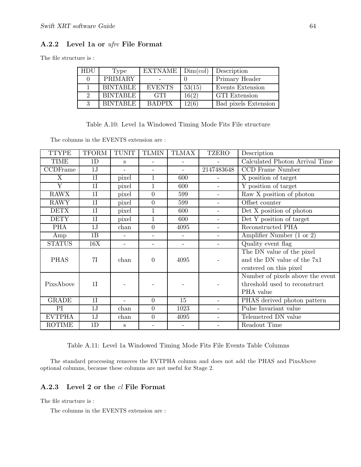### A.2.2 Level 1a or ufre File Format

The file structure is :

| <b>HDU</b> | Type            | $EXTNAME$ $Dim,col)$ |        | Description          |
|------------|-----------------|----------------------|--------|----------------------|
|            | PRIMARY         |                      |        | Primary Header       |
|            | <b>BINTABLE</b> | <b>EVENTS</b>        | 53(15) | Events Extension     |
|            | <b>BINTABLE</b> | <b>GTI</b>           | 16(2)  | <b>GTI</b> Extension |
|            | <b>BINTABLE</b> | <b>BADPIX</b>        | 12(6)  | Bad pixels Extension |

Table A.10: Level 1a Windowed Timing Mode Fits File structure

The columns in the EVENTS extension are :

| <b>TTYPE</b>  | <b>TFORM</b> | <b>TUNIT</b>             | <b>TLMIN</b>             | <b>TLMAX</b> | <b>TZERO</b>             | Description                                  |  |
|---------------|--------------|--------------------------|--------------------------|--------------|--------------------------|----------------------------------------------|--|
| TIME          | 1D           | S                        |                          |              |                          | Calculated Photon Arrival Time               |  |
| CCDFrame      | 1J           |                          |                          |              | 2147483648               | CCD Frame Number                             |  |
| X             | 1I           | pixel                    | 1                        | 600          | $\qquad \qquad -$        | X position of target                         |  |
| Y             | 1I           | pixel                    | 1                        | 600          | $\overline{a}$           | $\overline{Y}$ position of target            |  |
| <b>RAWX</b>   | 1I           | pixel                    | $\overline{0}$           | 599          | $\qquad \qquad -$        | $\overline{\text{Raw X}}$ position of photon |  |
| <b>RAWY</b>   | 1I           | pixel                    | $\overline{0}$           | 599          | $\overline{\phantom{a}}$ | Offset counter                               |  |
| <b>DETX</b>   | 1I           | pixel                    | 1                        | 600          | $\qquad \qquad -$        | Det X position of photon                     |  |
| <b>DETY</b>   | 1I           | pixel                    | 1                        | 600          | $\qquad \qquad -$        | Det Y position of target                     |  |
| <b>PHA</b>    | 1J           | chan                     | $\overline{0}$           | 4095         | $\overline{a}$           | Reconstructed PHA                            |  |
| Amp           | 1B           | $\overline{\phantom{0}}$ |                          |              | $\qquad \qquad -$        | Amplifier Number (1 or 2)                    |  |
| <b>STATUS</b> | 16X          | $\overline{a}$           | $\overline{\phantom{0}}$ | $\equiv$     | $\overline{\phantom{a}}$ | Quality event flag                           |  |
|               |              |                          |                          |              |                          | The DN value of the pixel                    |  |
| <b>PHAS</b>   | 7I           | chan                     | $\overline{0}$           | 4095         |                          | and the DN value of the 7x1                  |  |
|               |              |                          |                          |              |                          | centered on this pixel                       |  |
|               |              |                          |                          |              |                          | Number of pixels above the event             |  |
| PixsAbove     | 1I           |                          |                          |              |                          | threshold used to reconstruct                |  |
|               |              |                          |                          |              |                          | PHA value                                    |  |
| <b>GRADE</b>  | 1I           |                          | $\overline{0}$           | 15           | $\qquad \qquad -$        | PHAS derived photon pattern                  |  |
| PI            | 1J           | chan                     | $\overline{0}$           | 1023         | $\qquad \qquad -$        | Pulse Invariant value                        |  |
| <b>EVTPHA</b> | 1J           | chan                     | $\overline{0}$           | 4095         |                          | Telemetred DN value                          |  |
| <b>ROTIME</b> | 1D           | S                        |                          |              |                          | Readout Time                                 |  |

Table A.11: Level 1a Windowed Timing Mode Fits File Events Table Columns

The standard processing removes the EVTPHA column and does not add the PHAS and PixsAbove optional columns, because these columns are not useful for Stage 2.

### A.2.3 Level 2 or the cl File Format

The file structure is :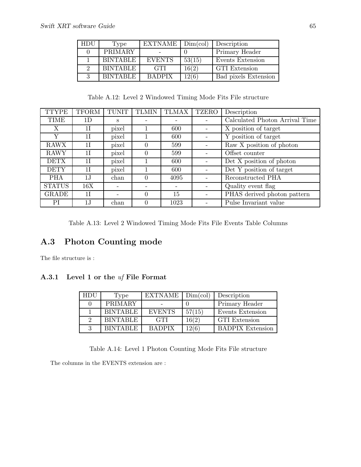| HDU | Type            | $\overline{\text{EXT}NAME}$ Dim(col) |        | Description          |
|-----|-----------------|--------------------------------------|--------|----------------------|
|     | <b>PRIMARY</b>  |                                      |        | Primary Header       |
|     | <b>BINTABLE</b> | <b>EVENTS</b>                        | 53(15) | Events Extension     |
| 9   | <b>BINTABLE</b> | GTI.                                 | 16(2)  | GTI Extension        |
|     | <b>BINTABLE</b> | <b>BADPIX</b>                        | 12(6)  | Bad pixels Extension |

Table A.12: Level 2 Windowed Timing Mode Fits File structure

| <b>TTYPE</b>  | <b>TFORM</b>  | <b>TUNIT</b> | <b>TLMIN</b> | <b>TLMAX</b>      | <b>TZERO</b>             | Description                    |
|---------------|---------------|--------------|--------------|-------------------|--------------------------|--------------------------------|
| <b>TIME</b>   | 1D            | S            | -            |                   | $\qquad \qquad$          | Calculated Photon Arrival Time |
| X             | 11            | pixel        |              | 600               |                          | X position of target           |
| Y             | 11            | pixel        |              | 600               |                          | Y position of target           |
| <b>RAWX</b>   | 11            | pixel        | $\theta$     | 599               |                          | Raw X position of photon       |
| <b>RAWY</b>   | 11            | pixel        | 0            | 599               |                          | Offset counter                 |
| <b>DETX</b>   | 11            | pixel        |              | 600               |                          | Det X position of photon       |
| <b>DETY</b>   | 11            | pixel        |              | 600               |                          | Det Y position of target       |
| <b>PHA</b>    | 1J            | chan         | $\theta$     | 4095              | $\overline{\phantom{0}}$ | Reconstructed PHA              |
| <b>STATUS</b> | 16X           |              | -            | $\qquad \qquad -$ | $\overline{\phantom{a}}$ | Quality event flag             |
| <b>GRADE</b>  | 11            |              | $\theta$     | 15                | $\overline{\phantom{a}}$ | PHAS derived photon pattern    |
| РI            | $1\mathrm{J}$ | chan         | 0            | 1023              |                          | Pulse Invariant value          |

Table A.13: Level 2 Windowed Timing Mode Fits File Events Table Columns

## A.3 Photon Counting mode

The file structure is :

### A.3.1 Level 1 or the uf File Format

| HDU | Type            | EXTNAME       | Dim(col) | Description             |
|-----|-----------------|---------------|----------|-------------------------|
|     | PRIMARY         |               |          | Primary Header          |
|     | <b>BINTABLE</b> | <b>EVENTS</b> | 57(15)   | Events Extension        |
|     | <b>BINTABLE</b> | <b>GTI</b>    | 16(2)    | <b>GTI</b> Extension    |
|     | <b>BINTABLE</b> | <b>RADPIX</b> | 12(6)    | <b>BADPIX</b> Extension |

Table A.14: Level 1 Photon Counting Mode Fits File structure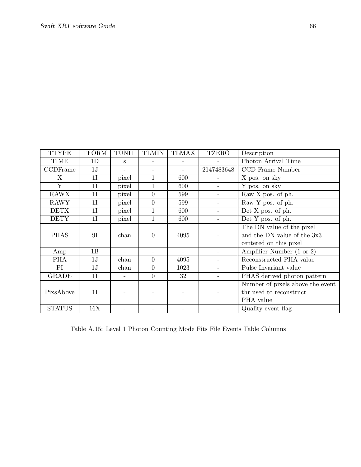| <b>TTYPE</b>  | <b>TFORM</b>   | <b>TUNIT</b> | <b>TLMIN</b>     | <b>TLMAX</b> | <b>TZERO</b>             | Description                      |  |
|---------------|----------------|--------------|------------------|--------------|--------------------------|----------------------------------|--|
| TIME          | 1D             | S            |                  |              |                          | Photon Arrival Time              |  |
| CCDFrame      | 1J             |              |                  |              | 2147483648               | CCD Frame Number                 |  |
| X             | 1I             | pixel        | 1                | 600          | $\overline{a}$           | X pos. on sky                    |  |
| Y             | 1 <sup>I</sup> | pixel        | 1                | 600          | $\overline{\phantom{0}}$ | Y pos. on sky                    |  |
| <b>RAWX</b>   | 1I             | pixel        | $\overline{0}$   | 599          | $\overline{\phantom{a}}$ | Raw X pos. of ph.                |  |
| <b>RAWY</b>   | 1I             | pixel        | $\overline{0}$   | 599          | $\qquad \qquad -$        | Raw Y pos. of ph.                |  |
| <b>DETX</b>   | 1I             | pixel        | $\mathbf{1}$     | 600          | $\overline{\phantom{a}}$ | Det $X$ pos. of ph.              |  |
| <b>DETY</b>   | 1I             | pixel        | 1                | 600          | $\overline{\phantom{a}}$ | Det Y pos. of ph.                |  |
|               |                |              |                  |              |                          | The DN value of the pixel        |  |
| <b>PHAS</b>   | 9I             | chan         | $\boldsymbol{0}$ | 4095         |                          | and the DN value of the 3x3      |  |
|               |                |              |                  |              |                          | centered on this pixel           |  |
| Amp           | 1B             |              |                  |              |                          | Amplifier Number (1 or 2)        |  |
| <b>PHA</b>    | 1J             | chan         | $\overline{0}$   | 4095         | $\overline{\phantom{a}}$ | Reconstructed PHA value          |  |
| PI            | 1J             | chan         | $\overline{0}$   | 1023         | $\overline{\phantom{a}}$ | Pulse Invariant value            |  |
| <b>GRADE</b>  | 1I             |              | $\overline{0}$   | 32           | $\qquad \qquad -$        | PHAS derived photon pattern      |  |
|               |                |              |                  |              |                          | Number of pixels above the event |  |
| PixsAbove     | 1I             |              |                  |              |                          | thr used to reconstruct          |  |
|               |                |              |                  |              |                          | PHA value                        |  |
| <b>STATUS</b> | 16X            |              |                  |              |                          | Quality event flag               |  |

Table A.15: Level 1 Photon Counting Mode Fits File Events Table Columns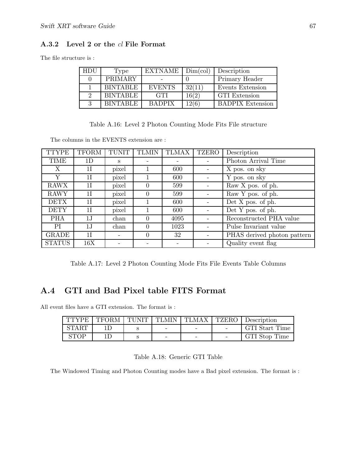### A.3.2 Level 2 or the cl File Format

The file structure is :

| <b>HDU</b> | Type            | <b>EXTNAME</b> | Dim(col) | Description             |
|------------|-----------------|----------------|----------|-------------------------|
|            | <b>PRIMARY</b>  |                |          | Primary Header          |
|            | <b>BINTABLE</b> | <b>EVENTS</b>  | 32(11)   | Events Extension        |
|            | <b>BINTABLE</b> | <b>GTI</b>     | 16(2)    | <b>GTI</b> Extension    |
|            | <b>BINTABLE</b> | <b>BADPIX</b>  | 12(6)    | <b>BADPIX Extension</b> |

Table A.16: Level 2 Photon Counting Mode Fits File structure

The columns in the EVENTS extension are :

| <b>TTYPE</b>  | <b>TFORM</b>   | <b>TUNIT</b> | <b>TLMIN</b> | <b>TLMAX</b> | <b>TZERO</b> | Description                        |
|---------------|----------------|--------------|--------------|--------------|--------------|------------------------------------|
| TIME          | 1D             | S            |              |              |              | Photon Arrival Time                |
| Χ             | 11             | pixel        |              | 600          |              | X pos. on sky                      |
| Y             | 1 <sup>T</sup> | pixel        |              | 600          |              | Y pos. on sky                      |
| <b>RAWX</b>   | 1 I            | pixel        | $\theta$     | 599          |              | Raw X pos. of ph.                  |
| <b>RAWY</b>   | 1 <sup>T</sup> | pixel        | 0            | 599          |              | Raw Y pos. of ph.                  |
| <b>DETX</b>   | 1 I            | pixel        |              | 600          |              | Det X pos. of ph.                  |
| <b>DETY</b>   | 11             | pixel        |              | 600          |              | $\overline{\rm Det}$ Y pos. of ph. |
| <b>PHA</b>    | 1J             | chan         | 0            | 4095         |              | Reconstructed PHA value            |
| <b>PI</b>     | 1J             | chan         | $\theta$     | 1023         |              | Pulse Invariant value              |
| GRADE         | 1 <sup>I</sup> |              | 0            | 32           |              | PHAS derived photon pattern        |
| <b>STATUS</b> | 16X            |              |              |              |              | Quality event flag                 |

Table A.17: Level 2 Photon Counting Mode Fits File Events Table Columns

## A.4 GTI and Bad Pixel table FITS Format

All event files have a GTI extension. The format is :

| <b>TTYPE</b> |  |                          | TFORM TUNIT TLMIN TLMAX   TZERO   Description |
|--------------|--|--------------------------|-----------------------------------------------|
| <b>START</b> |  | $\overline{\phantom{0}}$ | GTI Start Time                                |
| <b>STOP</b>  |  | $\overline{\phantom{a}}$ | GTI Stop Time                                 |

| Table A.18: Generic GTI Table |  |  |  |
|-------------------------------|--|--|--|
|-------------------------------|--|--|--|

The Windowed Timing and Photon Counting modes have a Bad pixel extension. The format is :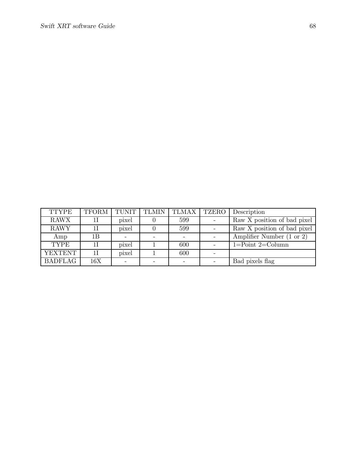| <b>TTYPE</b>   | <b>TFORM</b> | <b>TUNIT</b> | <b>TLMIN</b> | <b>TLMAX</b> | TZERO | Description                 |
|----------------|--------------|--------------|--------------|--------------|-------|-----------------------------|
| <b>RAWX</b>    |              | pixel        |              | 599          |       | Raw X position of bad pixel |
| <b>RAWY</b>    |              | pixel        |              | 599          |       | Raw X position of bad pixel |
| Amp            | 1Β           |              |              |              |       | Amplifier Number (1 or 2)   |
| TYPE           |              | pixel        |              | 600          |       | $1 = Point 2 = Column$      |
| <b>YEXTENT</b> |              | pixel        |              | 600          |       |                             |
| <b>BADFLAG</b> | 16X          |              |              |              |       | Bad pixels flag             |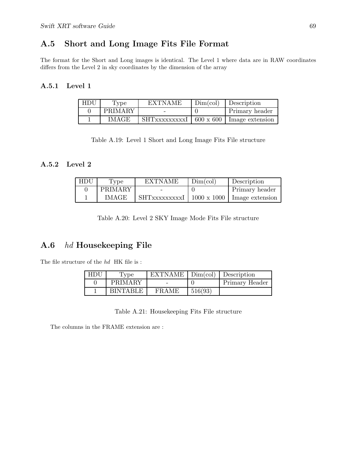## A.5 Short and Long Image Fits File Format

The format for the Short and Long images is identical. The Level 1 where data are in RAW coordinates differs from the Level 2 in sky coordinates by the dimension of the array

## A.5.1 Level 1

| HDU | Type         | <b>EXTNAME</b>                                       | Dim(col) | <b>Description</b>    |
|-----|--------------|------------------------------------------------------|----------|-----------------------|
|     | PRIMARY      |                                                      |          | <b>Primary header</b> |
|     | <b>IMAGE</b> | $\text{SHT}$ XXXXXXXXI   600 x 600   Image extension |          |                       |

Table A.19: Level 1 Short and Long Image Fits File structure

## A.5.2 Level 2

| HDU | Type         | <b>EXTNAME</b>                               | Dim(col) | Description    |
|-----|--------------|----------------------------------------------|----------|----------------|
|     | PRIMARY      |                                              |          | Primary header |
|     | <b>IMAGE</b> | SHTxxxxxxxxI   1000 x 1000   Image extension |          |                |

Table A.20: Level 2 SKY Image Mode Fits File structure

## A.6 hd Housekeeping File

The file structure of the  $hd\;$  HK file is :

| HDU | 1 <sub>ype</sub> | EXTNAME   Dim(col)   Description |         |                |
|-----|------------------|----------------------------------|---------|----------------|
|     | PRIMARY          |                                  |         | Primary Header |
|     | <b>RINTARLE</b>  | <b>FRAME</b>                     | 516(93) |                |

Table A.21: Housekeeping Fits File structure

The columns in the FRAME extension are :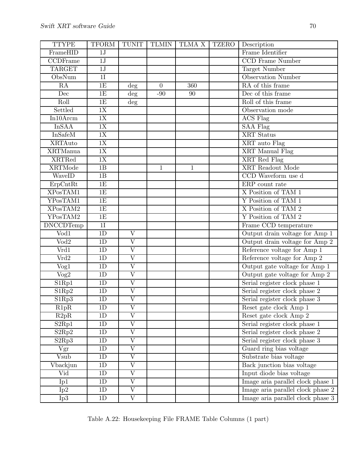| <b>TTYPE</b>                   | <b>TFORM</b>    | <b>TUNIT</b>            | <b>TLMIN</b> | TLMA X       | <b>TZERO</b> | Description                       |
|--------------------------------|-----------------|-------------------------|--------------|--------------|--------------|-----------------------------------|
| FrameHID                       | 1J              |                         |              |              |              | Frame Identifier                  |
| CCDFrame                       | 1J              |                         |              |              |              | <b>CCD</b> Frame Number           |
| <b>TARGET</b>                  | $1\mathrm{J}$   |                         |              |              |              | Target Number                     |
| ObsNum                         | 1I              |                         |              |              |              | <b>Observation Number</b>         |
| RA                             | 1E              | $\deg$                  | $\theta$     | 360          |              | RA of this frame                  |
| Dec                            | 1E              | $\overline{deg}$        | $-90$        | 90           |              | Dec of this frame                 |
| Roll                           | 1E              | $\deg$                  |              |              |              | Roll of this frame                |
| Settled                        | 1X              |                         |              |              |              | Observation mode                  |
| $In 10$ Arcm                   | 1X              |                         |              |              |              | <b>ACS</b> Flag                   |
| <b>InSAA</b>                   | 1X              |                         |              |              |              | <b>SAA Flag</b>                   |
| <b>InSafeM</b>                 | 1X              |                         |              |              |              | <b>XRT</b> Status                 |
| <b>XRTAuto</b>                 | 1X              |                         |              |              |              | XRT auto Flag                     |
| <b>XRTManua</b>                | $\overline{1X}$ |                         |              |              |              | <b>XRT</b> Manual Flag            |
| <b>XRTRed</b>                  | 1X              |                         |              |              |              | XRT Red Flag                      |
| <b>XRTMode</b>                 | 1B              |                         | $\mathbf{1}$ | $\mathbf{1}$ |              | <b>XRT</b> Readout Mode           |
| WaveID                         | 1B              |                         |              |              |              | CCD Waveform use d                |
| $E$ rp $C$ nt $Rt$             | 1E              |                         |              |              |              | ERP count rate                    |
| XPosTAM1                       | 1E              |                         |              |              |              | X Position of TAM 1               |
| YPosTAM1                       | 1E              |                         |              |              |              | Y Position of TAM 1               |
| XPosTAM2                       | 1E              |                         |              |              |              | X Position of TAM 2               |
| YPosTAM2                       | 1E              |                         |              |              |              | Y Position of TAM 2               |
| <b>DNCCDTemp</b>               | 1I              |                         |              |              |              | Frame CCD temperature             |
| $\overline{\text{Vod}1}$       | $\overline{1D}$ | $\rm V$                 |              |              |              | Output drain voltage for Amp 1    |
| $\overline{\text{Vod2}}$       | 1D              | $\overline{\mathrm{V}}$ |              |              |              | Output drain voltage for Amp 2    |
| Vrd1                           | 1D              | $\overline{\mathrm{V}}$ |              |              |              | Reference voltage for Amp 1       |
| Vrd2                           | $\overline{1D}$ | $\overline{\rm V}$      |              |              |              | Reference voltage for Amp $2$     |
| Vog1                           | 1D              | $\overline{\rm V}$      |              |              |              | Output gate voltage for Amp 1     |
| $\rm{Vog2}$                    | 1D              | $\overline{\rm V}$      |              |              |              | Output gate voltage for Amp 2     |
| S1Rp1                          | $\overline{1D}$ | $\overline{\rm V}$      |              |              |              | Serial register clock phase 1     |
| S1Rp2                          | 1D              | $\overline{\rm V}$      |              |              |              | Serial register clock phase $2$   |
| S1Rp3                          | 1D              | $\overline{\rm V}$      |              |              |              | Serial register clock phase 3     |
| R1pR                           | 1 <sub>D</sub>  | V                       |              |              |              | Reset gate clock Amp 1            |
| R2pR                           | 1D              | $\overline{\rm V}$      |              |              |              | Reset gate clock Amp 2            |
| S <sub>2Rp1</sub>              | 1D              | $\overline{\rm V}$      |              |              |              | Serial register clock phase 1     |
| S2Rp2                          | 1D              | $\rm V$                 |              |              |              | Serial register clock phase 2     |
| S <sub>2</sub> Rp <sub>3</sub> | 1D              | $\overline{\rm V}$      |              |              |              | Serial register clock phase 3     |
| Vgr                            | $1\mathrm{D}$   | $\overline{\rm V}$      |              |              |              | Guard ring bias voltage           |
| Vsub                           | 1D              | $\overline{\rm V}$      |              |              |              | Substrate bias voltage            |
| Vbackjun                       | 1D              | $\overline{\mathrm{V}}$ |              |              |              | Back junction bias voltage        |
| Vid                            | 1D              | $\overline{\mathrm{V}}$ |              |              |              | Input diode bias voltage          |
| Ip1                            | 1D              | $\rm V$                 |              |              |              | Image aria parallel clock phase 1 |
| Ip2                            | 1D              | $\overline{\mathrm{V}}$ |              |              |              | Image aria parallel clock phase 2 |
| Ip3                            | $\overline{1D}$ | $\overline{\rm V}$      |              |              |              | Image aria parallel clock phase 3 |
|                                |                 |                         |              |              |              |                                   |

Table A.22: Housekeeping File FRAME Table Columns (1 part)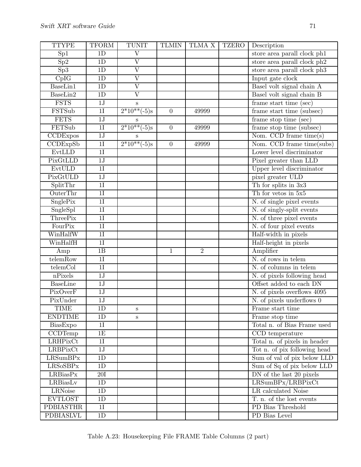| <b>TTYPE</b>     | <b>TFORM</b>    | <b>TUNIT</b>            | <b>TLMIN</b>   | TLMA X         | <b>TZERO</b> | Description                                                   |
|------------------|-----------------|-------------------------|----------------|----------------|--------------|---------------------------------------------------------------|
| Sp1              | 1D              | $\overline{\rm V}$      |                |                |              | store area parall clock ph1                                   |
| Sp2              | 1D              | $\overline{\rm V}$      |                |                |              | store area parall clock ph2                                   |
| Sp3              | 1D              | $\overline{\rm V}$      |                |                |              | store area parall clock ph3                                   |
| CpIG             | 1D              | $\overline{\rm V}$      |                |                |              | Input gate clock                                              |
| BaseLin1         | 1D              | $\overline{\rm{V}}$     |                |                |              | Basel volt signal chain A                                     |
| BaseLin2         | 1D              | $\overline{\rm V}$      |                |                |              | Basel volt signal chain B                                     |
| <b>FSTS</b>      | 1J              | $\mathbf S$             |                |                |              | frame start time (sec)                                        |
| FSTSub           | $\overline{1}$  | $2*10**(-5)s$           | $\overline{0}$ | 49999          |              | frame start time (subsec)                                     |
| <b>FETS</b>      | $1\mathrm{J}$   | S                       |                |                |              | frame stop time (sec)                                         |
| FETSub           | $\overline{11}$ | $\frac{2*10**(-5)}{s}$  | $\overline{0}$ | 49999          |              | frame stop time (subsec)                                      |
| CCDExpos         | $\overline{1J}$ | S                       |                |                |              | Nom. CCD frame time(s)                                        |
| CCDExpSb         | 1I              | $\sqrt{2*10^{**}(-5)}s$ | $\overline{0}$ | 49999          |              | Nom. CCD frame time(subs)                                     |
| EvtLLD           | 1I              |                         |                |                |              | Lower level discriminator                                     |
| PixGtLLD         | 1J              |                         |                |                |              | Pixel greater than LLD                                        |
| EvtULD           | $\overline{1}$  |                         |                |                |              | Upper level discriminator                                     |
| PixGtULD         | 1J              |                         |                |                |              | pixel greater ULD                                             |
| SplitThr         | $\overline{11}$ |                         |                |                |              | Th for splits in 3x3                                          |
| OuterThr         | 1I              |                         |                |                |              | Th for vetos in $5x5$                                         |
| SnglePix         | 1I              |                         |                |                |              | N. of single pixel events                                     |
| SngleSpl         | $\overline{11}$ |                         |                |                |              | N. of singly-split events                                     |
| <b>ThreePix</b>  | 1I              |                         |                |                |              | N. of three pixel events                                      |
| FourPix          | 1I              |                         |                |                |              | N. of four pixel events                                       |
| WinHalfW         | $\overline{11}$ |                         |                |                |              | Half-width in pixels                                          |
| WinHalfH         | $\overline{11}$ |                         |                |                |              | Half-height in pixels                                         |
| Amp              | 1B              |                         | $\mathbf{1}$   | $\overline{2}$ |              | Amplifier                                                     |
| telemRow         | $\overline{11}$ |                         |                |                |              | N. of rows in telem                                           |
| telemCol         | $\overline{11}$ |                         |                |                |              | N. of columns in telem                                        |
| nPixels          | 1J              |                         |                |                |              | N. of pixels following head                                   |
| <b>BaseLine</b>  | $\overline{1J}$ |                         |                |                |              | Offset added to each DN                                       |
| PixOverF         | 1J              |                         |                |                |              | N. of pixels overflows 4095                                   |
| PixUnder         | 1J              |                         |                |                |              | $\overline{N}$ . of pixels underflows 0                       |
| <b>TIME</b>      | 1D              | S                       |                |                |              | Frame start time                                              |
| <b>ENDTIME</b>   | 1D              | S                       |                |                |              | Frame stop time                                               |
| BiasExpo         | 1I              |                         |                |                |              | Total n. of Bias Frame used                                   |
| CCDTemp          | 1E              |                         |                |                |              | CCD temperature                                               |
| LRHPixCt         | 1I              |                         |                |                |              | Total n. of pixels in header                                  |
| LRBPixCt         | 1J              |                         |                |                |              | Tot n. of pix following head                                  |
| LRSumBPx         | 1D              |                         |                |                |              | Sum of val of pix below LLD                                   |
| <b>LRSoSBPx</b>  | 1D              |                         |                |                |              | Sum of Sq of pix below LLD                                    |
| LRBiasPx         | 20I             |                         |                |                |              | $\overline{\rm{DN}}$ of the last $\overline{\rm{20\ pixels}}$ |
| LRBiasLv         | 1D              |                         |                |                |              | LRSumBPx/LRBPixCt                                             |
| <b>LRNoise</b>   | 1D              |                         |                |                |              | LR calculated Noise                                           |
| <b>EVTLOST</b>   | 1D              |                         |                |                |              | $T.$ n. of the lost events                                    |
| <b>PDBIASTHR</b> | $\overline{11}$ |                         |                |                |              | PD Bias Threshold                                             |
| <b>PDBIASLVL</b> | 1D              |                         |                |                |              | PD Bias Level                                                 |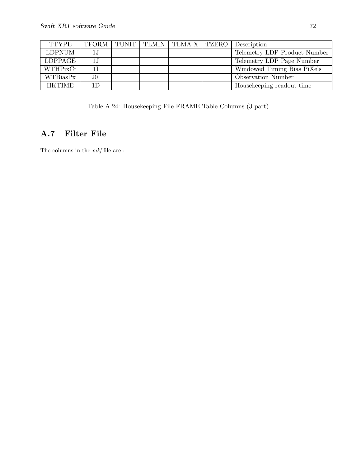| <b>TTYPE</b>  |                |  | TFORM   TUNIT   TLMIN   TLMA X   TZERO | Description                  |
|---------------|----------------|--|----------------------------------------|------------------------------|
| <b>LDPNUM</b> | 1J             |  |                                        | Telemetry LDP Product Number |
| LDPPAGE       | 1J             |  |                                        | Telemetry LDP Page Number    |
| WTHPixCt      |                |  |                                        | Windowed Timing Bias PiXels  |
| WTBiasPx      | 20I            |  |                                        | <b>Observation Number</b>    |
| <b>HKTIME</b> | 1 <sub>D</sub> |  |                                        | Housekeeping readout time    |

Table A.24: Housekeeping File FRAME Table Columns (3 part)

## A.7 Filter File

The columns in the  $\mathit{mkf}$  file are :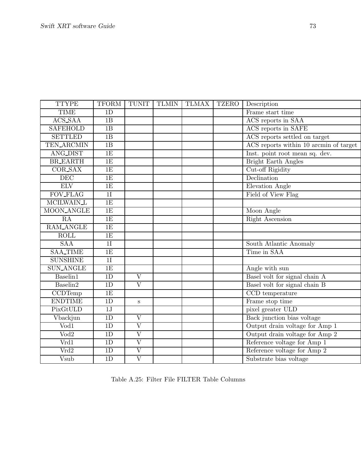| <b>TTYPE</b>                | <b>TFORM</b>    | <b>TUNIT</b>            | <b>TLMIN</b> | <b>TLMAX</b> | <b>TZERO</b> | Description                            |
|-----------------------------|-----------------|-------------------------|--------------|--------------|--------------|----------------------------------------|
| <b>TIME</b>                 | 1D              |                         |              |              |              | Frame start time                       |
| ACS_SAA                     | 1B              |                         |              |              |              | ACS reports in SAA                     |
| <b>SAFEHOLD</b>             | 1B              |                         |              |              |              | ACS reports in SAFE                    |
| <b>SETTLED</b>              | 1B              |                         |              |              |              | ACS reports settled on target          |
| <b>TEN_ARCMIN</b>           | 1B              |                         |              |              |              | ACS reports within 10 arcmin of target |
| <b>ANG_DIST</b>             | 1E              |                         |              |              |              | Inst. point root mean sq. dev.         |
| <b>BR_EARTH</b>             | 1E              |                         |              |              |              | <b>Bright Earth Angles</b>             |
| <b>COR_SAX</b>              | 1E              |                         |              |              |              | Cut-off Rigidity                       |
| DEC                         | 1E              |                         |              |              |              | Declination                            |
| <b>ELV</b>                  | 1E              |                         |              |              |              | Elevation Angle                        |
| <b>FOV_FLAG</b>             | $1\overline{1}$ |                         |              |              |              | Field of View Flag                     |
| <b>MCILWAIN_L</b>           | $\overline{1E}$ |                         |              |              |              |                                        |
| <b>MOON_ANGLE</b>           | 1E              |                         |              |              |              | Moon Angle                             |
| RA                          | 1E              |                         |              |              |              | <b>Right Ascension</b>                 |
| <b>RAM_ANGLE</b>            | 1E              |                         |              |              |              |                                        |
| <b>ROLL</b>                 | 1E              |                         |              |              |              |                                        |
| SAA                         | $\overline{1I}$ |                         |              |              |              | South Atlantic Anomaly                 |
| <b>SAA_TIME</b>             | $\overline{1E}$ |                         |              |              |              | Time in SAA                            |
| <b>SUNSHINE</b>             | 1I              |                         |              |              |              |                                        |
| <b>SUN_ANGLE</b>            | 1E              |                         |              |              |              | Angle with sun                         |
| Baselin1                    | 1D              | $\overline{\mathrm{V}}$ |              |              |              | Basel volt for signal chain A          |
| Baselin2                    | 1D              | $\overline{\mathrm{V}}$ |              |              |              | Basel volt for signal chain B          |
| $\overline{\text{CCDTemp}}$ | 1E              |                         |              |              |              | CCD temperature                        |
| <b>ENDTIME</b>              | 1D              | S                       |              |              |              | Frame stop time                        |
| PixGtULD                    | 1J              |                         |              |              |              | pixel greater ULD                      |
| Vbackjun                    | 1D              | $\overline{\mathrm{V}}$ |              |              |              | Back junction bias voltage             |
| $\overline{\text{Vod}1}$    | 1D              | $\overline{V}$          |              |              |              | Output drain voltage for Amp 1         |
| $\overline{\text{Vod2}}$    | 1D              | $\overline{\mathrm{V}}$ |              |              |              | Output drain voltage for Amp 2         |
| Vrd1                        | 1D              | $\overline{\mathrm{V}}$ |              |              |              | Reference voltage for Amp 1            |
| Vrd2                        | 1D              | $\overline{\mathrm{V}}$ |              |              |              | Reference voltage for Amp 2            |
| <b>Vsub</b>                 | 1D              | $\overline{\mathrm{V}}$ |              |              |              | Substrate bias voltage                 |

Table A.25: Filter File FILTER Table Columns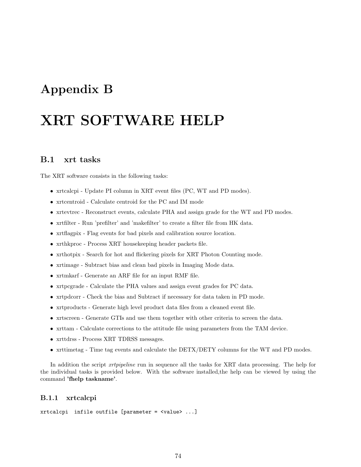## Appendix B

# XRT SOFTWARE HELP

## B.1 xrt tasks

The XRT software consists in the following tasks:

- xrtcalcpi Update PI column in XRT event files (PC, WT and PD modes).
- xrtcentroid Calculate centroid for the PC and IM mode
- xrtevtrec Reconstruct events, calculate PHA and assign grade for the WT and PD modes.
- xrtfilter Run 'prefilter' and 'makefilter' to create a filter file from HK data.
- xrtflagpix Flag events for bad pixels and calibration source location.
- xrthkproc Process XRT housekeeping header packets file.
- xrthotpix Search for hot and flickering pixels for XRT Photon Counting mode.
- xrtimage Subtract bias and clean bad pixels in Imaging Mode data.
- xrtmkarf Generate an ARF file for an input RMF file.
- xrtpcgrade Calculate the PHA values and assign event grades for PC data.
- xrtpdcorr Check the bias and Subtract if necessary for data taken in PD mode.
- xrtproducts Generate high level product data files from a cleaned event file.
- xrtscreen Generate GTIs and use them together with other criteria to screen the data.
- xrttam Calculate corrections to the attitude file using parameters from the TAM device.
- xrttdrss Process XRT TDRSS messages.
- xrttimetag Time tag events and calculate the DETX/DETY columns for the WT and PD modes.

In addition the script *xrtpipeline* run in sequence all the tasks for XRT data processing. The help for the individual tasks is provided below. With the software installed,the help can be viewed by using the command 'fhelp taskname'.

## B.1.1 xrtcalcpi

xrtcalcpi infile outfile [parameter = <value> ...]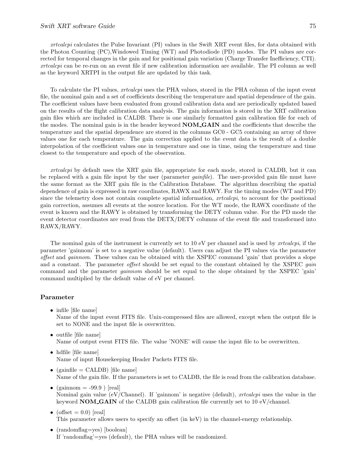#### Swift XRT software Guide 75

xrtcalcpi calculates the Pulse Invariant (PI) values in the Swift XRT event files, for data obtained with the Photon Counting (PC),Windowed Timing (WT) and Photodiode (PD) modes. The PI values are corrected for temporal changes in the gain and for positional gain variation (Charge Transfer Inefficiency, CTI). xrtcalcpi can be re-run on an event file if new calibration information are available. The PI column as well as the keyword XRTPI in the output file are updated by this task.

To calculate the PI values, xrtcalcpi uses the PHA values, stored in the PHA column of the input event file, the nominal gain and a set of coefficients describing the temperature and spatial dependence of the gain. The coefficient values have been evaluated from ground calibration data and are periodically updated based on the results of the flight calibration data analysis. The gain information is stored in the XRT calibration gain files which are included in CALDB. There is one similarly formatted gain calibration file for each of the modes. The nominal gain is in the header keyword **NOM\_GAIN** and the coefficients that describe the temperature and the spatial dependence are stored in the columns GC0 - GC5 containing an array of three values one for each temperature. The gain correction applied to the event data is the result of a double interpolation of the coefficient values one in temperature and one in time, using the temperature and time closest to the temperature and epoch of the observation.

xrtcalcpi by default uses the XRT gain file, appropriate for each mode, stored in CALDB, but it can be replaced with a gain file input by the user (parameter *gainfile*). The user-provided gain file must have the same format as the XRT gain file in the Calibration Database. The algorithm describing the spatial dependence of gain is expressed in raw coordinates, RAWX and RAWY. For the timing modes (WT and PD) since the telemetry does not contain complete spatial information, *xrtcalcpi*, to account for the positional gain correction, assumes all events at the source location. For the WT mode, the RAWX coordinate of the event is known and the RAWY is obtained by transforming the DETY column value. For the PD mode the event detector coordinates are read from the DETX/DETY columns of the event file and transformed into RAWX/RAWY.

The nominal gain of the instrument is currently set to  $10 \text{ eV}$  per channel and is used by *xrtcalcpi*, if the parameter 'gainnom' is set to a negative value (default). Users can adjust the PI values via the parameter offset and gainnom. These values can be obtained with the XSPEC command 'gain' that provides a slope and a constant. The parameter offset should be set equal to the constant obtained by the XSPEC gain command and the parameter *gainnom* should be set equal to the slope obtained by the XSPEC 'gain' command multiplied by the default value of eV per channel.

#### Parameter

• infile [file name]

Name of the input event FITS file. Unix-compressed files are allowed, except when the output file is set to NONE and the input file is overwritten.

- outfile [file name] Name of output event FITS file. The value 'NONE' will cause the input file to be overwritten.
- hdfile [file name] Name of input Housekeeping Header Packets FITS file.
- (gainfile  $=$  CALDB) [file name] Name of the gain file. If the parameters is set to CALDB, the file is read from the calibration database.
- (gainnom  $= -99.9$ ) [real] Nominal gain value (eV/Channel). If 'gainnom' is negative (default),  $xrtcalcpi$  uses the value in the keyword NOM GAIN of the CALDB gain calibration file currently set to 10 eV/channel.
- (offset  $= 0.0$ ) [real] This parameter allows users to specify an offset (in keV) in the channel-energy relationship.
- (randomflag=yes) [boolean] If 'randomflag'=yes (default), the PHA values will be randomized.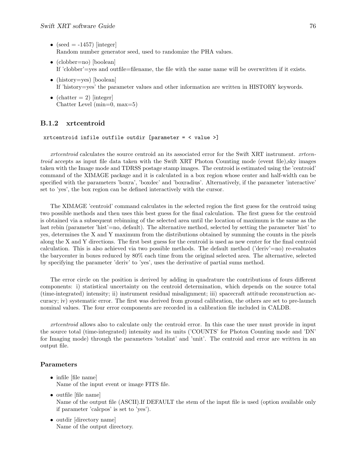- (seed  $= -1457$ ) [integer] Random number generator seed, used to randomize the PHA values.
- (clobber=no) [boolean] If 'clobber'=yes and outfile=filename, the file with the same name will be overwritten if it exists.
- (history=yes) [boolean] If 'history=yes' the parameter values and other information are written in HISTORY keywords.
- (chatter  $= 2$ ) [integer] Chatter Level (min=0, max=5)

## B.1.2 xrtcentroid

xrtcentroid infile outfile outdir [parameter = < value >]

xrtcentroid calculates the source centroid an its associated error for the Swift XRT instrument. xrtcentroid accepts as input file data taken with the Swift XRT Photon Counting mode (event file),sky images taken with the Image mode and TDRSS postage stamp images. The centroid is estimated using the 'centroid' command of the XIMAGE package and it is calculated in a box region whose center and half-width can be specified with the parameters 'boxra', 'boxdec' and 'boxradius'. Alternatively, if the parameter 'interactive' set to 'yes', the box region can be defined interactively with the cursor.

The XIMAGE 'centroid' command calculates in the selected region the first guess for the centroid using two possible methods and then uses this best guess for the final calculation. The first guess for the centroid is obtained via a subsequent rebinning of the selected area until the location of maximum is the same as the last rebin (parameter 'hist'=no, default). The alternative method, selected by setting the parameter 'hist' to yes, determines the X and Y maximum from the distributions obtained by summing the counts in the pixels along the X and Y directions. The first best guess for the centroid is used as new center for the final centroid calculation. This is also achieved via two possible methods. The default method ('deriv'=no) re-evaluates the barycenter in boxes reduced by 80% each time from the original selected area. The alternative, selected by specifying the parameter 'deriv' to 'yes', uses the derivative of partial sums method.

The error circle on the position is derived by adding in quadrature the contributions of fours different components: i) statistical uncertainty on the centroid determination, which depends on the source total (time-integrated) intensity; ii) instrument residual misalignment; iii) spacecraft attitude reconstruction accuracy; iv) systematic error. The first was derived from ground calibration, the others are set to pre-launch nominal values. The four error components are recorded in a calibration file included in CALDB.

xrtcentroid allows also to calculate only the centroid error. In this case the user must provide in input the source total (time-integrated) intensity and its units ('COUNTS' for Photon Counting mode and 'DN' for Imaging mode) through the parameters 'totalint' and 'unit'. The centroid and error are written in an output file.

- infile [file name] Name of the input event or image FITS file.
- outfile [file name] Name of the output file (ASCII).If DEFAULT the stem of the input file is used (option available only if parameter 'calcpos' is set to 'yes').
- outdir [directory name] Name of the output directory.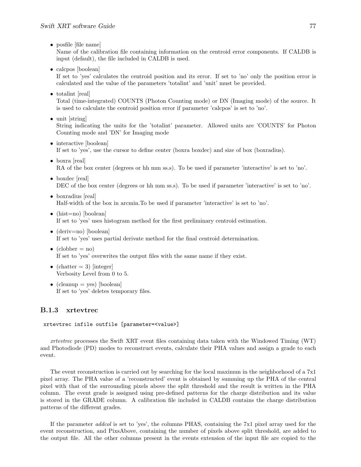• posfile [file name]

Name of the calibration file containing information on the centroid error components. If CALDB is input (default), the file included in CALDB is used.

• calcpos [boolean]

If set to 'yes' calculates the centroid position and its error. If set to 'no' only the position error is calculated and the value of the parameters 'totalint' and 'unit' must be provided.

• totalint [real]

Total (time-integrated) COUNTS (Photon Counting mode) or DN (Imaging mode) of the source. It is used to calculate the centroid position error if parameter 'calcpos' is set to 'no'.

• unit [string]

String indicating the units for the 'totalint' parameter. Allowed units are 'COUNTS' for Photon Counting mode and 'DN' for Imaging mode

- interactive [boolean] If set to 'yes', use the cursor to define center (boxra boxdec) and size of box (boxradius).
- boxra [real] RA of the box center (degrees or hh mm ss.s). To be used if parameter 'interactive' is set to 'no'.
- boxdec [real] DEC of the box center (degrees or hh mm ss.s). To be used if parameter 'interactive' is set to 'no'.
- boxradius [real] Half-width of the box in arcmin.To be used if parameter 'interactive' is set to 'no'.
- (hist=no) [boolean] If set to 'yes' uses histogram method for the first preliminary centroid estimation.
- (deriv=no) [boolean] If set to 'yes' uses partial derivate method for the final centroid determination.
- $(clobber = no)$ If set to 'yes' overwrites the output files with the same name if they exist.
- (chatter  $= 3$ ) [integer] Verbosity Level from 0 to 5.
- (cleanup  $=$  yes) [boolean] If set to 'yes' deletes temporary files.

## B.1.3 xrtevtrec

## xrtevtrec infile outfile [parameter=<value>]

xrtevtrec processes the Swift XRT event files containing data taken with the Windowed Timing (WT) and Photodiode (PD) modes to reconstruct events, calculate their PHA values and assign a grade to each event.

The event reconstruction is carried out by searching for the local maximun in the neighborhood of a 7x1 pixel array. The PHA value of a 'reconstructed' event is obtained by summing up the PHA of the central pixel with that of the surrounding pixels above the split threshold and the result is written in the PHA column. The event grade is assigned using pre-defined patterns for the charge distribution and its value is stored in the GRADE column. A calibration file included in CALDB contains the charge distribution patterns of the different grades.

If the parameter addcol is set to 'yes', the columns PHAS, containing the 7x1 pixel array used for the event reconstruction, and PixsAbove, containing the number of pixels above split threshold, are added to the output file. All the other columns present in the events extension of the input file are copied to the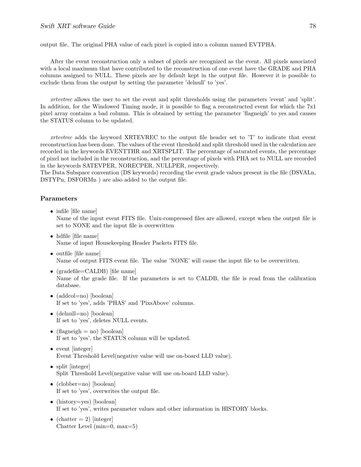output file. The original PHA value of each pixel is copied into a column named EVTPHA.

After the event reconstruction only a subset of pixels are recognized as the event. All pixels associated with a local maximum that have contributed to the reconstruction of one event have the GRADE and PHA columns assigned to NULL. These pixels are by default kept in the output file. However it is possible to exclude them from the output by setting the parameter 'delnull' to 'yes'.

xrtevtrec allows the user to set the event and split thresholds using the parameters 'event' and 'split'. In addition, for the Windowed Timing mode, it is possible to flag a reconstructed event for which the 7x1 pixel array contains a bad column. This is obtained by setting the parameter 'flagneigh' to yes and causes the STATUS column to be updated.

xrtevtrec adds the keyword XRTEVREC to the output file header set to 'T' to indicate that event reconstruction has been done. The values of the event threshold and split threshold used in the calculation are recorded in the keywords EVENTTHR and XRTSPLIT. The percentage of saturated events, the percentage of pixel not included in the reconstruction, and the percentage of pixels with PHA set to NULL are recorded in the keywords SATEVPER, NORECPER, NULLPER, respectively.

The Data Subspace convention (DS keywords) recording the event grade values present in the file (DSVALn, DSTYPn, DSFORMn ) are also added to the output file.

- infile [file name] Name of the input event FITS file. Unix-compressed files are allowed, except when the output file is set to NONE and the input file is overwritten
- hdfile [file name] Name of input Housekeeping Header Packets FITS file.
- outfile [file name] Name of output FITS event file. The value 'NONE' will cause the input file to be overwritten.
- (gradefile=CALDB) [file name] Name of the grade file. If the parameters is set to CALDB, the file is read from the calibration database.
- (addcol=no) [boolean] If set to 'yes', adds 'PHAS' and 'PixsAbove' columns.
- (delnull=no) [boolean] If set to 'yes', deletes NULL events.
- (flagneigh  $=$  no) [boolean] If set to 'yes', the STATUS column will be updated.
- event [integer] Event Threshold Level(negative value will use on-board LLD value).
- split [integer] Split Threshold Level(negative value will use on-board LLD value).
- (clobber=no) [boolean] If set to 'yes', overwrites the output file.
- (history=yes) [boolean] If set to 'yes', writes parameter values and other information in HISTORY blocks.
- (chatter  $= 2$ ) [integer] Chatter Level (min=0, max=5)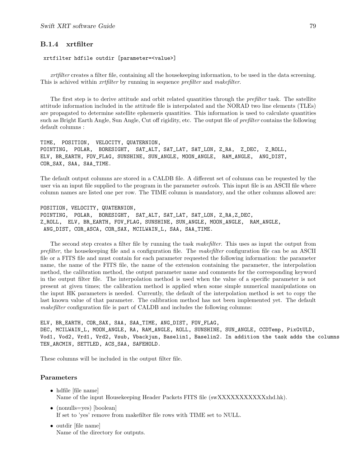## B.1.4 xrtfilter

#### xrtfilter hdfile outdir [parameter=<value>]

xrtfilter creates a filter file, containing all the housekeeping information, to be used in the data screening. This is achived within *xrtfilter* by running in sequence *prefilter* and *makefilter*.

The first step is to derive attitude and orbit related quantities through the *prefilter* task. The satellite attitude information included in the attitude file is interpolated and the NORAD two line elements (TLEs) are propagated to determine satellite ephemeris quantities. This information is used to calculate quantities such as Bright Earth Angle, Sun Angle, Cut off rigidity, etc. The output file of prefilter contains the following default columns :

TIME, POSITION, VELOCITY, QUATERNION, POINTING, POLAR, BORESIGHT, SAT\_ALT, SAT\_LAT, SAT\_LON, Z\_RA, Z\_DEC, Z\_ROLL, ELV, BR\_EARTH, FOV\_FLAG, SUNSHINE, SUN\_ANGLE, MOON\_ANGLE, RAM\_ANGLE, ANG\_DIST, COR\_SAX, SAA, SAA\_TIME.

The default output columns are stored in a CALDB file. A different set of columns can be requested by the user via an input file supplied to the program in the parameter *outcols*. This input file is an ASCII file where column names are listed one per row. The TIME column is mandatory, and the other columns allowed are:

POSITION, VELOCITY, QUATERNION, POINTING, POLAR, BORESIGHT, SAT\_ALT, SAT\_LAT, SAT\_LON, Z\_RA,Z\_DEC, Z\_ROLL, ELV, BR\_EARTH, FOV\_FLAG, SUNSHINE, SUN\_ANGLE, MOON\_ANGLE, RAM\_ANGLE, ANG\_DIST, COR\_ASCA, COR\_SAX, MCILWAIN\_L, SAA, SAA\_TIME.

The second step creates a filter file by running the task *makefilter*. This uses as input the output from prefilter, the house keeping file and a configuration file. The *makefilter* configuration file can be an ASCII file or a FITS file and must contain for each parameter requested the following information: the parameter name, the name of the FITS file, the name of the extension containing the parameter, the interpolation method, the calibration method, the output parameter name and comments for the corresponding keyword in the output filter file. The interpolation method is used when the value of a specific parameter is not present at given times; the calibration method is applied when some simple numerical manipulations on the input HK parameters is needed. Currently, the default of the interpolation method is set to copy the last known value of that parameter. The calibration method has not been implemented yet. The default makefilter configuration file is part of CALDB and includes the following columns:

ELV, BR\_EARTH, COR\_SAX, SAA, SAA\_TIME, ANG\_DIST, FOV\_FLAG, DEC, MCILWAIN\_L, MOON\_ANGLE, RA, RAM\_ANGLE, ROLL, SUNSHINE, SUN\_ANGLE, CCDTemp, PixGtULD, Vod1, Vod2, Vrd1, Vrd2, Vsub, Vbackjun, Baselin1, Baselin2. In addition the task adds the columns TEN\_ARCMIN, SETTLED, ACS\_SAA, SAFEHOLD.

These columns will be included in the output filter file.

- hdfile [file name] Name of the input Housekeeping Header Packets FITS file (swXXXXXXXXXXXXxhd.hk).
- (nonulls=yes) [boolean] If set to 'yes' remove from makefilter file rows with TIME set to NULL.
- outdir [file name] Name of the directory for outputs.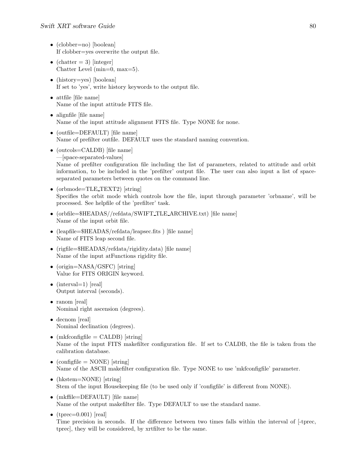- (clobber=no) [boolean] If clobber=yes overwrite the output file.
- (chatter  $= 3$ ) [integer] Chatter Level (min=0, max=5).
- (history=yes) [boolean] If set to 'yes', write history keywords to the output file.
- attfile [file name] Name of the input attitude FITS file.
- alignfile [file name] Name of the input attitude alignment FITS file. Type NONE for none.
- (outfile=DEFAULT) [file name] Name of prefilter outfile. DEFAULT uses the standard naming convention.
- (outcols=CALDB) [file name] —[space-separated-values] Name of prefilter configuration file including the list of parameters, related to attitude and orbit information, to be included in the 'prefilter' output file. The user can also input a list of spaceseparated parameters between quotes on the command line.
- (orbmode=TLE\_TEXT2) [string] Specifies the orbit mode which controls how the file, input through parameter 'orbname', will be processed. See helpfile of the 'prefilter' task.
- (orbfile=\$HEADAS//refdata/SWIFT\_TLE\_ARCHIVE.txt) [file name] Name of the input orbit file.
- (leapfile=\$HEADAS/refdata/leapsec.fits) [file name] Name of FITS leap second file.
- (rigfile=\$HEADAS/refdata/rigidity.data) [file name] Name of the input atFunctions rigidity file.
- (origin=NASA/GSFC) [string] Value for FITS ORIGIN keyword.
- $(interval=1)$  [real] Output interval (seconds).
- ranom [real] Nominal right ascension (degrees).
- decnom [real] Nominal declination (degrees).
- (mkfconfigfile  $=$  CALDB) [string] Name of the input FITS makefilter configuration file. If set to CALDB, the file is taken from the calibration database.
- (configfile  $=$  NONE) [string] Name of the ASCII makefilter configuration file. Type NONE to use 'mkfconfigfile' parameter.
- (hkstem=NONE) [string] Stem of the input Housekeeping file (to be used only if 'configfile' is different from NONE).
- (mkffile=DEFAULT) [file name] Name of the output makefilter file. Type DEFAULT to use the standard name.
- (tprec= $0.001$ ) [real] Time precision in seconds. If the difference between two times falls within the interval of [-tprec, tprec], they will be considered, by xrtfilter to be the same.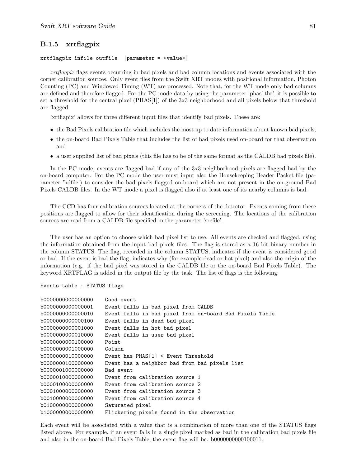## B.1.5 xrtflagpix

#### xrtflagpix infile outfile [parameter = <value>]

xrtflagpix flags events occurring in bad pixels and bad column locations and events associated with the corner calibration sources. Only event files from the Swift XRT modes with positional information, Photon Counting (PC) and Windowed Timing (WT) are processed. Note that, for the WT mode only bad columns are defined and therefore flagged. For the PC mode data by using the parameter 'phas1thr', it is possible to set a threshold for the central pixel (PHAS[1]) of the 3x3 neighborhood and all pixels below that threshold are flagged.

'xrtflapix' allows for three different input files that identify bad pixels. These are:

- the Bad Pixels calibration file which includes the most up to date information about known bad pixels,
- the on-board Bad Pixels Table that includes the list of bad pixels used on-board for that observation and
- a user supplied list of bad pixels (this file has to be of the same format as the CALDB bad pixels file).

In the PC mode, events are flagged bad if any of the 3x3 neighborhood pixels are flagged bad by the on-board computer. For the PC mode the user must input also the Housekeeping Header Packet file (parameter 'hdfile') to consider the bad pixels flagged on-board which are not present in the on-ground Bad Pixels CALDB files. In the WT mode a pixel is flagged also if at least one of its nearby columns is bad.

The CCD has four calibration sources located at the corners of the detector. Events coming from these positions are flagged to allow for their identification during the screening. The locations of the calibration sources are read from a CALDB file specified in the parameter 'srcfile'.

The user has an option to choose which bad pixel list to use. All events are checked and flagged, using the information obtained from the input bad pixels files. The flag is stored as a 16 bit binary number in the column STATUS. The flag, recorded in the column STATUS, indicates if the event is considered good or bad. If the event is bad the flag, indicates why (for example dead or hot pixel) and also the origin of the information (e.g. if the bad pixel was stored in the CALDB file or the on-board Bad Pixels Table). The keyword XRTFLAG is added in the output file by the task. The list of flags is the following:

Events table : STATUS flags

```
b0000000000000000 Good event
b0000000000000001 Event falls in bad pixel from CALDB
b0000000000000010 Event falls in bad pixel from on-board Bad Pixels Table
b0000000000000100 Event falls in dead bad pixel
b0000000000001000 Event falls in hot bad pixel
b0000000000010000 Event falls in user bad pixel
b0000000000100000 Point
b0000000001000000 Column
b0000000010000000 Event has PHAS[1] < Event Threshold
b0000000100000000 Event has a neighbor bad from bad pixels list
b0000001000000000 Bad event
b0000010000000000 Event from calibration source 1
b0000100000000000 Event from calibration source 2
b0001000000000000 Event from calibration source 3
b0010000000000000 Event from calibration source 4
b0100000000000000 Saturated pixel
b1000000000000000 Flickering pixels found in the observation
```
Each event will be associated with a value that is a combination of more than one of the STATUS flags listed above. For example, if an event falls in a single pixel marked as bad in the calibration bad pixels file and also in the on-board Bad Pixels Table, the event flag will be: b0000000000100011.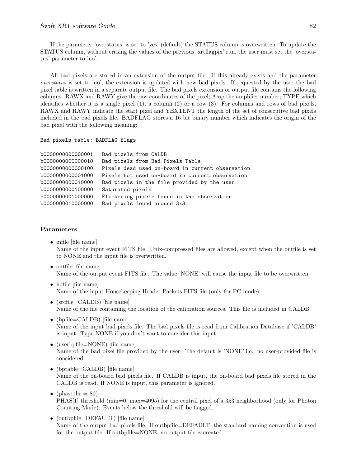#### Swift XRT software Guide 82

If the parameter 'overstatus' is set to 'yes' (default) the STATUS column is overwritten. To update the STATUS column, without erasing the values of the previous 'xrtflagpix' run, the user must set the 'overstatus' parameter to 'no'.

All bad pixels are stored in an extension of the output file. If this already exists and the parameter overstatus is set to 'no', the extension is updated with new bad pixels. If requested by the user the bad pixel table is written in a separate output file. The bad pixels extension or output file contains the following columns: RAWX and RAWY give the raw coordinates of the pixel; Amp the amplifier number; TYPE which identifies whether it is a single pixel (1), a column (2) or a row (3). For columns and rows of bad pixels, RAWX and RAWY indicate the start pixel and YEXTENT the length of the set of consecutive bad pixels included in the bad pixels file. BADFLAG stores a 16 bit binary number which indicates the origin of the bad pixel with the following meaning:

```
Bad pixels table: BADFLAG flags
```

```
b0000000000000001 Bad pixels from CALDB
b0000000000000010 Bad pixels from Bad Pixels Table
b0000000000000100 Pixels dead used on-board in current observation
b0000000000001000 Pixels hot used on-board in current observation
b0000000000010000 Bad pixels in the file provided by the user
b0000000000100000 Saturated pixels
b0000000001000000 Flickering pixels found in the observation
b0000000010000000 Bad pixels found around 3x3
```
- infile [file name] Name of the input event FITS file. Unix-compressed files are allowed, except when the outfile is set to NONE and the input file is overwritten.
- outfile [file name] Name of the output event FITS file. The value 'NONE' will cause the input file to be overwritten.
- hdfile [file name] Name of the input Housekeeping Header Packets FITS file (only for PC mode).
- (srcfile=CALDB) [file name] Name of the file containing the location of the calibration sources. This file is included in CALDB.
- (bpfile=CALDB) [file name] Name of the input bad pixels file. The bad pixels file is read from Calibration Database if 'CALDB' is input. Type NONE if you don't want to consider this input.
- (userbpfile=NONE) [file name] Name of the bad pixel file provided by the user. The default is 'NONE',i.e., no user-provided file is considered.
- (bptable=CALDB) [file name] Name of the on-board bad pixels file. If CALDB is input, the on-board bad pixels file stored in the CALDB is read. If NONE is input, this parameter is ignored.
- (phas1thr  $= 80$ ) PHAS[1] threshold (min=0, max=4095) for the central pixel of a 3x3 neighborhood (only for Photon Counting Mode). Events below the threshold will be flagged.
- (outbpfile=DEFAULT) [file name] Name of the output bad pixels file. If outbpfile=DEFAULT, the standard naming convention is used for the output file. If outbpfile=NONE, no output file is created.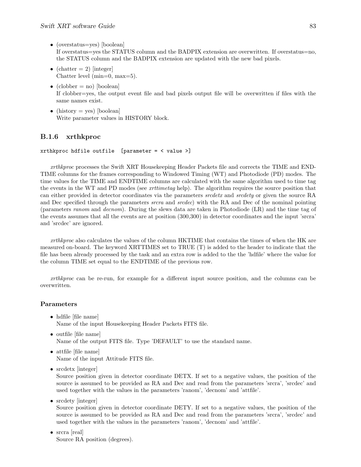- (overstatus=yes) [boolean] If overstatus=yes the STATUS column and the BADPIX extension are overwritten. If overstatus=no, the STATUS column and the BADPIX extension are updated with the new bad pixels.
- (chatter  $= 2$ ) [integer] Chatter level  $(min=0, max=5)$ .
- (clobber = no) [boolean] If clobber=yes, the output event file and bad pixels output file will be overwritten if files with the same names exist.
- (history  $=$  yes) [boolean] Write parameter values in HISTORY block.

## B.1.6 xrthkproc

```
xrthkproc hdfile outfile [parameter = \langle value \rangle]
```
xrthkproc processes the Swift XRT Housekeeping Header Packets file and corrects the TIME and END-TIME columns for the frames corresponding to Windowed Timing (WT) and Photodiode (PD) modes. The time values for the TIME and ENDTIME columns are calculated with the same algorithm used to time tag the events in the WT and PD modes (see xrttimetag help). The algorithm requires the source position that can either provided in detector coordinates via the parameters *srcdetx* and *srcdety* or given the source RA and Dec specified through the parameters *srcra* and *srcdec*) with the RA and Dec of the nominal pointing (parameters ranom and decnom). During the slews data are taken in Photodiode (LR) and the time tag of the events assumes that all the events are at position (300,300) in detector coordinates and the input 'srcra' and 'srcdec' are ignored.

xrthkproc also calculates the values of the column HKTIME that contains the times of when the HK are measured on-board. The keyword XRTTIMES set to TRUE (T) is added to the header to indicate that the file has been already processed by the task and an extra row is added to the the 'hdfile' where the value for the column TIME set equal to the ENDTIME of the previous row.

xrthkproc can be re-run, for example for a different input source position, and the columns can be overwritten.

## Parameters

- hdfile [file name] Name of the input Housekeeping Header Packets FITS file.
- outfile [file name] Name of the output FITS file. Type 'DEFAULT' to use the standard name.
- attfile [file name] Name of the input Attitude FITS file.
- srcdetx [integer]

Source position given in detector coordinate DETX. If set to a negative values, the position of the source is assumed to be provided as RA and Dec and read from the parameters 'srcra', 'srcdec' and used together with the values in the parameters 'ranom', 'decnom' and 'attfile'.

• srcdety [integer]

Source position given in detector coordinate DETY. If set to a negative values, the position of the source is assumed to be provided as RA and Dec and read from the parameters 'srcra', 'srcdec' and used together with the values in the parameters 'ranom', 'decnom' and 'attfile'.

• srcra [real] Source RA position (degrees).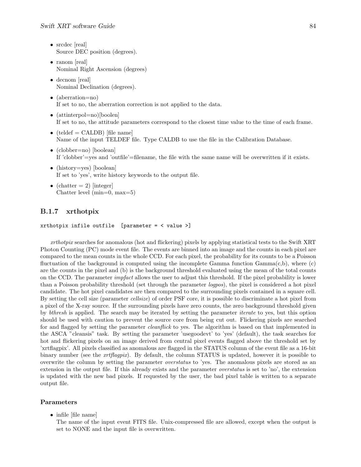- srcdec [real] Source DEC position (degrees).
- ranom [real] Nominal Right Ascension (degrees)
- decnom [real] Nominal Declination (degrees).
- (aberration=no) If set to no, the aberration correction is not applied to the data.
- (attinterpol=no)[boolen] If set to no, the attitude parameters correspond to the closest time value to the time of each frame.
- (teldef = CALDB) [file name] Name of the input TELDEF file. Type CALDB to use the file in the Calibration Database.
- (clobber=no) [boolean] If 'clobber'=yes and 'outfile'=filename, the file with the same name will be overwritten if it exists.
- (history=yes) [boolean] If set to 'yes', write history keywords to the output file.
- (chatter  $= 2$ ) [integer] Chatter level (min=0, max=5)

## B.1.7 xrthotpix

```
xrthotpix infile outfile [parameter = \langle value >]
```
xrthotpix searches for anomalous (hot and flickering) pixels by applying statistical tests to the Swift XRT Photon Counting (PC) mode event file. The events are binned into an image and the counts in each pixel are compared to the mean counts in the whole CCD. For each pixel, the probability for its counts to be a Poisson fluctuation of the background is computed using the incomplete Gamma function  $Gamma(c,b)$ , where  $(c)$ are the counts in the pixel and (b) is the background threshold evaluated using the mean of the total counts on the CCD. The parameter impfact allows the user to adjust this threshold. If the pixel probability is lower than a Poisson probability threshold (set through the parameter logpos), the pixel is considered a hot pixel candidate. The hot pixel candidates are then compared to the surrounding pixels contained in a square cell. By setting the cell size (parameter cellsize) of order PSF core, it is possible to discriminate a hot pixel from a pixel of the X-ray source. If the surrounding pixels have zero counts, the zero background threshold given by bthresh is applied. The search may be iterated by setting the parameter iterate to yes, but this option should be used with caution to prevent the source core from being cut out. Flickering pixels are searched for and flagged by setting the parameter *cleanflick* to yes. The algorithm is based on that implemented in the ASCA "cleansis" task. By setting the parameter 'usegoodevt' to 'yes' (default), the task searches for hot and flickering pixels on an image derived from central pixel events flagged above the threshold set by 'xrtflagpix'. All pixels classified as anomalous are flagged in the STATUS column of the event file as a 16-bit binary number (see the *xrtflagpix*). By default, the column STATUS is updated, however it is possible to overwrite the column by setting the parameter overstatus to 'yes. The anomalous pixels are stored as an extension in the output file. If this already exists and the parameter overstatus is set to 'no', the extension is updated with the new bad pixels. If requested by the user, the bad pixel table is written to a separate output file.

## Parameters

• infile [file name]

The name of the input event FITS file. Unix-compressed file are allowed, except when the output is set to NONE and the input file is overwritten.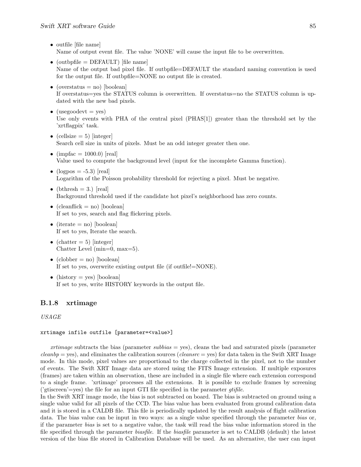- outfile [file name] Name of output event file. The value 'NONE' will cause the input file to be overwritten.
- (outbpfile  $=$  DEFAULT) [file name] Name of the output bad pixel file. If outbpfile=DEFAULT the standard naming convention is used for the output file. If outbpfile=NONE no output file is created.
- (overstatus  $=$  no) [boolean] If overstatus=yes the STATUS column is overwritten. If overstatus=no the STATUS column is updated with the new bad pixels.
- (usegoodevt  $=$  yes) Use only events with PHA of the central pixel (PHAS[1]) greater than the threshold set by the 'xrtflagpix' task.
- (cellsize  $= 5$ ) [integer] Search cell size in units of pixels. Must be an odd integer greater then one.
- (impfac = 1000.0) [real] Value used to compute the background level (input for the incomplete Gamma function).
- (logpos  $= -5.3$ ) [real] Logarithm of the Poisson probability threshold for rejecting a pixel. Must be negative.
- (bthresh  $= 3$ .) [real] Background threshold used if the candidate hot pixel's neighborhood has zero counts.
- (cleanflick  $=$  no) [boolean] If set to yes, search and flag flickering pixels.
- (iterate = no) [boolean] If set to yes, Iterate the search.
- (chatter  $= 5$ ) [integer] Chatter Level (min=0, max=5).
- (clobber = no) [boolean] If set to yes, overwrite existing output file (if outfile!=NONE).
- (history  $=$  yes) [boolean] If set to yes, write HISTORY keywords in the output file.

## B.1.8 xrtimage

## USAGE

## xrtimage infile outfile [parameter=<value>]

xrtimage subtracts the bias (parameter subbias  $=$  yes), cleans the bad and saturated pixels (parameter  $cleanbp = yes)$ , and eliminates the calibration sources (*cleansrc* = yes) for data taken in the Swift XRT Image mode. In this mode, pixel values are proportional to the charge collected in the pixel, not to the number of events. The Swift XRT Image data are stored using the FITS Image extension. If multiple exposures (frames) are taken within an observation, these are included in a single file where each extension correspond to a single frame. 'xrtimage' processes all the extensions. It is possible to exclude frames by screening  $('gtiscreen' = yes)$  the file for an input GTI file specified in the parameter *gtifile*.

In the Swift XRT image mode, the bias is not subtracted on board. The bias is subtracted on ground using a single value valid for all pixels of the CCD. The bias value has been evaluated from ground calibration data and it is stored in a CALDB file. This file is periodically updated by the result analysis of flight calibration data. The bias value can be input in two ways: as a single value specified through the parameter bias or, if the parameter bias is set to a negative value, the task will read the bias value information stored in the file specified through the parameter biasfile. If the biasfile parameter is set to CALDB (default) the latest version of the bias file stored in Calibration Database will be used. As an alternative, the user can input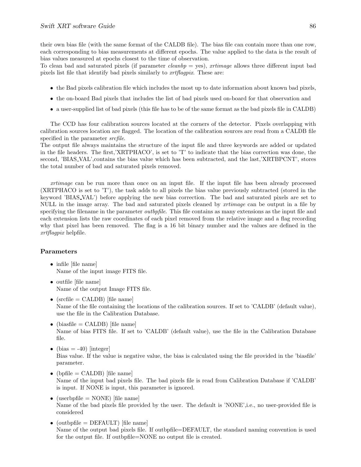their own bias file (with the same format of the CALDB file). The bias file can contain more than one row, each corresponding to bias measurements at different epochs. The value applied to the data is the result of bias values measured at epochs closest to the time of observation.

To clean bad and saturated pixels (if parameter *cleanbp* = yes), xrtimage allows three different input bad pixels list file that identify bad pixels similarly to xrtflagpix. These are:

- the Bad pixels calibration file which includes the most up to date information about known bad pixels,
- the on-board Bad pixels that includes the list of bad pixels used on-board for that observation and
- a user-supplied list of bad pixels (this file has to be of the same format as the bad pixels file in CALDB)

The CCD has four calibration sources located at the corners of the detector. Pixels overlapping with calibration sources location are flagged. The location of the calibration sources are read from a CALDB file specified in the parameter *srcfile*.

The output file always maintains the structure of the input file and three keywords are added or updated in the file headers. The first,'XRTPHACO', is set to 'T' to indicate that the bias correction was done, the second, 'BIAS VAL',contains the bias value which has been subtracted, and the last,'XRTBPCNT', stores the total number of bad and saturated pixels removed.

xrtimage can be run more than once on an input file. If the input file has been already processed (XRTPHACO is set to 'T'), the task adds to all pixels the bias value previously subtracted (stored in the keyword 'BIAS VAL') before applying the new bias correction. The bad and saturated pixels are set to NULL in the image array. The bad and saturated pixels cleaned by xrtimage can be output in a file by specifying the filename in the parameter *outbpfile*. This file contains as many extensions as the input file and each extension lists the raw coordinates of each pixel removed from the relative image and a flag recording why that pixel has been removed. The flag is a 16 bit binary number and the values are defined in the xrtflagpix helpfile.

- infile [file name] Name of the input image FITS file.
- outfile [file name] Name of the output Image FITS file.
- $(srefile = CALDB)$  [file name] Name of the file containing the locations of the calibration sources. If set to 'CALDB' (default value), use the file in the Calibration Database.
- (biasfile  $=$  CALDB) [file name] Name of bias FITS file. If set to 'CALDB' (default value), use the file in the Calibration Database file.
- (bias  $= -40$ ) [integer] Bias value. If the value is negative value, the bias is calculated using the file provided in the 'biasfile' parameter.
- (bpfile  $=$  CALDB) [file name] Name of the input bad pixels file. The bad pixels file is read from Calibration Database if 'CALDB' is input. If NONE is input, this parameter is ignored.
- (userbpfile  $=$  NONE) [file name] Name of the bad pixels file provided by the user. The default is 'NONE',i.e., no user-provided file is considered
- (outbpfile  $=$  DEFAULT) [file name] Name of the output bad pixels file. If outbpfile=DEFAULT, the standard naming convention is used for the output file. If outbpfile=NONE no output file is created.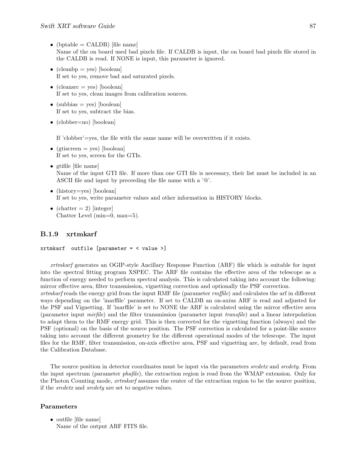- (bptable  $=$  CALDB) [file name] Name of the on board used bad pixels file. If CALDB is input, the on board bad pixels file stored in the CALDB is read. If NONE is input, this parameter is ignored.
- (cleanbp = yes) [boolean] If set to yes, remove bad and saturated pixels.
- (cleansrc = yes) [boolean] If set to yes, clean images from calibration sources.
- (subbias = yes) [boolean] If set to yes, subtract the bias.
- (clobber=no) [boolean]

If 'clobber'=yes, the file with the same name will be overwritten if it exists.

- (gtiscreen  $=$  yes) [boolean] If set to yes, screen for the GTIs.
- gtifile [file name] Name of the input GTI file. If more than one GTI file is necessary, their list must be included in an ASCII file and input by preceeding the file name with a '@'.
- (history=yes) [boolean] If set to yes, write parameter values and other information in HISTORY blocks.
- (chatter  $= 2$ ) [integer] Chatter Level (min=0, max=5).

## B.1.9 xrtmkarf

## xrtmkarf outfile [parameter = < value >]

xrtmkarf generates an OGIP-style Ancillary Response Function (ARF) file which is suitable for input into the spectral fitting program XSPEC. The ARF file contains the effective area of the telescope as a function of energy needed to perform spectral analysis. This is calculated taking into account the following: mirror effective area, filter transmission, vignetting correction and optionally the PSF correction.

xrtmkarf reads the energy grid from the input RMF file (parameter rmffile) and calculates the arf in different ways depending on the 'inarffile' parameter. If set to CALDB an on-axius ARF is read and adjusted for the PSF and Vignetting. If 'inarffile' is set to NONE the ARF is calculated using the mirror effective area (parameter input mirfile) and the filter transmission (parameter input transfile) and a linear interpolation to adapt them to the RMF energy grid. This is then corrected for the vignetting function (always) and the PSF (optional) on the basis of the source position. The PSF correction is calculated for a point-like source taking into account the different geometry for the different operational modes of the telescope. The input files for the RMF, filter transmission, on-axis effective area, PSF and vignetting are, by default, read from the Calibration Database.

The source position in detector coordinates must be input via the parameters srcdetx and srcdety. From the input spectrum (parameter phafile), the extraction region is read from the WMAP extension. Only for the Photon Counting mode, xrtmkarf assumes the center of the extraction region to be the source position, if the srcdetx and srcdety are set to negative values.

## Parameters

• outfile [file name] Name of the output ARF FITS file.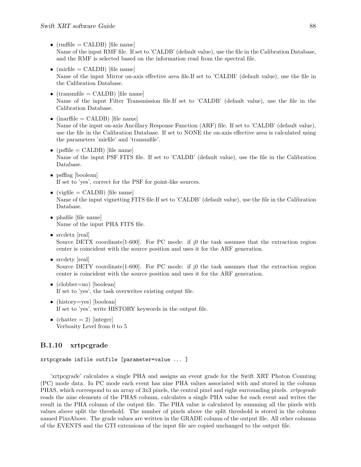- $(rmfile = CALDB)$  [file name] Name of the input RMF file. If set to 'CALDB' (default value), use the file in the Calibration Database, and the RMF is selected based on the information read from the spectral file.
- (mirfile  $=$  CALDB) [file name] Name of the input Mirror on-axis effective area file.If set to 'CALDB' (default value), use the file in the Calibration Database.
- $(transmfile = CALDB)$  [file name] Name of the input Filter Transmission file.If set to 'CALDB' (default value), use the file in the Calibration Database.
- $(inarfile = CALDB)$  [file name] Name of the input on-axis Ancillary Response Function (ARF) file. If set to 'CALDB' (default value), use the file in the Calibration Database. If set to NONE the on-axis effective area is calculated using the parameters 'mirfile' and 'transmfile'.
- ( $psfile = CALDB$ ) [file name] Name of the input PSF FITS file. If set to 'CALDB' (default value), use the file in the Calibration Database.
- psfflag [boolean] If set to 'yes', correct for the PSF for point-like sources.
- (vigfile  $=$  CALDB) [file name] Name of the input vignetting FITS file.If set to 'CALDB' (default value), use the file in the Calibration Database.
- phafile [file name] Name of the input PHA FITS file.
- srcdetx  $\lbrack \text{real} \rbrack$ Source DETX coordinate  $[1-600]$ . For PC mode: if  $[0]$  the task assumes that the extraction region center is coincident with the source position and uses it for the ARF generation.
- srcdety [real] Source DETY coordinate  $[1-600]$ . For PC mode: if  $[0]$  the task assumes that the extraction region center is coincident with the source position and uses it for the ARF generation.
- (clobber=no) [boolean] If set to 'yes', the task overwrites existing output file.
- (history=yes) [boolean] If set to 'yes', write HISTORY keywords in the output file.
- (chatter  $= 2$ ) [integer] Verbosity Level from 0 to 5

## B.1.10 xrtpcgrade

## xrtpcgrade infile outfile [parameter=value ... ]

'xrtpcgrade' calculates a single PHA and assigns an event grade for the Swift XRT Photon Counting (PC) mode data. In PC mode each event has nine PHA values associated with and stored in the column PHAS, which correspond to an array of 3x3 pixels, the central pixel and eight surrounding pixels. *xrtpcgrade* reads the nine elements of the PHAS column, calculates a single PHA value for each event and writes the result in the PHA column of the output file. The PHA value is calculated by summing all the pixels with values above split the threshold. The number of pixels above the split threshold is stored in the column named PixsAbove. The grade values are written in the GRADE column of the output file. All other columns of the EVENTS and the GTI extensions of the input file are copied unchanged to the output file.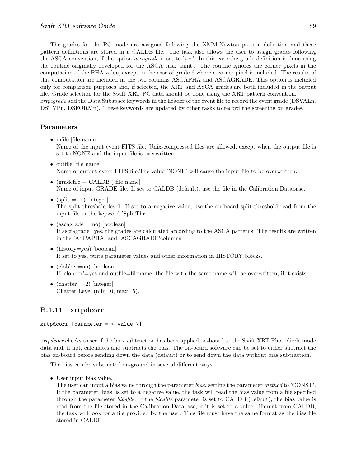The grades for the PC mode are assigned following the XMM-Newton pattern definition and these pattern definitions are stored in a CALDB file. The task also allows the user to assign grades following the ASCA convention, if the option ascagrade is set to 'yes'. In this case the grade definition is done using the routine originally developed for the ASCA task 'faint'. The routine ignores the corner pixels in the computation of the PHA value, except in the case of grade 6 where a corner pixel is included. The results of this computation are included in the two columns ASCAPHA and ASCAGRADE. This option is included only for comparison purposes and, if selected, the XRT and ASCA grades are both included in the output file. Grade selection for the Swift XRT PC data should be done using the XRT pattern convention. xrtpcgrade add the Data Subspace keywords in the header of the event file to record the event grade (DSVALn, DSTYPn, DSFORMn). These keywords are updated by other tasks to record the screening on grades.

#### Parameters

- infile [file name] Name of the input event FITS file. Unix-compressed files are allowed, except when the output file is set to NONE and the input file is overwritten.
- outfile [file name] Name of output event FITS file.The value 'NONE' will cause the input file to be overwritten.
- (gradefile  $=$  CALDB ) [file name] Name of input GRADE file. If set to CALDB (default), use the file in the Calibration Database.
- (split  $= -1$ ) [integer] The split threshold level. If set to a negative value, use the on-board split threshold read from the input file in the keyword 'SplitThr'.
- (ascagrade  $=$  no) [boolean] If ascragrade=yes, the grades are calculated according to the ASCA patterns. The results are written in the 'ASCAPHA' and 'ASCAGRADE'columns.
- (history=yes) [boolean] If set to yes, write parameter values and other information in HISTORY blocks.
- (clobber=no) [boolean] If 'clobber'=yes and outfile=filename, the file with the same name will be overwritten, if it exists.
- (chatter  $= 2$ ) [integer] Chatter Level (min=0, max=5).

## B.1.11 xrtpdcorr

## xrtpdcorr [parameter = < value >]

xrtpdcorr checks to see if the bias subtraction has been applied on-board to the Swift XRT Photodiode mode data and, if not, calculates and subtracts the bias. The on-board software can be set to either subtract the bias on-board before sending down the data (default) or to send down the data without bias subtraction.

The bias can be subtructed on-ground in several different ways:

• User input bias value.

The user can input a bias value through the parameter bias, setting the parameter method to 'CONST'. If the parameter 'bias' is set to a negative value, the task will read the bias value from a file specified through the parameter biasfile. If the biasfile parameter is set to CALDB (default), the bias value is read from the file stored in the Calibration Database, if it is set to a value different from CALDB, the task will look for a file provided by the user. This file must have the same format as the bias file stored in CALDB.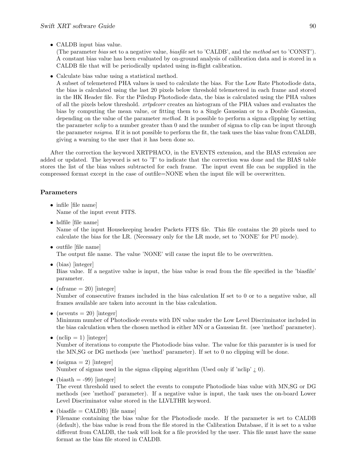• CALDB input bias value.

(The parameter bias set to a negative value, biasfile set to 'CALDB', and the method set to 'CONST'). A constant bias value has been evaluated by on-ground analysis of calibration data and is stored in a CALDB file that will be periodically updated using in-flight calibration.

• Calculate bias value using a statistical method.

A subset of telemetered PHA values is used to calculate the bias. For the Low Rate Photodiode data, the bias is calculated using the last 20 pixels below threshold telemetered in each frame and stored in the HK Header file. For the Piledup Photodiode data, the bias is calculated using the PHA values of all the pixels below threshold. xrtpdcorr creates an histogram of the PHA values and evaluates the bias by computing the mean value, or fitting them to a Single Gaussian or to a Double Gaussian, depending on the value of the parameter method. It is possible to perform a sigma clipping by setting the parameter  $nclip$  to a number greater than 0 and the number of sigma to clip can be input through the parameter nsigma. If it is not possible to perform the fit, the task uses the bias value from CALDB, giving a warning to the user that it has been done so.

After the correction the keyword XRTPHACO, in the EVENTS extension, and the BIAS extension are added or updated. The keyword is set to 'T' to indicate that the correction was done and the BIAS table stores the list of the bias values subtracted for each frame. The input event file can be supplied in the compressed format except in the case of outfile=NONE when the input file will be overwritten.

## Parameters

- infile [file name] Name of the input event FITS.
- hdfile [file name] Name of the input Housekeeping header Packets FITS file. This file contains the 20 pixels used to calculate the bias for the LR. (Necessary only for the LR mode, set to 'NONE' for PU mode).
- outfile [file name] The output file name. The value 'NONE' will cause the input file to be overwritten.
- (bias) [integer]

Bias value. If a negative value is input, the bias value is read from the file specified in the 'biasfile' parameter.

• (nframe  $= 20$ ) [integer]

Number of consecutive frames included in the bias calculation If set to 0 or to a negative value, all frames available are taken into account in the bias calculation.

- (nevents  $= 20$ ) [integer] Minimum number of Photodiode events with DN value under the Low Level Discriminator included in the bias calculation when the chosen method is either MN or a Gaussian fit. (see 'method' parameter).
- $(nclip = 1)$  [integer] Number of iterations to compute the Photodiode bias value. The value for this paramter is is used for the MN,SG or DG methods (see 'method' parameter). If set to 0 no clipping will be done.
- (nsigma  $= 2$ ) [integer] Number of sigmas used in the sigma clipping algorithm (Used only if 'nclip'  $i$ , 0).
- (biasth  $= -99$ ) [integer]

The event threshold used to select the events to compute Photodiode bias value with MN,SG or DG methods (see 'method' parameter). If a negative value is input, the task uses the on-board Lower Level Discriminator value stored in the LLVLTHR keyword.

• (biasfile  $=$  CALDB) [file name]

Filename containing the bias value for the Photodiode mode. If the parameter is set to CALDB (default), the bias value is read from the file stored in the Calibration Database, if it is set to a value different from CALDB, the task will look for a file provided by the user. This file must have the same format as the bias file stored in CALDB.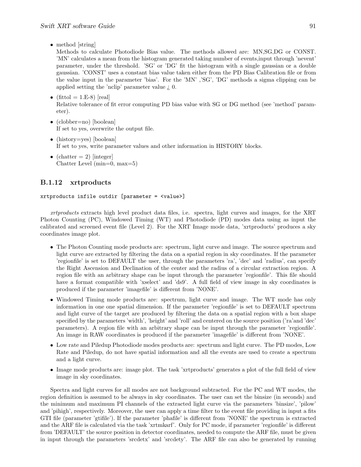• method [string]

Methods to calculate Photodiode Bias value. The methods allowed are: MN,SG,DG or CONST. 'MN' calculates a mean from the histogram generated taking number of events,input through 'nevent' parameter, under the threshold. 'SG' or 'DG' fit the histogram with a single gaussian or a double gaussian. 'CONST' uses a constant bias value taken either from the PD Bias Calibration file or from the value input in the parameter 'bias'. For the 'MN' ,'SG', 'DG' methods a sigma clipping can be applied setting the 'nclip' parameter value ¿ 0.

- (fittol = 1.E-8) [real] Relative tolerance of fit error computing PD bias value with SG or DG method (see 'method' parameter).
- (clobber=no) [boolean] If set to yes, overwrite the output file.
- (history=yes) [boolean] If set to yes, write parameter values and other information in HISTORY blocks.
- (chatter  $= 2$ ) [integer] Chatter Level  $(min=0, max=5)$

## B.1.12 xrtproducts

xrtproducts infile outdir  $[parameter = \langle value \rangle]$ 

xrtproducts extracts high level product data files, i.e. spectra, light curves and images, for the XRT Photon Counting (PC), Windowed Timing (WT) and Photodiode (PD) modes data using as input the calibrated and screened event file (Level 2). For the XRT Image mode data, 'xrtproducts' produces a sky coordinates image plot.

- The Photon Counting mode products are: spectrum, light curve and image. The source spectrum and light curve are extracted by filtering the data on a spatial region in sky coordinates. If the parameter 'regionfile' is set to DEFAULT the user, through the parameters 'ra', 'dec' and 'radius', can specify the Right Ascension and Declination of the center and the radius of a circular extraction region. A region file with an arbitrary shape can be input through the parameter 'regionfile'. This file should have a format compatible with 'xselect' and 'ds9'. A full field of view image in sky coordinates is produced if the parameter 'imagefile' is different from 'NONE'.
- Windowed Timing mode products are: spectrum, light curve and image. The WT mode has only information in one one spatial dimension. If the parameter 'regionfile' is set to DEFAULT spectrum and light curve of the target are produced by filtering the data on a spatial region with a box shape specified by the parameters 'width', 'height' and 'roll' and centered on the source position ('ra'and 'dec' parameters). A region file with an arbitrary shape can be input through the parameter 'regionfile'. An image in RAW coordinates is produced if the parameter 'imagefile' is different from 'NONE'.
- Low rate and Piledup Photodiode modes products are: spectrum and light curve. The PD modes, Low Rate and Piledup, do not have spatial information and all the events are used to create a spectrum and a light curve.
- Image mode products are: image plot. The task 'xrtproducts' generates a plot of the full field of view image in sky coordinates.

Spectra and light curves for all modes are not background subtracted. For the PC and WT modes, the region definition is assumed to be always in sky coordinates. The user can set the binsize (in seconds) and the minimum and maximum PI channels of the extracted light curve via the parameters 'binsize', 'pilow' and 'pihigh', respectively. Moreover, the user can apply a time filter to the event file providing in input a fits GTI file (parameter 'gtifile'). If the parameter 'phafile' is different from 'NONE' the spectrum is extracted and the ARF file is calculated via the task 'xrtmkarf'. Only for PC mode, if parameter 'regionfile' is different from 'DEFAULT' the source position in detector coordinates, needed to compute the ARF file, must be given in input through the parameters 'srcdetx' and 'srcdety'. The ARF file can also be generated by running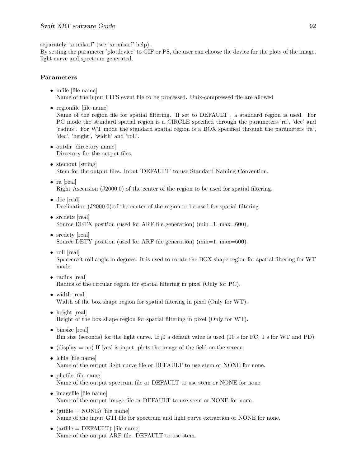separately 'xrtmkarf' (see 'xrtmkarf' help).

By setting the parameter 'plotdevice' to GIF or PS, the user can choose the device for the plots of the image, light curve and spectrum generated.

## Parameters

- infile [file name] Name of the input FITS event file to be processed. Unix-compressed file are allowed
- regionfile [file name] Name of the region file for spatial filtering. If set to DEFAULT , a standard region is used. For PC mode the standard spatial region is a CIRCLE specified through the parameters 'ra', 'dec' and 'radius'. For WT mode the standard spatial region is a BOX specified through the parameters 'ra', 'dec', 'height', 'width' and 'roll'.
- outdir [directory name] Directory for the output files.
- stemout [string] Stem for the output files. Input 'DEFAULT' to use Standard Naming Convention.
- ra [real] Right Ascension (J2000.0) of the center of the region to be used for spatial filtering.
- dec [real] Declination (J2000.0) of the center of the region to be used for spatial filtering.
- srcdetx [real] Source DETX position (used for ARF file generation) (min=1, max=600).
- srcdety [real] Source DETY position (used for ARF file generation) ( $min=1$ ,  $max=600$ ).
- roll [real]

Spacecraft roll angle in degrees. It is used to rotate the BOX shape region for spatial filtering for WT mode.

- radius [real] Radius of the circular region for spatial filtering in pixel (Only for PC).
- width [real] Width of the box shape region for spatial filtering in pixel (Only for WT).
- height [real] Height of the box shape region for spatial filtering in pixel (Only for WT).
- binsize [real] Bin size (seconds) for the light curve. If  ${}_{1}0$  a default value is used (10 s for PC, 1 s for WT and PD).
- (display  $=$  no) If 'yes' is input, plots the image of the field on the screen.
- lcfile [file name] Name of the output light curve file or DEFAULT to use stem or NONE for none.
- phafile [file name] Name of the output spectrum file or DEFAULT to use stem or NONE for none.
- imagefile [file name] Name of the output image file or DEFAULT to use stem or NONE for none.
- (gtifile  $=$  NONE) [file name] Name of the input GTI file for spectrum and light curve extraction or NONE for none.
- $(\text{arfile} = \text{DEFAULT})$  [file name] Name of the output ARF file. DEFAULT to use stem.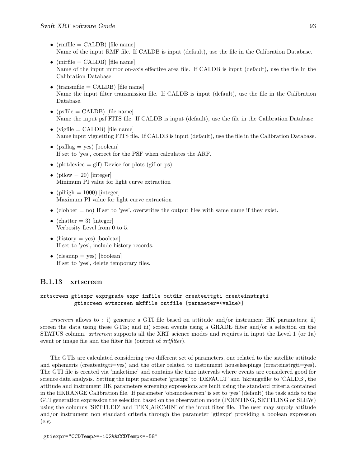- $(rmfile = CALDB)$  [file name] Name of the input RMF file. If CALDB is input (default), use the file in the Calibration Database.
- (mirfile  $=$  CALDB) [file name] Name of the input mirror on-axis effective area file. If CALDB is input (default), use the file in the Calibration Database.
- $(transmfile = CALDB)$  [file name] Name the input filter transmission file. If CALDB is input (default), use the file in the Calibration Database.
- $(psffile = CALDB)$  [file name] Name the input psf FITS file. If CALDB is input (default), use the file in the Calibration Database.
- (vigfile  $=$  CALDB) [file name] Name input vignetting FITS file. If CALDB is input (default), use the file in the Calibration Database.
- ( $psfflag = yes$ ) [boolean] If set to 'yes', correct for the PSF when calculates the ARF.
- (plotdevice  $=$  gif) Device for plots (gif or ps).
- (pilow  $= 20$ ) [integer] Minimum PI value for light curve extraction
- (pihigh  $= 1000$ ) [integer] Maximum PI value for light curve extraction
- (clobber  $=$  no) If set to 'yes', overwrites the output files with same name if they exist.
- (chatter  $= 3$ ) [integer] Verbosity Level from 0 to 5.
- (history  $=$  yes) [boolean] If set to 'yes', include history records.
- (cleanup = yes) [boolean] If set to 'yes', delete temporary files.

## B.1.13 xrtscreen

## xrtscreen gtiexpr exprgrade expr infile outdir createattgti createinstrgti gtiscreen evtscreen mkffile outfile [parameter=<value>]

xrtscreen allows to : i) generate a GTI file based on attitude and/or instrument HK parameters; ii) screen the data using these GTIs; and iii) screen events using a GRADE filter and/or a selection on the STATUS column. xrtscreen supports all the XRT science modes and requires in input the Level 1 (or 1a) event or image file and the filter file (output of *xrtfilter*).

The GTIs are calculated considering two different set of parameters, one related to the satellite attitude and ephemeris (createattgti=yes) and the other related to instrument housekeepings (createinstrgti=yes). The GTI file is created via 'maketime' and contains the time intervals where events are considered good for science data analysis. Setting the input parameter 'gtiexpr' to 'DEFAULT' and 'hkrangefile' to 'CALDB', the attitude and instrument HK parameters screening expressions are built using the standard criteria contained in the HKRANGE Calibration file. If parameter 'obsmodescreen' is set to 'yes' (default) the task adds to the GTI generation expression the selection based on the observation mode (POINTING, SETTLING or SLEW) using the columns 'SETTLED' and 'TEN ARCMIN' of the input filter file. The user may supply attitude and/or instrument non standard criteria through the parameter 'gtiexpr' providing a boolean expression (e.g.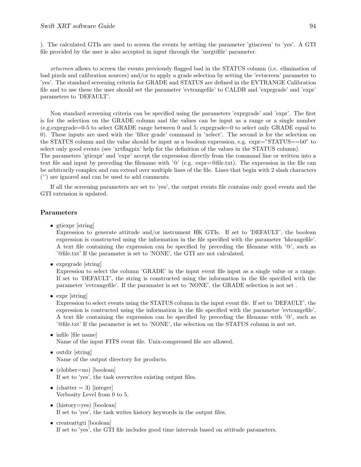). The calculated GTIs are used to screen the events by setting the parameter 'gtiscreen' to 'yes'. A GTI file provided by the user is also accepted in input through the 'usrgtifile' parameter.

xrtscreen allows to screen the events previously flagged bad in the STATUS column (i.e. elimination of bad pixels and calibration sources) and/or to apply a grade selection by setting the 'evtscreen' parameter to 'yes'. The standard screening criteria for GRADE and STATUS are defined in the EVTRANGE Calibration file and to use these the user should set the parameter 'evtrangefile' to CALDB and 'exprgrade' and 'expr' parameters to 'DEFAULT'.

Non standard screening criteria can be specified using the parameters 'exprgrade' and 'expr'. The first is for the selection on the GRADE column and the values can be input as a range or a single number (e.g.exprgrade=0-5 to select GRADE range between 0 and 5; exprgrade=0 to select only GRADE equal to 0). These inputs are used with the 'filter grade' command in 'xelect'. The second is for the selection on the STATUS column and the value should be input as a boolean expression, e.g. expr="STATUS==b0" to select only good events (see 'xrtflagpix' help for the definition of the values in the STATUS column).

The parameters 'gtiexpr' and 'expr' accept the expression directly from the command line or written into a text file and input by preceding the filename with '@' (e.g. expr=@file.txt). The expression in the file can be arbitrarily complex and can extend over multiple lines of the file. Lines that begin with 2 slash characters ('') are ignored and can be used to add comments.

If all the screening parameters are set to 'yes', the output events file contains only good events and the GTI extension is updated.

#### Parameters

• gtiexpr [string]

Expression to generate attitude and/or instrument HK GTIs. If set to 'DEFAULT', the boolean expression is constructed using the information in the file specified with the parameter 'hkrangefile'. A text file containing the expression can be specified by preceding the filename with '@', such as '@file.txt' If the paramater is set to 'NONE', the GTI are not calculated.

• expressede [string]

Expression to select the column 'GRADE' in the input event file input as a single value or a range. If set to 'DEFAULT', the string is constructed using the information in the file specified with the parameter 'evtrangefile'. If the paramater is set to 'NONE', the GRADE selection is not set .

• expr [string]

Expression to select events using the STATUS column in the input event file. If set to 'DEFAULT', the expression is contructed using the information in the file specified with the parameter 'evtrangefile'. A text file containing the expression can be specified by preceding the filename with '@', such as '@file.txt' If the parameter is set to 'NONE', the selection on the STATUS column is not set.

- infile [file name] Name of the input FITS event file. Unix-compressed file are allowed.
- outdir [string] Name of the output directory for products.
- (clobber=no) [boolean] If set to 'yes', the task overwrites existing output files.
- (chatter  $= 3$ ) [integer] Verbosity Level from 0 to 5.
- (history=yes) [boolean] If set to 'yes', the task writes history keywords in the output files.
- createattgti [boolean] If set to 'yes', the GTI file includes good time intervals based on attitude parameters.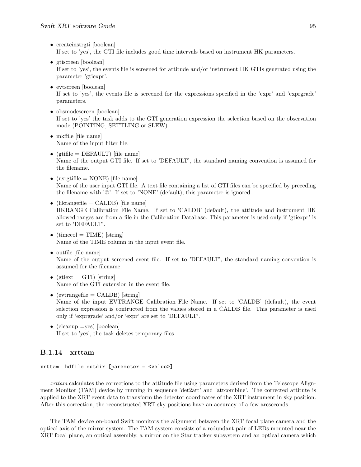- createinstrgti [boolean] If set to 'yes', the GTI file includes good time intervals based on instrument HK parameters.
- gtiscreen [boolean] If set to 'yes', the events file is screened for attitude and/or instrument HK GTIs generated using the parameter 'gtiexpr'.
- evtscreen [boolean] If set to 'yes', the events file is screened for the expressions specified in the 'expr' and 'exprgrade' parameters.
- obsmodescreen [boolean] If set to 'yes' the task adds to the GTI generation expression the selection based on the observation mode (POINTING, SETTLING or SLEW).
- mkffile [file name] Name of the input filter file.
- (gtifile  $=$  DEFAULT) [file name] Name of the output GTI file. If set to 'DEFAULT', the standard naming convention is assumed for the filename.
- (usrgtifile  $=$  NONE) [file name] Name of the user input GTI file. A text file containing a list of GTI files can be specified by preceding the filename with '@'. If set to 'NONE' (default), this parameter is ignored.
- (hkrangefile  $=$  CALDB) [file name] HKRANGE Calibration File Name. If set to 'CALDB' (default), the attitude and instrument HK allowed ranges are from a file in the Calibration Database. This parameter is used only if 'gtiexpr' is set to 'DEFAULT'.
- (timecol = TIME) [string] Name of the TIME column in the input event file.
- outfile [file name] Name of the output screened event file. If set to 'DEFAULT', the standard naming convention is assumed for the filename.
- (gtiext  $= GTI$ ) [string] Name of the GTI extension in the event file.
- (evtrangefile  $=$  CALDB) [string] Name of the input EVTRANGE Calibration File Name. If set to 'CALDB' (default), the event selection expression is contructed from the values stored in a CALDB file. This parameter is used only if 'exprgrade' and/or 'expr' are set to 'DEFAULT'.
- (cleanup =yes) [boolean] If set to 'yes', the task deletes temporary files.

## B.1.14 xrttam

```
xrttam hdfile outdir [parameter = <value>]
```
xrttam calculates the corrections to the attitude file using parameters derived from the Telescope Alignment Monitor (TAM) device by running in sequence 'det2att' and 'attcombine'. The corrected attitute is applied to the XRT event data to transform the detector coordinates of the XRT instrument in sky position. After this correction, the reconstructed XRT sky positions have an accuracy of a few arcseconds.

The TAM device on-board Swift monitors the alignment between the XRT focal plane camera and the optical axis of the mirror system. The TAM system consists of a redundant pair of LEDs mounted near the XRT focal plane, an optical assembly, a mirror on the Star tracker subsystem and an optical camera which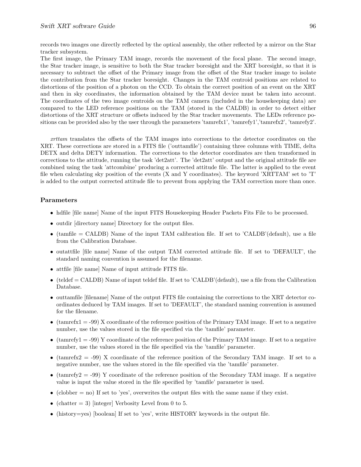The first image, the Primary TAM image, records the movement of the focal plane. The second image, the Star tracker image, is sensitive to both the Star tracker boresight and the XRT boresight, so that it is necessary to subtract the offset of the Primary image from the offset of the Star tracker image to isolate the contribution from the Star tracker boresight. Changes in the TAM centroid positions are related to distortions of the position of a photon on the CCD. To obtain the correct position of an event on the XRT and then in sky coordinates, the information obtained by the TAM device must be taken into account. The coordinates of the two image centroids on the TAM camera (included in the housekeeping data) are compared to the LED reference positions on the TAM (stored in the CALDB) in order to detect either distortions of the XRT structure or offsets induced by the Star tracker movements. The LEDs reference positions can be provided also by the user through the parameters 'tamrefx1', 'tamrefy1','tamrefx2', 'tamrefy2'.

xrttam translates the offsets of the TAM images into corrections to the detector coordinates on the XRT. These corrections are stored in a FITS file ('outtamfile') containing three columns with TIME, delta DETX and delta DETY information. The corrections to the detector coordinates are then transformed in corrections to the attitude, running the task 'det2att'. The 'det2att' output and the original attitude file are combined using the task 'attcombine' producing a corrected attitude file. The latter is applied to the event file when calculating sky position of the events (X and Y coordinates). The keyword 'XRTTAM' set to 'T' is added to the output corrected attitude file to prevent from applying the TAM correction more than once.

- hdfile [file name] Name of the input FITS Housekeeping Header Packets Fits File to be processed.
- outdir directory name Directory for the output files.
- $\bullet$  (tamfile = CALDB) Name of the input TAM calibration file. If set to 'CALDB'(default), use a file from the Calibration Database.
- outattfile [file name] Name of the output TAM corrected attitude file. If set to 'DEFAULT', the standard naming convention is assumed for the filename.
- attfile [file name] Name of input attitude FITS file.
- $\bullet$  (teldef = CALDB) Name of input teldef file. If set to 'CALDB'(default), use a file from the Calibration Database.
- outtamfile [filename] Name of the output FITS file containing the corrections to the XRT detector coordinates deduced by TAM images. If set to 'DEFAULT', the standard naming convention is assumed for the filename.
- (tamrefx1 = -99) X coordinate of the reference position of the Primary TAM image. If set to a negative number, use the values stored in the file specified via the 'tamfile' parameter.
- (tamrefy  $1 = -99$ ) Y coordinate of the reference position of the Primary TAM image. If set to a negative number, use the values stored in the file specified via the 'tamfile' parameter.
- (tamrefx2 = -99) X coordinate of the reference position of the Secondary TAM image. If set to a negative number, use the values stored in the file specified via the 'tamfile' parameter.
- (tamrefy  $2 = -99$ ) Y coordinate of the reference position of the Secondary TAM image. If a negative value is input the value stored in the file specified by 'tamfile' parameter is used.
- (clobber  $=$  no) If set to 'yes', overwrites the output files with the same name if they exist.
- (chatter  $= 3$ ) [integer] Verbosity Level from 0 to 5.
- (history=yes) [boolean] If set to 'yes', write HISTORY keywords in the output file.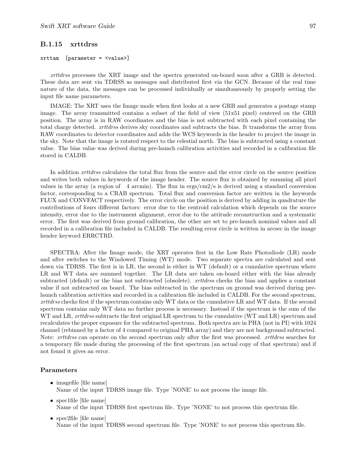## B.1.15 xrttdrss

#### xrttam [parameter = <value>]

xrttdrss processes the XRT image and the spectra generated on-board soon after a GRB is detected. These data are sent via TDRSS as messages and distributed first via the GCN. Because of the real time nature of the data, the messages can be processed individually or simultaneously by properly setting the input file name parameters.

IMAGE: The XRT uses the Image mode when first looks at a new GRB and generates a postage stamp image. The array transmitted contains a subset of the field of view (51x51 pixel) centered on the GRB position. The array is in RAW coordinates and the bias is not subtracted with each pixel containing the total charge detected. xrttdrss derives sky coordinates and subtracts the bias. It transforms the array from RAW coordinates to detector coordinates and adds the WCS keywords in the header to project the image in the sky. Note that the image is rotated respect to the celestial north. The bias is subtracted using a constant value. The bias value was derived during pre-launch calibration activities and recorded in a calibration file stored in CALDB.

In addition *xrttdrss* calculates the total flux from the source and the error circle on the source position and writes both values in keywords of the image header. The source flux is obtained by summing all pixel values in the array (a region of 4 arcmin). The flux in ergs/ $\text{cm2/s}$  is derived using a standard conversion factor, corresponding to a CRAB spectrum. Total flux and conversion factor are written in the keywords FLUX and CONVFACT respectively. The error circle on the position is derived by adding in quadrature the contributions of fours different factors: error due to the centroid calculation which depends on the source intensity, error due to the instrument alignment, error due to the attitude reconstruction and a systematic error. The first was derived from ground calibration, the other are set to pre-launch nominal values and all recorded in a calibration file included in CALDB. The resulting error circle is written in arcsec in the image header keyword ERRCTRD.

SPECTRA: After the Image mode, the XRT operates first in the Low Rate Photodiode (LR) mode and after switches to the Windowed Timing (WT) mode. Two separate spectra are calculated and sent down via TDRSS. The first is in LR, the second is either in WT (default) or a cumulative spectrum where LR and WT data are summed together. The LR data are taken on-board either with the bias already subtracted (default) or the bias not subtracted (obsolete). *xrttdrss* checks the bias and applies a constant value if not subtracted on board. The bias subtracted in the spectrum on ground was derived during prelaunch calibration activities and recorded in a calibration file included in CALDB. For the second spectrum, xrttdrss checks first if the spectrum contains only WT data or the cumulative LR and WT data. If the second spectrum contains only WT data no further process is necessary. Instead if the spectrum is the sum of the WT and LR, *xrttdrss* subtracts the first original LR spectrum to the cumulative (WT and LR) spectrum and recalculates the proper exposure for the subtracted spectrum. Both spectra are in PHA (not in PI) with 1024 channel (rebinned by a factor of 4 compared to original PHA array) and they are not background subtracted. Note: *xrttdrss* can operate on the second spectrum only after the first was processed. *xrttdrss* searches for a temporary file made during the processing of the first spectrum (an actual copy of that spectrum) and if not found it gives an error.

- imagefile [file name] Name of the input TDRSS image file. Type 'NONE' to not process the image file.
- spec1file [file name] Name of the input TDRSS first spectrum file. Type 'NONE' to not process this spectrum file.
- spec2file [file name] Name of the input TDRSS second spectrum file. Type 'NONE' to not process this spectrum file.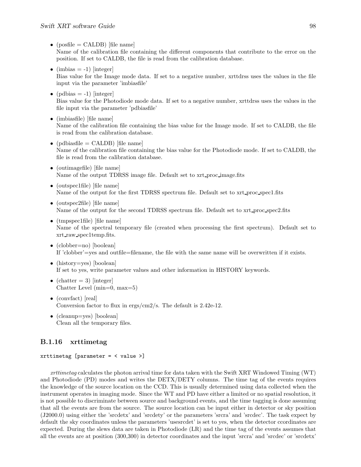- $(posfile = CALDB)$  [file name] Name of the calibration file containing the different components that contribute to the error on the position. If set to CALDB, the file is read from the calibration database.
- (imbias  $= -1$ ) [integer] Bias value for the Image mode data. If set to a negative number, xrttdrss uses the values in the file input via the parameter 'imbiasfile'
- (pdbias  $= -1$ ) [integer] Bias value for the Photodiode mode data. If set to a negative number, xrttdrss uses the values in the file input via the parameter 'pdbiasfile'
- (imbiasfile) [file name] Name of the calibration file containing the bias value for the Image mode. If set to CALDB, the file is read from the calibration database.
- (pdbiasfile  $=$  CALDB) [file name] Name of the calibration file containing the bias value for the Photodiode mode. If set to CALDB, the file is read from the calibration database.
- (outimagefile) [file name] Name of the output TDRSS image file. Default set to xrt proc image.fits
- (outspec1file) [file name] Name of the output for the first TDRSS spectrum file. Default set to xrt proc spec1.fits
- (outspec2file) [file name] Name of the output for the second TDRSS spectrum file. Default set to  $xrt\_proc\_spec2.fits$
- (tmpspec1file) [file name] Name of the spectral temporary file (created when processing the first spectrum). Default set to xrt raw spec1temp.fits.
- (clobber=no) [boolean] If 'clobber'=yes and outfile=filename, the file with the same name will be overwritten if it exists.
- (history=yes) [boolean] If set to yes, write parameter values and other information in HISTORY keywords.
- (chatter  $= 3$ ) [integer] Chatter Level (min=0, max=5)
- (convfact) [real] Conversion factor to flux in ergs/cm2/s. The default is 2.42e-12.
- (cleanup=yes) [boolean] Clean all the temporary files.

## B.1.16 xrttimetag

## xrttimetag [parameter = < value >]

xrttimetag calculates the photon arrival time for data taken with the Swift XRT Windowed Timing (WT) and Photodiode (PD) modes and writes the DETX/DETY columns. The time tag of the events requires the knowledge of the source location on the CCD. This is usually determined using data collected when the instrument operates in imaging mode. Since the WT and PD have either a limited or no spatial resolution, it is not possible to discriminate between source and background events, and the time tagging is done assuming that all the events are from the source. The source location can be input either in detector or sky position (J2000.0) using either the 'srcdetx' and 'srcdety' or the parameters 'srcra' and 'srcdec'. The task expect by default the sky coordinates unless the parameters 'usesrcdet' is set to yes, when the detector ccordinates are expected. During the slews data are taken in Photodiode (LR) and the time tag of the events assumes that all the events are at position (300,300) in detector coordinates and the input 'srcra' and 'srcdec' or 'srcdetx'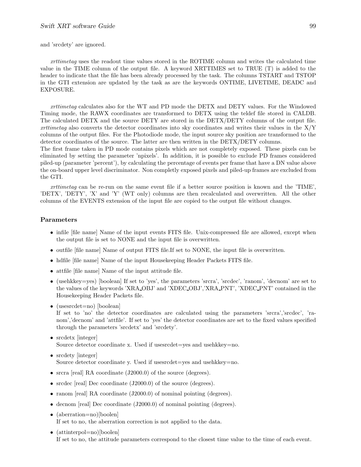and 'srcdety' are ignored.

xrttimetag uses the readout time values stored in the ROTIME column and writes the calculated time value in the TIME column of the output file. A keyword XRTTIMES set to TRUE (T) is added to the header to indicate that the file has been already processed by the task. The columns TSTART and TSTOP in the GTI extension are updated by the task as are the keywords ONTIME, LIVETIME, DEADC and EXPOSURE.

xrttimetag calculates also for the WT and PD mode the DETX and DETY values. For the Windowed Timing mode, the RAWX coordinates are transformed to DETX using the teldef file stored in CALDB. The calculated DETX and the source DETY are stored in the DETX/DETY columns of the output file. xrttimetag also converts the detector coordinates into sky coordinates and writes their values in the  $X/Y$ columns of the output files. For the Photodiode mode, the input source sky position are transformed to the detector coordinates of the source. The latter are then written in the DETX/DETY columns.

The first frame taken in PD mode contains pixels which are not completely exposed. These pixels can be eliminated by setting the parameter 'npixels'. In addition, it is possible to exclude PD frames considered piled-up (parameter 'percent'), by calculating the percentage of events per frame that have a DN value above the on-board upper level discriminator. Non completly exposed pixels and piled-up frames are excluded from the GTI.

xrttimetag can be re-run on the same event file if a better source position is known and the 'TIME', 'DETX', 'DETY', 'X' and 'Y' (WT only) columns are then recalculated and overwritten. All the other columns of the EVENTS extension of the input file are copied to the output file without changes.

#### Parameters

- infile [file name] Name of the input events FITS file. Unix-compressed file are allowed, except when the output file is set to NONE and the input file is overwritten.
- outfile [file name] Name of output FITS file.If set to NONE, the input file is overwritten.
- hdfile [file name] Name of the input Housekeeping Header Packets FITS file.
- attfile [file name] Name of the input attitude file.
- (usehkkey=yes) [boolean] If set to 'yes', the parameters 'srcra', 'srcdec', 'ranom', 'decnom' are set to the values of the keywords 'XRA OBJ' and 'XDEC OBJ','XRA PNT', 'XDEC PNT' contained in the Housekeeping Header Packets file.
- (usesrcdet=no) [boolean]

If set to 'no' the detector coordinates are calculated using the parameters 'srcra','srcdec', 'ranom','decnom' and 'attfile'. If set to 'yes' the detector coordinates are set to the fixed values specified through the parameters 'srcdetx' and 'srcdety'.

- srcdetx [integer] Source detector coordinate x. Used if usesrcdet=yes and usehkkey=no.
- srcdety [integer] Source detector coordinate y. Used if usesrcdet=yes and usehkkey=no.
- srcra [real] RA coordinate (J2000.0) of the source (degrees).
- srcdec [real] Dec coordinate (J2000.0) of the source (degrees).
- ranom [real] RA coordinate (J2000.0) of nominal pointing (degrees).
- decnom [real] Dec coordinate (J2000.0) of nominal pointing (degrees).
- (aberration=no)[boolen] If set to no, the aberration correction is not applied to the data.
- (attinterpol=no)[boolen] If set to no, the attitude parameters correspond to the closest time value to the time of each event.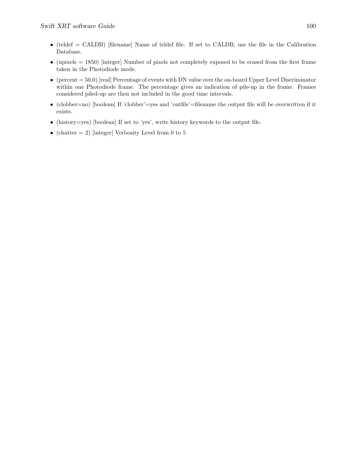- (teldef = CALDB) [filename] Name of teldef file. If set to CALDB, use the file in the Calibration Database.
- (npixels  $= 1850$ ) [integer] Number of pixels not completely exposed to be erased from the first frame taken in the Photodiode mode.
- (percent  $= 50.0$ ) [real] Percentage of events with DN value over the on-board Upper Level Discriminator within one Photodiode frame. The percentage gives an indication of pile-up in the frame. Frames considered piled-up are then not included in the good time intervals.
- (clobber=no) [boolean] If 'clobber'=yes and 'outfile'=filename the output file will be overwritten if it exists.
- (history=yes) [boolean] If set to 'yes', write history keywords to the output file.
- (chatter  $= 2$ ) [integer] Verbosity Level from 0 to 5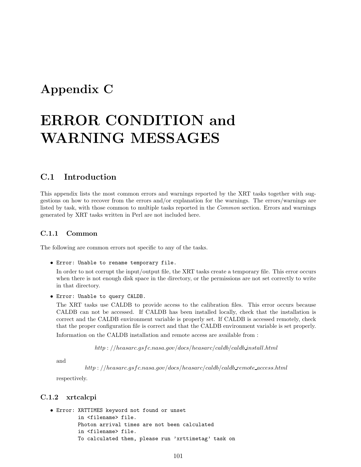## Appendix C

# ERROR CONDITION and WARNING MESSAGES

## C.1 Introduction

This appendix lists the most common errors and warnings reported by the XRT tasks together with suggestions on how to recover from the errors and/or explanation for the warnings. The errors/warnings are listed by task, with those common to multiple tasks reported in the *Common* section. Errors and warnings generated by XRT tasks written in Perl are not included here.

## C.1.1 Common

The following are common errors not specific to any of the tasks.

• Error: Unable to rename temporary file.

In order to not corrupt the input/output file, the XRT tasks create a temporary file. This error occurs when there is not enough disk space in the directory, or the permissions are not set correctly to write in that directory.

• Error: Unable to query CALDB.

The XRT tasks use CALDB to provide access to the calibration files. This error occurs because CALDB can not be accessed. If CALDB has been installed locally, check that the installation is correct and the CALDB environment variable is properly set. If CALDB is accessed remotely, check that the proper configuration file is correct and that the CALDB environment variable is set properly. Information on the CALDB installation and remote access are available from :

 $http://heasarc.gsfc.nasa.gov/docs/heasarc/caldb/calb.intml$ 

and

 $http://heasarc.gsfc.nasa.gov/docs/heasarc/caldb/calb$  remote access.html

respectively.

## C.1.2 xrtcalcpi

```
• Error: XRTTIMES keyword not found or unset
         in <filename> file.
         Photon arrival times are not been calculated
         in <filename> file.
         To calculated them, please run 'xrttimetag' task on
```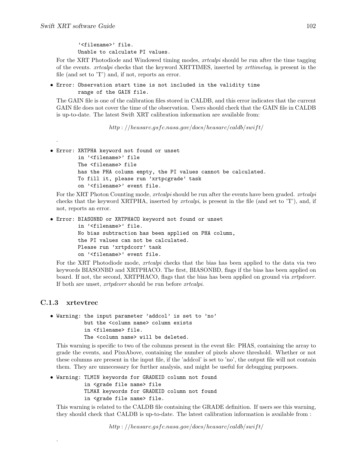.

'<filename>' file. Unable to calculate PI values.

For the XRT Photodiode and Windowed timing modes, *xrtcalpi* should be run after the time tagging of the events. xrtcalpi checks that the keyword XRTTIMES, inserted by xrttimetag, is present in the file (and set to 'T') and, if not, reports an error.

• Error: Observation start time is not included in the validity time range of the GAIN file.

The GAIN file is one of the calibration files stored in CALDB, and this error indicates that the current GAIN file does not cover the time of the observation. Users should check that the GAIN file in CALDB is up-to-date. The latest Swift XRT calibration information are available from:

http://heasarc.gsfc.nasa.gov/docs/heasarc/caldb/swift/

```
• Error: XRTPHA keyword not found or unset
         in '<filename>' file
        The <filename> file
        has the PHA column empty, the PI values cannot be calculated.
         To fill it, please run 'xrtpcgrade' task
         on '<filename>' event file.
```
For the XRT Photon Counting mode, *xrtcalpi* should be run after the events have been graded. *xrtcalpi* checks that the keyword XRTPHA, inserted by *xrtcalpi*, is present in the file (and set to  $T$ ), and, if not, reports an error.

• Error: BIASONBD or XRTPHACO keyword not found or unset

in '<filename>' file. No bias subtraction has been applied on PHA column, the PI values can not be calculated. Please run 'xrtpdcorr' task on '<filename>' event file.

For the XRT Photodiode mode, *xrtcalpi* checks that the bias has been applied to the data via two keywords BIASONBD and XRTPHACO. The first, BIASONBD, flags if the bias has been applied on board. If not, the second, XRTPHACO, flags that the bias has been applied on ground via xrtpdcorr. If both are unset, xrtpdcorr should be run before xrtcalpi.

## C.1.3 xrtevtrec

.

• Warning: the input parameter 'addcol' is set to 'no' but the <column name> column exists in <filename> file. The <column name> will be deleted.

This warning is specific to two of the columns present in the event file: PHAS, containing the array to grade the events, and PixsAbove, containing the number of pixels above threshold. Whether or not these columns are present in the input file, if the 'addcol' is set to 'no', the output file will not contain them. They are unnecessary for further analysis, and might be useful for debugging purposes.

• Warning: TLMIN keywords for GRADEID column not found in <grade file name> file TLMAX keywords for GRADEID column not found in <grade file name> file.

This warning is related to the CALDB file containing the GRADE definition. If users see this warning, they should check that CALDB is up-to-date. The latest calibration information is available from :

http : //heasarc.gsfc.nasa.gov/docs/heasarc/caldb/swift/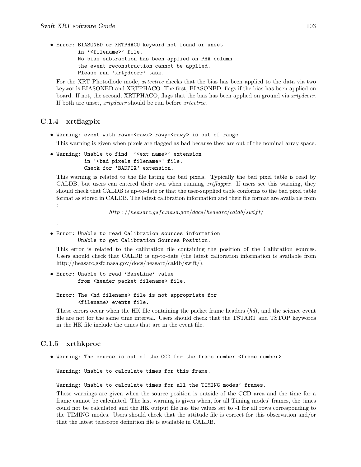• Error: BIASONBD or XRTPHACO keyword not found or unset in '<filename>' file. No bias subtraction has been applied on PHA column, the event reconstruction cannot be applied. Please run 'xrtpdcorr' task.

For the XRT Photodiode mode, xrtevtrec checks that the bias has been applied to the data via two keywords BIASONBD and XRTPHACO. The first, BIASONBD, flags if the bias has been applied on board. If not, the second, XRTPHACO, flags that the bias has been applied on ground via xrtpdcorr. If both are unset, *xrtpdcorr* should be run before *xrtevtrec*.

## C.1.4 xrtflagpix

- Warning: event with rawx=<rawx> rawy=<rawy> is out of range. This warning is given when pixels are flagged as bad because they are out of the nominal array space.
- Warning: Unable to find '<ext name>' extension in '<br/>bad pixels filename>' file. Check for 'BADPIX' extension.

This warning is related to the file listing the bad pixels. Typically the bad pixel table is read by CALDB, but users can entered their own when running xrtflagpix. If users see this warning, they should check that CALDB is up-to-date or that the user-supplied table conforms to the bad pixel table format as stored in CALDB. The latest calibration information and their file format are available from :

http : //heasarc.gsfc.nasa.gov/docs/heasarc/caldb/swift/

.

## • Error: Unable to read Calibration sources information Unable to get Calibration Sources Position.

This error is related to the calibration file containing the position of the Calibration sources. Users should check that CALDB is up-to-date (the latest calibration information is available from http://heasarc.gsfc.nasa.gov/docs/heasarc/caldb/swift/).

• Error: Unable to read 'BaseLine' value from <header packet filename> file.

#### Error: The <hd filename> file is not appropriate for <filename> events file.

These errors occur when the HK file containing the packet frame headers  $(hd)$ , and the science event file are not for the same time interval. Users should check that the TSTART and TSTOP keywords in the HK file include the times that are in the event file.

## C.1.5 xrthkproc

• Warning: The source is out of the CCD for the frame number <frame number>.

Warning: Unable to calculate times for this frame.

Warning: Unable to calculate times for all the TIMING modes' frames.

These warnings are given when the source position is outside of the CCD area and the time for a frame cannot be calculated. The last warning is given when, for all Timing modes' frames, the times could not be calculated and the HK output file has the values set to -1 for all rows corresponding to the TIMING modes. Users should check that the attitude file is correct for this observation and/or that the latest telescope definition file is available in CALDB.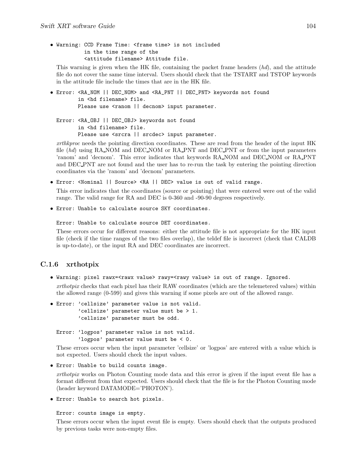• Warning: CCD Frame Time: <frame time> is not included in the time range of the <attitude filename> Attitude file.

This warning is given when the HK file, containing the packet frame headers (hd), and the attitude file do not cover the same time interval. Users should check that the TSTART and TSTOP keywords in the attitude file include the times that are in the HK file.

• Error: <RA\_NOM || DEC\_NOM> and <RA\_PNT || DEC\_PNT> keywords not found in <hd filename> file. Please use <ranom || decnom> input parameter.

Error: <RA\_OBJ || DEC\_OBJ> keywords not found in <hd filename> file. Please use <srcra || srcdec> input parameter.

xrthkproc needs the pointing direction coordinates. These are read from the header of the input HK file (hd) using RA NOM and DEC NOM or RA PNT and DEC PNT or from the input parameters 'ranom' and 'decnom'. This error indicates that keywords RA NOM and DEC NOM or RA PNT and DEC PNT are not found and the user has to re-run the task by entering the pointing direction coordinates via the 'ranom' and 'decnom' parameters.

• Error: <Nominal || Source> <RA || DEC> value is out of valid range.

This error indicates that the coordinates (source or pointing) that were entered were out of the valid range. The valid range for RA and DEC is 0-360 and -90-90 degrees respectively.

• Error: Unable to calculate source SKY coordinates.

Error: Unable to calculate source DET coordinates.

These errors occur for different reasons: either the attitude file is not appropriate for the HK input file (check if the time ranges of the two files overlap), the teldef file is incorrect (check that CALDB is up-to-date), or the input RA and DEC coordinates are incorrect.

### C.1.6 xrthotpix

• Warning: pixel rawx=<rawx value> rawy=<rawy value> is out of range. Ignored.

xrthotpix checks that each pixel has their RAW coordinates (which are the telemetered values) within the allowed range (0-599) and gives this warning if some pixels are out of the allowed range.

• Error: 'cellsize' parameter value is not valid. 'cellsize' parameter value must be > 1. 'cellsize' parameter must be odd.

Error: 'logpos' parameter value is not valid. 'logpos' parameter value must be < 0.

These errors occur when the input parameter 'cellsize' or 'logpos' are entered with a value which is not expected. Users should check the input values.

• Error: Unable to build counts image.

xrthotpix works on Photon Counting mode data and this error is given if the input event file has a format different from that expected. Users should check that the file is for the Photon Counting mode (header keyword DATAMODE='PHOTON').

• Error: Unable to search hot pixels.

#### Error: counts image is empty.

These errors occur when the input event file is empty. Users should check that the outputs produced by previous tasks were non-empty files.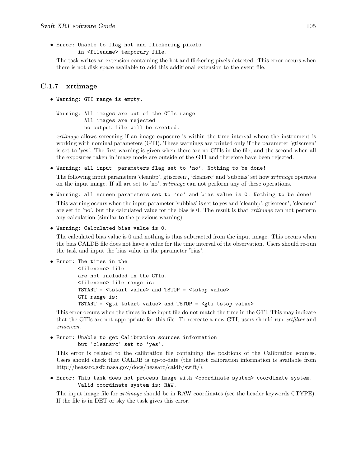```
• Error: Unable to flag hot and flickering pixels
         in <filename> temporary file.
```
The task writes an extension containing the hot and flickering pixels detected. This error occurs when there is not disk space available to add this additional extension to the event file.

## C.1.7 xrtimage

• Warning: GTI range is empty.

```
Warning: All images are out of the GTIs range
         All images are rejected
         no output file will be created.
```
xrtimage allows screening if an image exposure is within the time interval where the instrument is working with nominal parameters (GTI). These warnings are printed only if the parameter 'gtiscreen' is set to 'yes'. The first warning is given when there are no GTIs in the file, and the second when all the exposures taken in image mode are outside of the GTI and therefore have been rejected.

• Warning: all input parameters flag set to 'no'. Nothing to be done!

The following input parameters 'cleanbp', gtiscreen', 'cleansrc' and 'subbias' set how xrtimage operates on the input image. If all are set to 'no', xrtimage can not perform any of these operations.

• Warning: all screen parameters set to 'no' and bias value is 0. Nothing to be done!

This warning occurs when the input parameter 'subbias' is set to yes and 'cleanbp', gtiscreen', 'cleansrc' are set to 'no', but the calculated value for the bias is 0. The result is that *xrtimage* can not perform any calculation (similar to the previous warning).

• Warning: Calculated bias value is 0.

The calculated bias value is 0 and nothing is thus subtracted from the input image. This occurs when the bias CALDB file does not have a value for the time interval of the observation. Users should re-run the task and input the bias value in the parameter 'bias'.

```
• Error: The times in the
```

```
<filename> file
are not included in the GTIs.
<filename> file range is:
TSTART = <tstart value> and TSTOP = <tstop value>
GTI range is:
TSTART = <gti tstart value> and TSTOP = <gti tstop value>
```
This error occurs when the times in the input file do not match the time in the GTI. This may indicate that the GTIs are not appropriate for this file. To recreate a new GTI, users should run *xrtfilter* and xrtscreen.

```
• Error: Unable to get Calibration sources information
        but 'cleansrc' set to 'yes'.
```
This error is related to the calibration file containing the positions of the Calibration sources. Users should check that CALDB is up-to-date (the latest calibration information is available from http://heasarc.gsfc.nasa.gov/docs/heasarc/caldb/swift/).

• Error: This task does not process Image with <coordinate system> coordinate system. Valid coordinate system is: RAW.

The input image file for *xrtimage* should be in RAW coordinates (see the header keywords CTYPE). If the file is in DET or sky the task gives this error.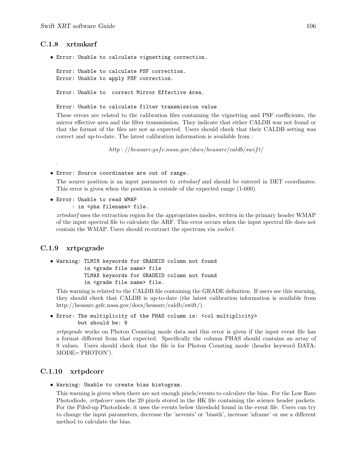### C.1.8 xrtmkarf

• Error: Unable to calculate vignetting correction.

Error: Unable to calculate PSF correction. Error: Unable to apply PSF correction.

Error: Unable to correct Mirror Effective Area.

Error: Unable to calculate filter transmission value

These errors are related to the calibration files containing the vignetting and PSF coefficients, the mirror effective area and the filter transmission. They indicate that either CALDB was not found or that the format of the files are not as expected. Users should check that their CALDB setting was correct and up-to-date. The latest calibration information is available from :

http : //heasarc.gsfc.nasa.gov/docs/heasarc/caldb/swift/

#### • Error: Source coordinates are out of range.

The source position is an input parameter to *xrtmkarf* and should be entered in DET coordinates. This error is given when the position is outside of the expected range (1-600).

- Error: Unable to read WMAP
	- : in <pha filename> file.

xrtmkarf uses the extraction region for the appropriates modes, written in the primary header WMAP of the input spectral file to calculate the ARF. This error occurs when the input spectral file does not contain the WMAP. Users should re-extract the spectrum via xselect.

### C.1.9 xrtpcgrade

.

```
• Warning: TLMIN keywords for GRADEID column not found
           in <grade file name> file
           TLMAX keywords for GRADEID column not found
           in <grade file name> file.
```
This warning is related to the CALDB file containing the GRADE definition. If users see this warning, they should check that CALDB is up-to-date (the latest calibration information is available from http://heasarc.gsfc.nasa.gov/docs/heasarc/caldb/swift/).

• Error: The multiplicity of the PHAS column is: <col multiplicity> but should be: 9

xrtpcgrade works on Photon Counting mode data and this error is given if the input event file has a format different from that expected. Specifically the column PHAS should contains an array of 9 values. Users should check that the file is for Photon Counting mode (header keyword DATA-MODE='PHOTON').

### C.1.10 xrtpdcorr

• Warning: Unable to create bias histogram.

This warning is given when there are not enough pixels/events to calculate the bias. For the Low Rate Photodiode, *xrtpdcorr* uses the 20 pixels stored in the HK file containing the science header packets. For the Piled-up Photodiode, it uses the events below threshold found in the event file. Users can try to change the input parameters, decrease the 'nevents' or 'biasth', increase 'nframe' or use a different method to calculate the bias.